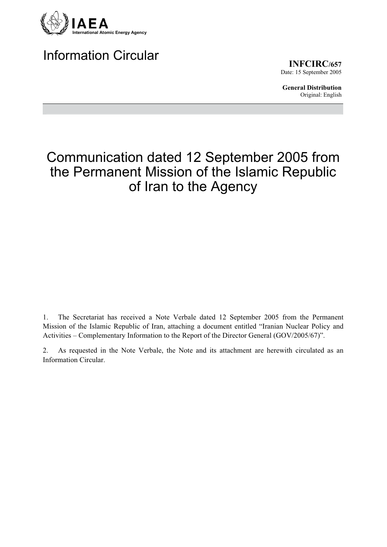

Information Circular

**INFCIRC/657** Date: 15 September 2005

**General Distribution** Original: English

# Communication dated 12 September 2005 from the Permanent Mission of the Islamic Republic of Iran to the Agency

1. The Secretariat has received a Note Verbale dated 12 September 2005 from the Permanent Mission of the Islamic Republic of Iran, attaching a document entitled "Iranian Nuclear Policy and Activities – Complementary Information to the Report of the Director General (GOV/2005/67)".

2. As requested in the Note Verbale, the Note and its attachment are herewith circulated as an Information Circular.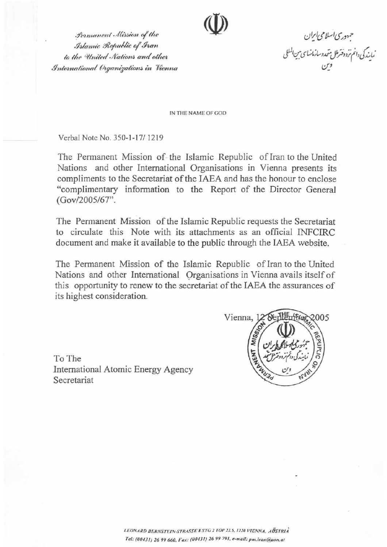Permanent Mission of the Islamic Republic of Iran to the United Nations and other International Organizations in Vienna

خبهوری اسلامی ایران<br>نمایندگی دانم ترد دقتر امل شحدوسازمانهای مین المللی<br>فرماین

IN THE NAME OF GOD

Verbal Note No. 350-1-17/1219

The Permanent Mission of the Islamic Republic of Iran to the United Nations and other International Organisations in Vienna presents its compliments to the Secretariat of the IAEA and has the honour to enclose "complimentary information to the Report of the Director General (Gov/2005/67".

The Permanent Mission of the Islamic Republic requests the Secretariat to circulate this Note with its attachments as an official INFCIRC document and make it available to the public through the IAEA website.

The Permanent Mission of the Islamic Republic of Iran to the United Nations and other International Organisations in Vienna avails itself of this opportunity to renew to the secretariat of the IAEA the assurances of its highest consideration.

To The International Atomic Energy Agency Secretariat

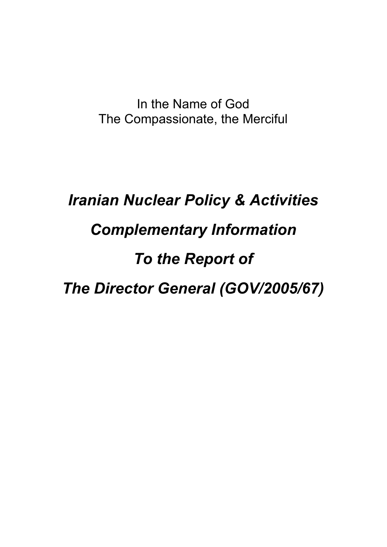In the Name of God The Compassionate, the Merciful

# *Iranian Nuclear Policy & Activities Complementary Information To the Report of The Director General (GOV/2005/67)*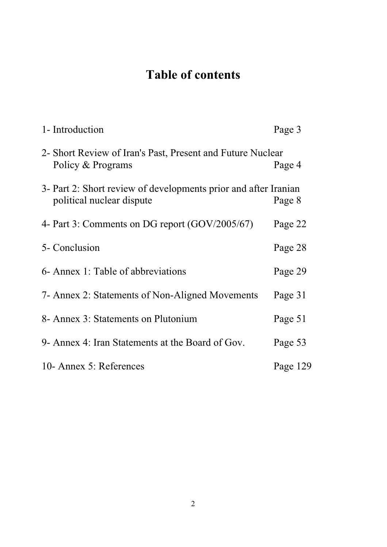# **Table of contents**

| 1- Introduction                                                                              | Page 3   |
|----------------------------------------------------------------------------------------------|----------|
| 2- Short Review of Iran's Past, Present and Future Nuclear<br>Policy & Programs              | Page 4   |
| 3- Part 2: Short review of developments prior and after Iranian<br>political nuclear dispute | Page 8   |
| 4- Part 3: Comments on DG report (GOV/2005/67)                                               | Page 22  |
| 5- Conclusion                                                                                | Page 28  |
| 6- Annex 1: Table of abbreviations                                                           | Page 29  |
| 7- Annex 2: Statements of Non-Aligned Movements                                              | Page 31  |
| 8- Annex 3: Statements on Plutonium                                                          | Page 51  |
| 9- Annex 4: Iran Statements at the Board of Gov.                                             | Page 53  |
| 10- Annex 5: References                                                                      | Page 129 |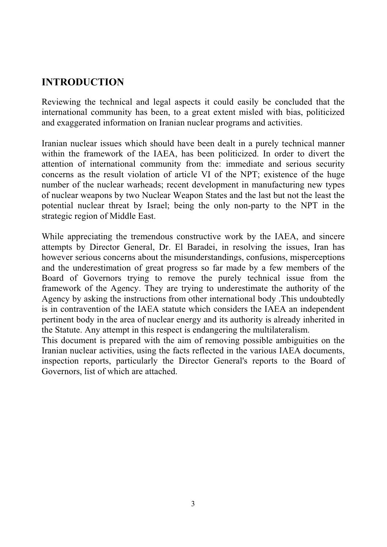#### **INTRODUCTION**

Reviewing the technical and legal aspects it could easily be concluded that the international community has been, to a great extent misled with bias, politicized and exaggerated information on Iranian nuclear programs and activities.

Iranian nuclear issues which should have been dealt in a purely technical manner within the framework of the IAEA, has been politicized. In order to divert the attention of international community from the: immediate and serious security concerns as the result violation of article VI of the NPT; existence of the huge number of the nuclear warheads; recent development in manufacturing new types of nuclear weapons by two Nuclear Weapon States and the last but not the least the potential nuclear threat by Israel; being the only non-party to the NPT in the strategic region of Middle East.

While appreciating the tremendous constructive work by the IAEA, and sincere attempts by Director General, Dr. El Baradei, in resolving the issues, Iran has however serious concerns about the misunderstandings, confusions, misperceptions and the underestimation of great progress so far made by a few members of the Board of Governors trying to remove the purely technical issue from the framework of the Agency. They are trying to underestimate the authority of the Agency by asking the instructions from other international body .This undoubtedly is in contravention of the IAEA statute which considers the IAEA an independent pertinent body in the area of nuclear energy and its authority is already inherited in the Statute. Any attempt in this respect is endangering the multilateralism.

This document is prepared with the aim of removing possible ambiguities on the Iranian nuclear activities, using the facts reflected in the various IAEA documents, inspection reports, particularly the Director General's reports to the Board of Governors, list of which are attached.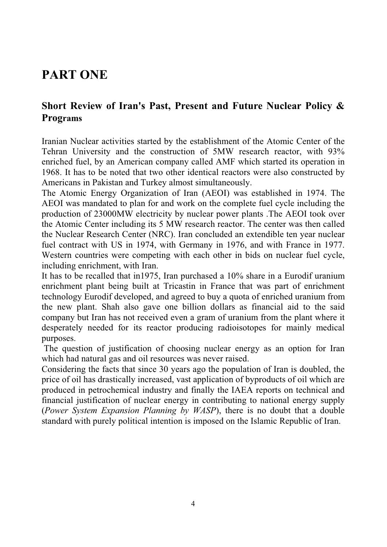### **PART ONE**

#### **Short Review of Iran's Past, Present and Future Nuclear Policy & Programs**

Iranian Nuclear activities started by the establishment of the Atomic Center of the Tehran University and the construction of 5MW research reactor, with 93% enriched fuel, by an American company called AMF which started its operation in 1968. It has to be noted that two other identical reactors were also constructed by Americans in Pakistan and Turkey almost simultaneously.

The Atomic Energy Organization of Iran (AEOI) was established in 1974. The AEOI was mandated to plan for and work on the complete fuel cycle including the production of 23000MW electricity by nuclear power plants .The AEOI took over the Atomic Center including its 5 MW research reactor. The center was then called the Nuclear Research Center (NRC). Iran concluded an extendible ten year nuclear fuel contract with US in 1974, with Germany in 1976, and with France in 1977. Western countries were competing with each other in bids on nuclear fuel cycle, including enrichment, with Iran.

It has to be recalled that in1975, Iran purchased a 10% share in a Eurodif uranium enrichment plant being built at Tricastin in France that was part of enrichment technology Eurodif developed, and agreed to buy a quota of enriched uranium from the new plant. Shah also gave one billion dollars as financial aid to the said company but Iran has not received even a gram of uranium from the plant where it desperately needed for its reactor producing radioisotopes for mainly medical purposes.

 The question of justification of choosing nuclear energy as an option for Iran which had natural gas and oil resources was never raised.

Considering the facts that since 30 years ago the population of Iran is doubled, the price of oil has drastically increased, vast application of byproducts of oil which are produced in petrochemical industry and finally the IAEA reports on technical and financial justification of nuclear energy in contributing to national energy supply (*Power System Expansion Planning by WASP*), there is no doubt that a double standard with purely political intention is imposed on the Islamic Republic of Iran.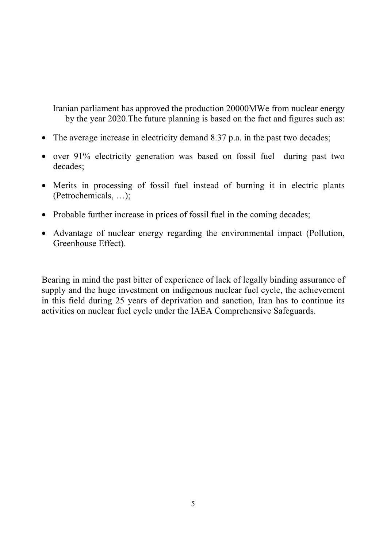Iranian parliament has approved the production 20000MWe from nuclear energy by the year 2020.The future planning is based on the fact and figures such as:

- The average increase in electricity demand 8.37 p.a. in the past two decades;
- over 91% electricity generation was based on fossil fuel during past two decades;
- Merits in processing of fossil fuel instead of burning it in electric plants (Petrochemicals, …);
- Probable further increase in prices of fossil fuel in the coming decades;
- Advantage of nuclear energy regarding the environmental impact (Pollution, Greenhouse Effect).

Bearing in mind the past bitter of experience of lack of legally binding assurance of supply and the huge investment on indigenous nuclear fuel cycle, the achievement in this field during 25 years of deprivation and sanction, Iran has to continue its activities on nuclear fuel cycle under the IAEA Comprehensive Safeguards.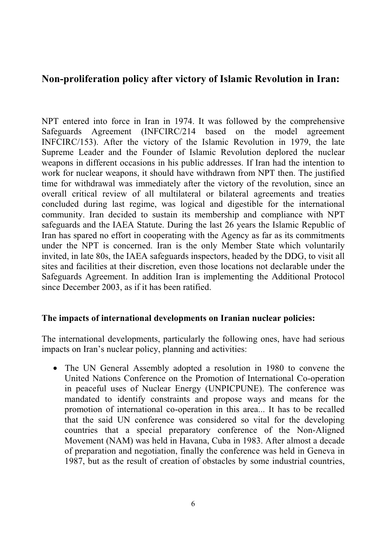#### **Non-proliferation policy after victory of Islamic Revolution in Iran:**

NPT entered into force in Iran in 1974. It was followed by the comprehensive Safeguards Agreement (INFCIRC/214 based on the model agreement INFCIRC/153). After the victory of the Islamic Revolution in 1979, the late Supreme Leader and the Founder of Islamic Revolution deplored the nuclear weapons in different occasions in his public addresses. If Iran had the intention to work for nuclear weapons, it should have withdrawn from NPT then. The justified time for withdrawal was immediately after the victory of the revolution, since an overall critical review of all multilateral or bilateral agreements and treaties concluded during last regime, was logical and digestible for the international community. Iran decided to sustain its membership and compliance with NPT safeguards and the IAEA Statute. During the last 26 years the Islamic Republic of Iran has spared no effort in cooperating with the Agency as far as its commitments under the NPT is concerned. Iran is the only Member State which voluntarily invited, in late 80s, the IAEA safeguards inspectors, headed by the DDG, to visit all sites and facilities at their discretion, even those locations not declarable under the Safeguards Agreement. In addition Iran is implementing the Additional Protocol since December 2003, as if it has been ratified.

#### **The impacts of international developments on Iranian nuclear policies:**

The international developments, particularly the following ones, have had serious impacts on Iran's nuclear policy, planning and activities:

• The UN General Assembly adopted a resolution in 1980 to convene the United Nations Conference on the Promotion of International Co-operation in peaceful uses of Nuclear Energy (UNPICPUNE). The conference was mandated to identify constraints and propose ways and means for the promotion of international co-operation in this area... It has to be recalled that the said UN conference was considered so vital for the developing countries that a special preparatory conference of the Non-Aligned Movement (NAM) was held in Havana, Cuba in 1983. After almost a decade of preparation and negotiation, finally the conference was held in Geneva in 1987, but as the result of creation of obstacles by some industrial countries,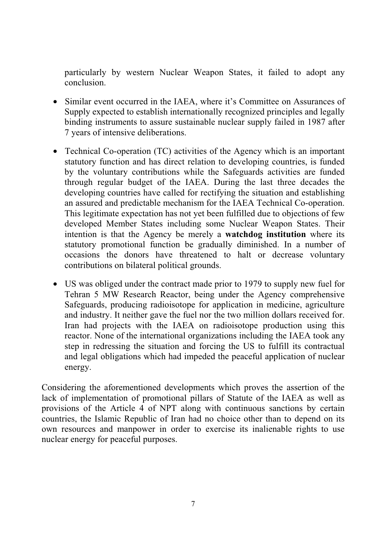particularly by western Nuclear Weapon States, it failed to adopt any conclusion.

- Similar event occurred in the IAEA, where it's Committee on Assurances of Supply expected to establish internationally recognized principles and legally binding instruments to assure sustainable nuclear supply failed in 1987 after 7 years of intensive deliberations.
- Technical Co-operation (TC) activities of the Agency which is an important statutory function and has direct relation to developing countries, is funded by the voluntary contributions while the Safeguards activities are funded through regular budget of the IAEA. During the last three decades the developing countries have called for rectifying the situation and establishing an assured and predictable mechanism for the IAEA Technical Co-operation. This legitimate expectation has not yet been fulfilled due to objections of few developed Member States including some Nuclear Weapon States. Their intention is that the Agency be merely a **watchdog institution** where its statutory promotional function be gradually diminished. In a number of occasions the donors have threatened to halt or decrease voluntary contributions on bilateral political grounds.
- US was obliged under the contract made prior to 1979 to supply new fuel for Tehran 5 MW Research Reactor, being under the Agency comprehensive Safeguards, producing radioisotope for application in medicine, agriculture and industry. It neither gave the fuel nor the two million dollars received for. Iran had projects with the IAEA on radioisotope production using this reactor. None of the international organizations including the IAEA took any step in redressing the situation and forcing the US to fulfill its contractual and legal obligations which had impeded the peaceful application of nuclear energy.

Considering the aforementioned developments which proves the assertion of the lack of implementation of promotional pillars of Statute of the IAEA as well as provisions of the Article 4 of NPT along with continuous sanctions by certain countries, the Islamic Republic of Iran had no choice other than to depend on its own resources and manpower in order to exercise its inalienable rights to use nuclear energy for peaceful purposes.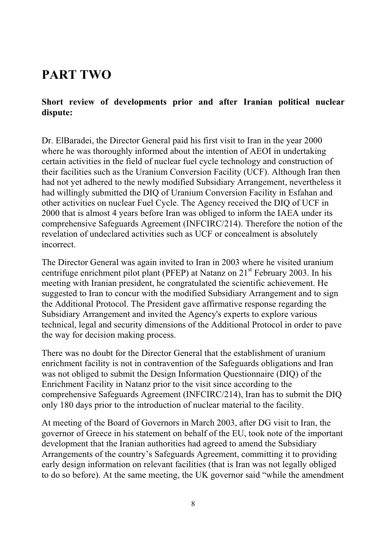### **PART TWO**

#### **Short review of developments prior and after Iranian political nuclear dispute:**

Dr. ElBaradei, the Director General paid his first visit to Iran in the year 2000 where he was thoroughly informed about the intention of AEOI in undertaking certain activities in the field of nuclear fuel cycle technology and construction of their facilities such as the Uranium Conversion Facility (UCF). Although Iran then had not yet adhered to the newly modified Subsidiary Arrangement, nevertheless it had willingly submitted the DIQ of Uranium Conversion Facility in Esfahan and other activities on nuclear Fuel Cycle. The Agency received the DIQ of UCF in 2000 that is almost 4 years before Iran was obliged to inform the IAEA under its comprehensive Safeguards Agreement (INFCIRC/214). Therefore the notion of the revelation of undeclared activities such as UCF or concealment is absolutely incorrect.

The Director General was again invited to Iran in 2003 where he visited uranium centrifuge enrichment pilot plant (PFEP) at Natanz on  $21<sup>st</sup>$  February 2003. In his meeting with Iranian president, he congratulated the scientific achievement. He suggested to Iran to concur with the modified Subsidiary Arrangement and to sign the Additional Protocol. The President gave affirmative response regarding the Subsidiary Arrangement and invited the Agency's experts to explore various technical, legal and security dimensions of the Additional Protocol in order to pave the way for decision making process.

There was no doubt for the Director General that the establishment of uranium enrichment facility is not in contravention of the Safeguards obligations and Iran was not obliged to submit the Design Information Questionnaire (DIQ) of the Enrichment Facility in Natanz prior to the visit since according to the comprehensive Safeguards Agreement (INFCIRC/214), Iran has to submit the DIQ only 180 days prior to the introduction of nuclear material to the facility.

At meeting of the Board of Governors in March 2003, after DG visit to Iran, the governor of Greece in his statement on behalf of the EU, took note of the important development that the Iranian authorities had agreed to amend the Subsidiary Arrangements of the country's Safeguards Agreement, committing it to providing early design information on relevant facilities (that is Iran was not legally obliged to do so before). At the same meeting, the UK governor said "while the amendment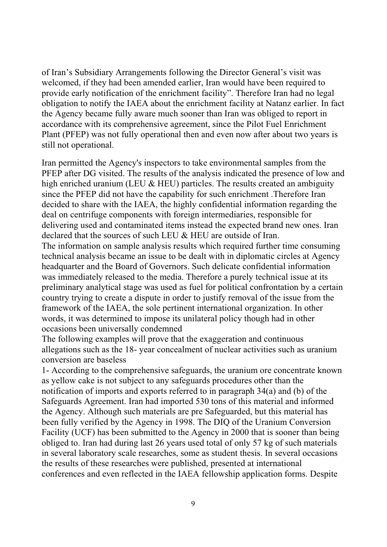of Iran's Subsidiary Arrangements following the Director General's visit was welcomed, if they had been amended earlier, Iran would have been required to provide early notification of the enrichment facility". Therefore Iran had no legal obligation to notify the IAEA about the enrichment facility at Natanz earlier. In fact the Agency became fully aware much sooner than Iran was obliged to report in accordance with its comprehensive agreement, since the Pilot Fuel Enrichment Plant (PFEP) was not fully operational then and even now after about two years is still not operational.

Iran permitted the Agency's inspectors to take environmental samples from the PFEP after DG visited. The results of the analysis indicated the presence of low and high enriched uranium (LEU & HEU) particles. The results created an ambiguity since the PFEP did not have the capability for such enrichment .Therefore Iran decided to share with the IAEA, the highly confidential information regarding the deal on centrifuge components with foreign intermediaries, responsible for delivering used and contaminated items instead the expected brand new ones. Iran declared that the sources of such LEU & HEU are outside of Iran.

The information on sample analysis results which required further time consuming technical analysis became an issue to be dealt with in diplomatic circles at Agency headquarter and the Board of Governors. Such delicate confidential information was immediately released to the media. Therefore a purely technical issue at its preliminary analytical stage was used as fuel for political confrontation by a certain country trying to create a dispute in order to justify removal of the issue from the framework of the IAEA, the sole pertinent international organization. In other words, it was determined to impose its unilateral policy though had in other occasions been universally condemned

The following examples will prove that the exaggeration and continuous allegations such as the 18- year concealment of nuclear activities such as uranium conversion are baseless

1- According to the comprehensive safeguards, the uranium ore concentrate known as yellow cake is not subject to any safeguards procedures other than the notification of imports and exports referred to in paragraph 34(a) and (b) of the Safeguards Agreement. Iran had imported 530 tons of this material and informed the Agency. Although such materials are pre Safeguarded, but this material has been fully verified by the Agency in 1998. The DIQ of the Uranium Conversion Facility (UCF) has been submitted to the Agency in 2000 that is sooner than being obliged to. Iran had during last 26 years used total of only 57 kg of such materials in several laboratory scale researches, some as student thesis. In several occasions the results of these researches were published, presented at international conferences and even reflected in the IAEA fellowship application forms. Despite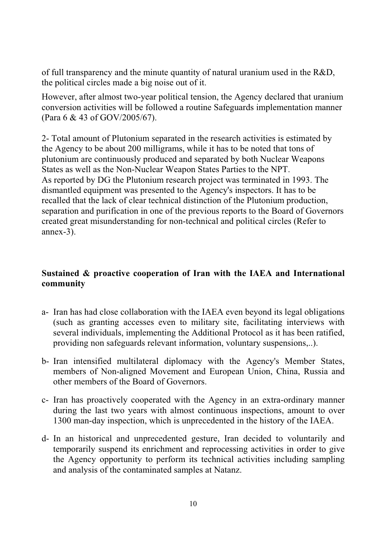of full transparency and the minute quantity of natural uranium used in the R&D, the political circles made a big noise out of it.

However, after almost two-year political tension, the Agency declared that uranium conversion activities will be followed a routine Safeguards implementation manner (Para 6 & 43 of GOV/2005/67).

2- Total amount of Plutonium separated in the research activities is estimated by the Agency to be about 200 milligrams, while it has to be noted that tons of plutonium are continuously produced and separated by both Nuclear Weapons States as well as the Non-Nuclear Weapon States Parties to the NPT. As reported by DG the Plutonium research project was terminated in 1993. The dismantled equipment was presented to the Agency's inspectors. It has to be recalled that the lack of clear technical distinction of the Plutonium production, separation and purification in one of the previous reports to the Board of Governors created great misunderstanding for non-technical and political circles (Refer to annex-3).

#### **Sustained & proactive cooperation of Iran with the IAEA and International community**

- a- Iran has had close collaboration with the IAEA even beyond its legal obligations (such as granting accesses even to military site, facilitating interviews with several individuals, implementing the Additional Protocol as it has been ratified, providing non safeguards relevant information, voluntary suspensions,..).
- b- Iran intensified multilateral diplomacy with the Agency's Member States, members of Non-aligned Movement and European Union, China, Russia and other members of the Board of Governors.
- c- Iran has proactively cooperated with the Agency in an extra-ordinary manner during the last two years with almost continuous inspections, amount to over 1300 man-day inspection, which is unprecedented in the history of the IAEA.
- d- In an historical and unprecedented gesture, Iran decided to voluntarily and temporarily suspend its enrichment and reprocessing activities in order to give the Agency opportunity to perform its technical activities including sampling and analysis of the contaminated samples at Natanz.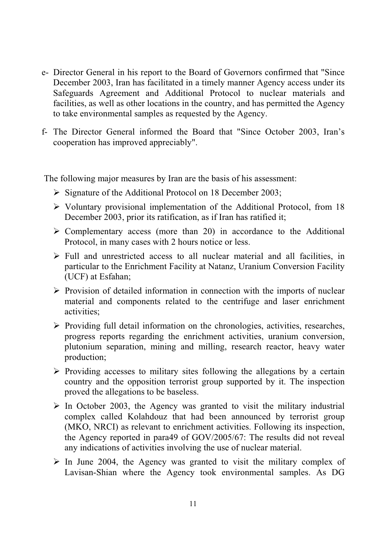- e- Director General in his report to the Board of Governors confirmed that "Since December 2003, Iran has facilitated in a timely manner Agency access under its Safeguards Agreement and Additional Protocol to nuclear materials and facilities, as well as other locations in the country, and has permitted the Agency to take environmental samples as requested by the Agency.
- f- The Director General informed the Board that "Since October 2003, Iran's cooperation has improved appreciably".

The following major measures by Iran are the basis of his assessment:

- $\triangleright$  Signature of the Additional Protocol on 18 December 2003;
- $\triangleright$  Voluntary provisional implementation of the Additional Protocol, from 18 December 2003, prior its ratification, as if Iran has ratified it;
- $\triangleright$  Complementary access (more than 20) in accordance to the Additional Protocol, in many cases with 2 hours notice or less.
- $\triangleright$  Full and unrestricted access to all nuclear material and all facilities, in particular to the Enrichment Facility at Natanz, Uranium Conversion Facility (UCF) at Esfahan;
- $\triangleright$  Provision of detailed information in connection with the imports of nuclear material and components related to the centrifuge and laser enrichment activities;
- $\triangleright$  Providing full detail information on the chronologies, activities, researches, progress reports regarding the enrichment activities, uranium conversion, plutonium separation, mining and milling, research reactor, heavy water production;
- $\triangleright$  Providing accesses to military sites following the allegations by a certain country and the opposition terrorist group supported by it. The inspection proved the allegations to be baseless.
- $\triangleright$  In October 2003, the Agency was granted to visit the military industrial complex called Kolahdouz that had been announced by terrorist group (MKO, NRCI) as relevant to enrichment activities. Following its inspection, the Agency reported in para49 of GOV/2005/67: The results did not reveal any indications of activities involving the use of nuclear material.
- $\triangleright$  In June 2004, the Agency was granted to visit the military complex of Lavisan-Shian where the Agency took environmental samples. As DG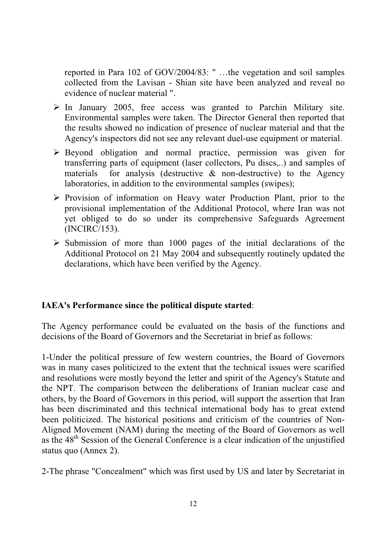reported in Para 102 of GOV/2004/83: " …the vegetation and soil samples collected from the Lavisan - Shian site have been analyzed and reveal no evidence of nuclear material ".

- $\triangleright$  In January 2005, free access was granted to Parchin Military site. Environmental samples were taken. The Director General then reported that the results showed no indication of presence of nuclear material and that the Agency's inspectors did not see any relevant duel-use equipment or material.
- $\triangleright$  Beyond obligation and normal practice, permission was given for transferring parts of equipment (laser collectors, Pu discs,..) and samples of materials for analysis (destructive  $\&$  non-destructive) to the Agency laboratories, in addition to the environmental samples (swipes);
- ¾Provision of information on Heavy water Production Plant, prior to the provisional implementation of the Additional Protocol, where Iran was not yet obliged to do so under its comprehensive Safeguards Agreement (INCIRC/153).
- $\triangleright$  Submission of more than 1000 pages of the initial declarations of the Additional Protocol on 21 May 2004 and subsequently routinely updated the declarations, which have been verified by the Agency.

#### **IAEA's Performance since the political dispute started**:

The Agency performance could be evaluated on the basis of the functions and decisions of the Board of Governors and the Secretariat in brief as follows:

1-Under the political pressure of few western countries, the Board of Governors was in many cases politicized to the extent that the technical issues were scarified and resolutions were mostly beyond the letter and spirit of the Agency's Statute and the NPT. The comparison between the deliberations of Iranian nuclear case and others, by the Board of Governors in this period, will support the assertion that Iran has been discriminated and this technical international body has to great extend been politicized. The historical positions and criticism of the countries of Non-Aligned Movement (NAM) during the meeting of the Board of Governors as well as the 48<sup>th</sup> Session of the General Conference is a clear indication of the unjustified status quo (Annex 2).

2-The phrase "Concealment" which was first used by US and later by Secretariat in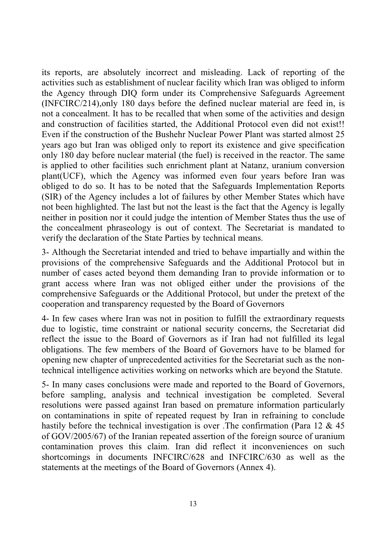its reports, are absolutely incorrect and misleading. Lack of reporting of the activities such as establishment of nuclear facility which Iran was obliged to inform the Agency through DIQ form under its Comprehensive Safeguards Agreement (INFCIRC/214),only 180 days before the defined nuclear material are feed in, is not a concealment. It has to be recalled that when some of the activities and design and construction of facilities started, the Additional Protocol even did not exist!! Even if the construction of the Bushehr Nuclear Power Plant was started almost 25 years ago but Iran was obliged only to report its existence and give specification only 180 day before nuclear material (the fuel) is received in the reactor. The same is applied to other facilities such enrichment plant at Natanz, uranium conversion plant(UCF), which the Agency was informed even four years before Iran was obliged to do so. It has to be noted that the Safeguards Implementation Reports (SIR) of the Agency includes a lot of failures by other Member States which have not been highlighted. The last but not the least is the fact that the Agency is legally neither in position nor it could judge the intention of Member States thus the use of the concealment phraseology is out of context. The Secretariat is mandated to verify the declaration of the State Parties by technical means.

3- Although the Secretariat intended and tried to behave impartially and within the provisions of the comprehensive Safeguards and the Additional Protocol but in number of cases acted beyond them demanding Iran to provide information or to grant access where Iran was not obliged either under the provisions of the comprehensive Safeguards or the Additional Protocol, but under the pretext of the cooperation and transparency requested by the Board of Governors

4- In few cases where Iran was not in position to fulfill the extraordinary requests due to logistic, time constraint or national security concerns, the Secretariat did reflect the issue to the Board of Governors as if Iran had not fulfilled its legal obligations. The few members of the Board of Governors have to be blamed for opening new chapter of unprecedented activities for the Secretariat such as the nontechnical intelligence activities working on networks which are beyond the Statute.

5- In many cases conclusions were made and reported to the Board of Governors, before sampling, analysis and technical investigation be completed. Several resolutions were passed against Iran based on premature information particularly on contaminations in spite of repeated request by Iran in refraining to conclude hastily before the technical investigation is over .The confirmation (Para 12 & 45) of GOV/2005/67) of the Iranian repeated assertion of the foreign source of uranium contamination proves this claim. Iran did reflect it inconveniences on such shortcomings in documents INFCIRC/628 and INFCIRC/630 as well as the statements at the meetings of the Board of Governors (Annex 4).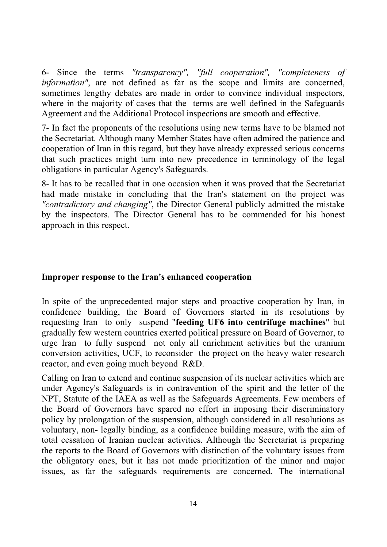6- Since the terms *"transparency", "full cooperation", "completeness of information"*, are not defined as far as the scope and limits are concerned, sometimes lengthy debates are made in order to convince individual inspectors, where in the majority of cases that the terms are well defined in the Safeguards Agreement and the Additional Protocol inspections are smooth and effective.

7- In fact the proponents of the resolutions using new terms have to be blamed not the Secretariat. Although many Member States have often admired the patience and cooperation of Iran in this regard, but they have already expressed serious concerns that such practices might turn into new precedence in terminology of the legal obligations in particular Agency's Safeguards.

8- It has to be recalled that in one occasion when it was proved that the Secretariat had made mistake in concluding that the Iran's statement on the project was *"contradictory and changing"*, the Director General publicly admitted the mistake by the inspectors. The Director General has to be commended for his honest approach in this respect.

#### **Improper response to the Iran's enhanced cooperation**

In spite of the unprecedented major steps and proactive cooperation by Iran, in confidence building, the Board of Governors started in its resolutions by requesting Iran to only suspend "**feeding UF6 into centrifuge machines**" but gradually few western countries exerted political pressure on Board of Governor, to urge Iran to fully suspend not only all enrichment activities but the uranium conversion activities, UCF, to reconsider the project on the heavy water research reactor, and even going much beyond R&D.

Calling on Iran to extend and continue suspension of its nuclear activities which are under Agency's Safeguards is in contravention of the spirit and the letter of the NPT, Statute of the IAEA as well as the Safeguards Agreements. Few members of the Board of Governors have spared no effort in imposing their discriminatory policy by prolongation of the suspension, although considered in all resolutions as voluntary, non- legally binding, as a confidence building measure, with the aim of total cessation of Iranian nuclear activities. Although the Secretariat is preparing the reports to the Board of Governors with distinction of the voluntary issues from the obligatory ones, but it has not made prioritization of the minor and major issues, as far the safeguards requirements are concerned. The international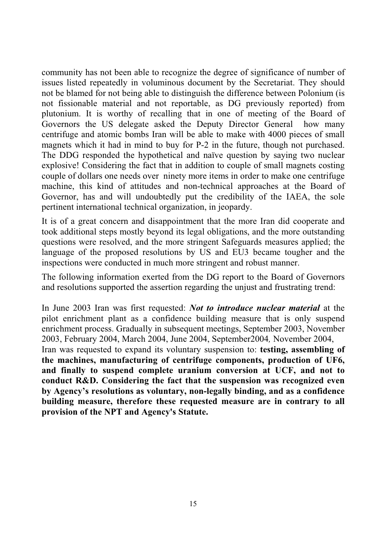community has not been able to recognize the degree of significance of number of issues listed repeatedly in voluminous document by the Secretariat. They should not be blamed for not being able to distinguish the difference between Polonium (is not fissionable material and not reportable, as DG previously reported) from plutonium. It is worthy of recalling that in one of meeting of the Board of Governors the US delegate asked the Deputy Director General how many centrifuge and atomic bombs Iran will be able to make with 4000 pieces of small magnets which it had in mind to buy for P-2 in the future, though not purchased. The DDG responded the hypothetical and naïve question by saying two nuclear explosive! Considering the fact that in addition to couple of small magnets costing couple of dollars one needs over ninety more items in order to make one centrifuge machine, this kind of attitudes and non-technical approaches at the Board of Governor, has and will undoubtedly put the credibility of the IAEA, the sole pertinent international technical organization, in jeopardy.

It is of a great concern and disappointment that the more Iran did cooperate and took additional steps mostly beyond its legal obligations, and the more outstanding questions were resolved, and the more stringent Safeguards measures applied; the language of the proposed resolutions by US and EU3 became tougher and the inspections were conducted in much more stringent and robust manner.

The following information exerted from the DG report to the Board of Governors and resolutions supported the assertion regarding the unjust and frustrating trend:

In June 2003 Iran was first requested: *Not to introduce nuclear material* at the pilot enrichment plant as a confidence building measure that is only suspend enrichment process. Gradually in subsequent meetings, September 2003, November 2003, February 2004, March 2004, June 2004, September2004*,* November 2004,

Iran was requested to expand its voluntary suspension to: **testing, assembling of the machines, manufacturing of centrifuge components, production of UF6, and finally to suspend complete uranium conversion at UCF, and not to conduct R&D. Considering the fact that the suspension was recognized even by Agency's resolutions as voluntary, non-legally binding, and as a confidence building measure, therefore these requested measure are in contrary to all provision of the NPT and Agency's Statute.**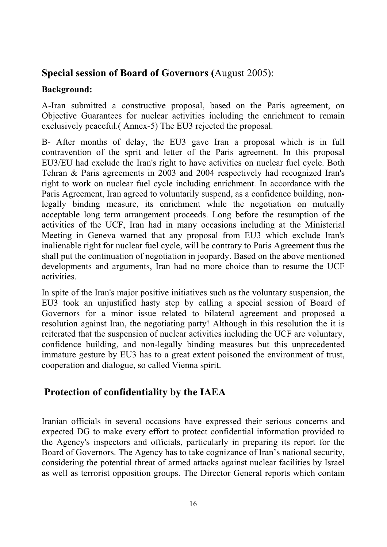#### **Special session of Board of Governors (**August 2005):

#### **Background:**

A-Iran submitted a constructive proposal, based on the Paris agreement, on Objective Guarantees for nuclear activities including the enrichment to remain exclusively peaceful.( Annex-5) The EU3 rejected the proposal.

B- After months of delay, the EU3 gave Iran a proposal which is in full contravention of the sprit and letter of the Paris agreement. In this proposal EU3/EU had exclude the Iran's right to have activities on nuclear fuel cycle. Both Tehran & Paris agreements in 2003 and 2004 respectively had recognized Iran's right to work on nuclear fuel cycle including enrichment. In accordance with the Paris Agreement, Iran agreed to voluntarily suspend, as a confidence building, nonlegally binding measure, its enrichment while the negotiation on mutually acceptable long term arrangement proceeds. Long before the resumption of the activities of the UCF, Iran had in many occasions including at the Ministerial Meeting in Geneva warned that any proposal from EU3 which exclude Iran's inalienable right for nuclear fuel cycle, will be contrary to Paris Agreement thus the shall put the continuation of negotiation in jeopardy. Based on the above mentioned developments and arguments, Iran had no more choice than to resume the UCF activities.

In spite of the Iran's major positive initiatives such as the voluntary suspension, the EU3 took an unjustified hasty step by calling a special session of Board of Governors for a minor issue related to bilateral agreement and proposed a resolution against Iran, the negotiating party! Although in this resolution the it is reiterated that the suspension of nuclear activities including the UCF are voluntary, confidence building, and non-legally binding measures but this unprecedented immature gesture by EU3 has to a great extent poisoned the environment of trust, cooperation and dialogue, so called Vienna spirit.

#### **Protection of confidentiality by the IAEA**

Iranian officials in several occasions have expressed their serious concerns and expected DG to make every effort to protect confidential information provided to the Agency's inspectors and officials, particularly in preparing its report for the Board of Governors. The Agency has to take cognizance of Iran's national security, considering the potential threat of armed attacks against nuclear facilities by Israel as well as terrorist opposition groups. The Director General reports which contain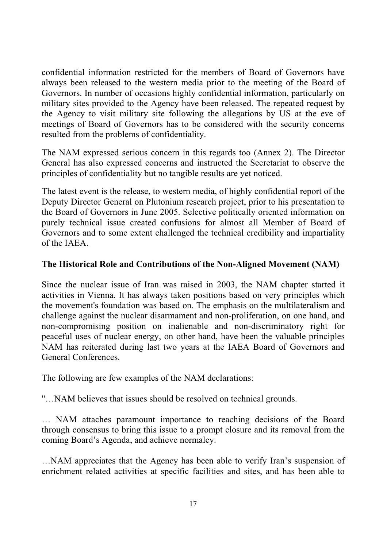confidential information restricted for the members of Board of Governors have always been released to the western media prior to the meeting of the Board of Governors. In number of occasions highly confidential information, particularly on military sites provided to the Agency have been released. The repeated request by the Agency to visit military site following the allegations by US at the eve of meetings of Board of Governors has to be considered with the security concerns resulted from the problems of confidentiality.

The NAM expressed serious concern in this regards too (Annex 2). The Director General has also expressed concerns and instructed the Secretariat to observe the principles of confidentiality but no tangible results are yet noticed.

The latest event is the release, to western media, of highly confidential report of the Deputy Director General on Plutonium research project, prior to his presentation to the Board of Governors in June 2005. Selective politically oriented information on purely technical issue created confusions for almost all Member of Board of Governors and to some extent challenged the technical credibility and impartiality of the IAEA.

#### **The Historical Role and Contributions of the Non-Aligned Movement (NAM)**

Since the nuclear issue of Iran was raised in 2003, the NAM chapter started it activities in Vienna. It has always taken positions based on very principles which the movement's foundation was based on. The emphasis on the multilateralism and challenge against the nuclear disarmament and non-proliferation, on one hand, and non-compromising position on inalienable and non-discriminatory right for peaceful uses of nuclear energy, on other hand, have been the valuable principles NAM has reiterated during last two years at the IAEA Board of Governors and General Conferences.

The following are few examples of the NAM declarations:

"…NAM believes that issues should be resolved on technical grounds.

… NAM attaches paramount importance to reaching decisions of the Board through consensus to bring this issue to a prompt closure and its removal from the coming Board's Agenda, and achieve normalcy.

…NAM appreciates that the Agency has been able to verify Iran's suspension of enrichment related activities at specific facilities and sites, and has been able to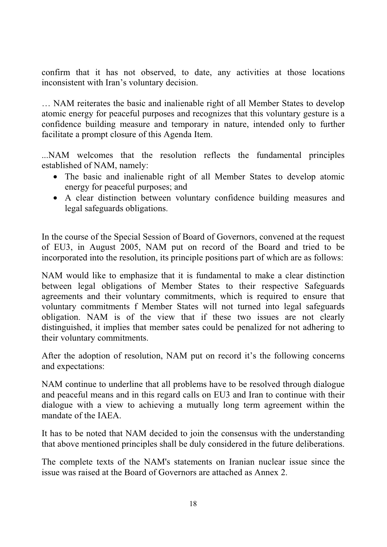confirm that it has not observed, to date, any activities at those locations inconsistent with Iran's voluntary decision.

… NAM reiterates the basic and inalienable right of all Member States to develop atomic energy for peaceful purposes and recognizes that this voluntary gesture is a confidence building measure and temporary in nature, intended only to further facilitate a prompt closure of this Agenda Item.

...NAM welcomes that the resolution reflects the fundamental principles established of NAM, namely:

- The basic and inalienable right of all Member States to develop atomic energy for peaceful purposes; and
- A clear distinction between voluntary confidence building measures and legal safeguards obligations.

In the course of the Special Session of Board of Governors, convened at the request of EU3, in August 2005, NAM put on record of the Board and tried to be incorporated into the resolution, its principle positions part of which are as follows:

NAM would like to emphasize that it is fundamental to make a clear distinction between legal obligations of Member States to their respective Safeguards agreements and their voluntary commitments, which is required to ensure that voluntary commitments f Member States will not turned into legal safeguards obligation. NAM is of the view that if these two issues are not clearly distinguished, it implies that member sates could be penalized for not adhering to their voluntary commitments.

After the adoption of resolution, NAM put on record it's the following concerns and expectations:

NAM continue to underline that all problems have to be resolved through dialogue and peaceful means and in this regard calls on EU3 and Iran to continue with their dialogue with a view to achieving a mutually long term agreement within the mandate of the IAEA.

It has to be noted that NAM decided to join the consensus with the understanding that above mentioned principles shall be duly considered in the future deliberations.

The complete texts of the NAM's statements on Iranian nuclear issue since the issue was raised at the Board of Governors are attached as Annex 2.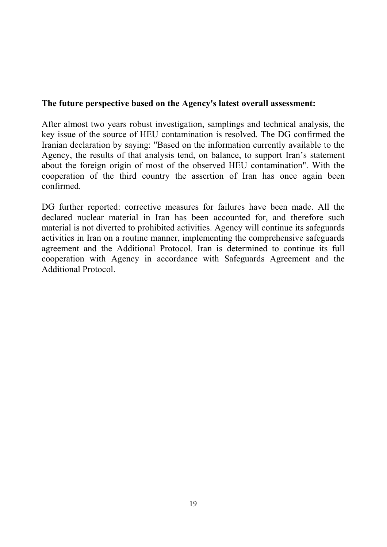#### **The future perspective based on the Agency's latest overall assessment:**

After almost two years robust investigation, samplings and technical analysis, the key issue of the source of HEU contamination is resolved. The DG confirmed the Iranian declaration by saying: "Based on the information currently available to the Agency, the results of that analysis tend, on balance, to support Iran's statement about the foreign origin of most of the observed HEU contamination". With the cooperation of the third country the assertion of Iran has once again been confirmed.

DG further reported: corrective measures for failures have been made. All the declared nuclear material in Iran has been accounted for, and therefore such material is not diverted to prohibited activities. Agency will continue its safeguards activities in Iran on a routine manner, implementing the comprehensive safeguards agreement and the Additional Protocol. Iran is determined to continue its full cooperation with Agency in accordance with Safeguards Agreement and the Additional Protocol.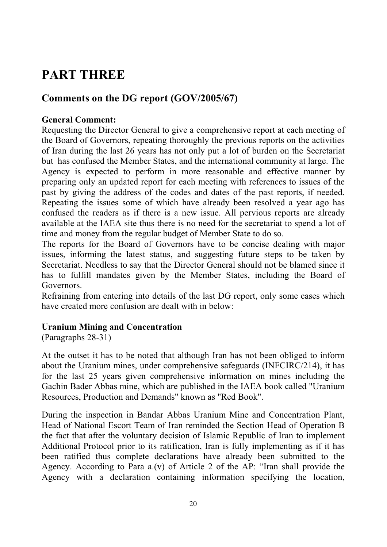### **PART THREE**

#### **Comments on the DG report (GOV/2005/67)**

#### **General Comment:**

Requesting the Director General to give a comprehensive report at each meeting of the Board of Governors, repeating thoroughly the previous reports on the activities of Iran during the last 26 years has not only put a lot of burden on the Secretariat but has confused the Member States, and the international community at large. The Agency is expected to perform in more reasonable and effective manner by preparing only an updated report for each meeting with references to issues of the past by giving the address of the codes and dates of the past reports, if needed. Repeating the issues some of which have already been resolved a year ago has confused the readers as if there is a new issue. All pervious reports are already available at the IAEA site thus there is no need for the secretariat to spend a lot of time and money from the regular budget of Member State to do so.

The reports for the Board of Governors have to be concise dealing with major issues, informing the latest status, and suggesting future steps to be taken by Secretariat. Needless to say that the Director General should not be blamed since it has to fulfill mandates given by the Member States, including the Board of Governors.

Refraining from entering into details of the last DG report, only some cases which have created more confusion are dealt with in below:

#### **Uranium Mining and Concentration**

(Paragraphs 28-31)

At the outset it has to be noted that although Iran has not been obliged to inform about the Uranium mines, under comprehensive safeguards (INFCIRC/214), it has for the last 25 years given comprehensive information on mines including the Gachin Bader Abbas mine, which are published in the IAEA book called "Uranium Resources, Production and Demands" known as "Red Book".

During the inspection in Bandar Abbas Uranium Mine and Concentration Plant, Head of National Escort Team of Iran reminded the Section Head of Operation B the fact that after the voluntary decision of Islamic Republic of Iran to implement Additional Protocol prior to its ratification, Iran is fully implementing as if it has been ratified thus complete declarations have already been submitted to the Agency. According to Para a.(v) of Article 2 of the AP: "Iran shall provide the Agency with a declaration containing information specifying the location,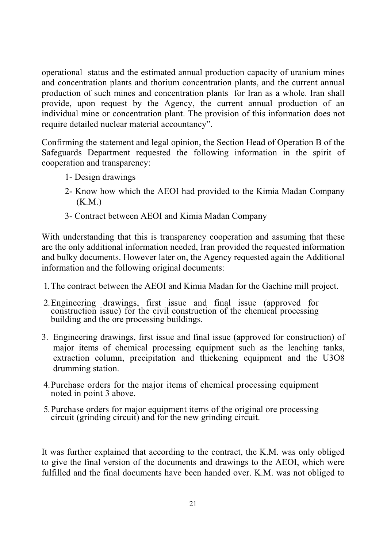operational status and the estimated annual production capacity of uranium mines and concentration plants and thorium concentration plants, and the current annual production of such mines and concentration plants for Iran as a whole. Iran shall provide, upon request by the Agency, the current annual production of an individual mine or concentration plant. The provision of this information does not require detailed nuclear material accountancy".

Confirming the statement and legal opinion, the Section Head of Operation B of the Safeguards Department requested the following information in the spirit of cooperation and transparency:

- 1- Design drawings
- 2- Know how which the AEOI had provided to the Kimia Madan Company (K.M.)
- 3- Contract between AEOI and Kimia Madan Company

With understanding that this is transparency cooperation and assuming that these are the only additional information needed, Iran provided the requested information and bulky documents. However later on, the Agency requested again the Additional information and the following original documents:

- 1. The contract between the AEOI and Kimia Madan for the Gachine mill project.
- 2. Engineering drawings, first issue and final issue (approved for construction issue) for the civil construction of the chemical processing building and the ore processing buildings.
- 3. Engineering drawings, first issue and final issue (approved for construction) of major items of chemical processing equipment such as the leaching tanks, extraction column, precipitation and thickening equipment and the U3O8 drumming station.
- 4. Purchase orders for the major items of chemical processing equipment noted in point 3 above.
- 5. Purchase orders for major equipment items of the original ore processing circuit (grinding circuit) and for the new grinding circuit.

It was further explained that according to the contract, the K.M. was only obliged to give the final version of the documents and drawings to the AEOI, which were fulfilled and the final documents have been handed over. K.M. was not obliged to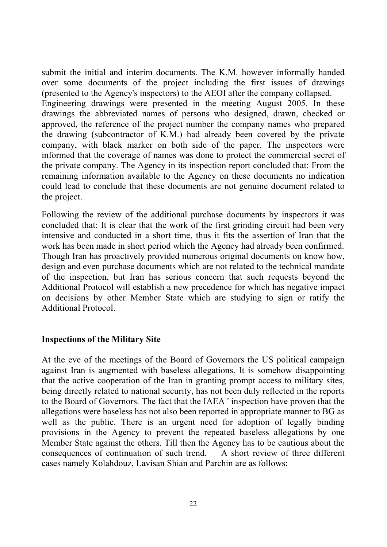submit the initial and interim documents. The K.M. however informally handed over some documents of the project including the first issues of drawings (presented to the Agency's inspectors) to the AEOI after the company collapsed. Engineering drawings were presented in the meeting August 2005. In these drawings the abbreviated names of persons who designed, drawn, checked or approved, the reference of the project number the company names who prepared the drawing (subcontractor of K.M.) had already been covered by the private company, with black marker on both side of the paper. The inspectors were informed that the coverage of names was done to protect the commercial secret of the private company. The Agency in its inspection report concluded that: From the remaining information available to the Agency on these documents no indication could lead to conclude that these documents are not genuine document related to the project.

Following the review of the additional purchase documents by inspectors it was concluded that: It is clear that the work of the first grinding circuit had been very intensive and conducted in a short time, thus it fits the assertion of Iran that the work has been made in short period which the Agency had already been confirmed. Though Iran has proactively provided numerous original documents on know how, design and even purchase documents which are not related to the technical mandate of the inspection, but Iran has serious concern that such requests beyond the Additional Protocol will establish a new precedence for which has negative impact on decisions by other Member State which are studying to sign or ratify the Additional Protocol.

#### **Inspections of the Military Site**

At the eve of the meetings of the Board of Governors the US political campaign against Iran is augmented with baseless allegations. It is somehow disappointing that the active cooperation of the Iran in granting prompt access to military sites, being directly related to national security, has not been duly reflected in the reports to the Board of Governors. The fact that the IAEA ' inspection have proven that the allegations were baseless has not also been reported in appropriate manner to BG as well as the public. There is an urgent need for adoption of legally binding provisions in the Agency to prevent the repeated baseless allegations by one Member State against the others. Till then the Agency has to be cautious about the consequences of continuation of such trend. A short review of three different cases namely Kolahdouz, Lavisan Shian and Parchin are as follows: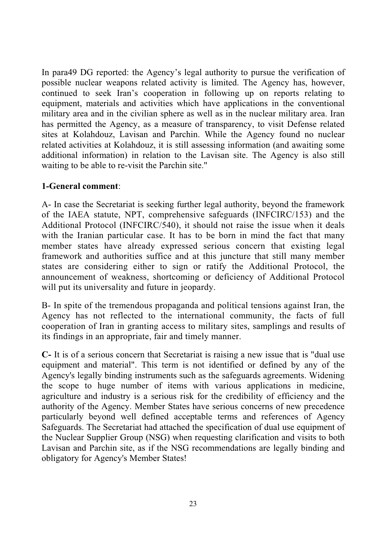In para49 DG reported: the Agency's legal authority to pursue the verification of possible nuclear weapons related activity is limited. The Agency has, however, continued to seek Iran's cooperation in following up on reports relating to equipment, materials and activities which have applications in the conventional military area and in the civilian sphere as well as in the nuclear military area. Iran has permitted the Agency, as a measure of transparency, to visit Defense related sites at Kolahdouz, Lavisan and Parchin. While the Agency found no nuclear related activities at Kolahdouz, it is still assessing information (and awaiting some additional information) in relation to the Lavisan site. The Agency is also still waiting to be able to re-visit the Parchin site."

#### **1-General comment**:

A- In case the Secretariat is seeking further legal authority, beyond the framework of the IAEA statute, NPT, comprehensive safeguards (INFCIRC/153) and the Additional Protocol (INFCIRC/540), it should not raise the issue when it deals with the Iranian particular case. It has to be born in mind the fact that many member states have already expressed serious concern that existing legal framework and authorities suffice and at this juncture that still many member states are considering either to sign or ratify the Additional Protocol, the announcement of weakness, shortcoming or deficiency of Additional Protocol will put its universality and future in jeopardy.

B- In spite of the tremendous propaganda and political tensions against Iran, the Agency has not reflected to the international community, the facts of full cooperation of Iran in granting access to military sites, samplings and results of its findings in an appropriate, fair and timely manner.

**C-** It is of a serious concern that Secretariat is raising a new issue that is "dual use equipment and material". This term is not identified or defined by any of the Agency's legally binding instruments such as the safeguards agreements. Widening the scope to huge number of items with various applications in medicine, agriculture and industry is a serious risk for the credibility of efficiency and the authority of the Agency. Member States have serious concerns of new precedence particularly beyond well defined acceptable terms and references of Agency Safeguards. The Secretariat had attached the specification of dual use equipment of the Nuclear Supplier Group (NSG) when requesting clarification and visits to both Lavisan and Parchin site, as if the NSG recommendations are legally binding and obligatory for Agency's Member States!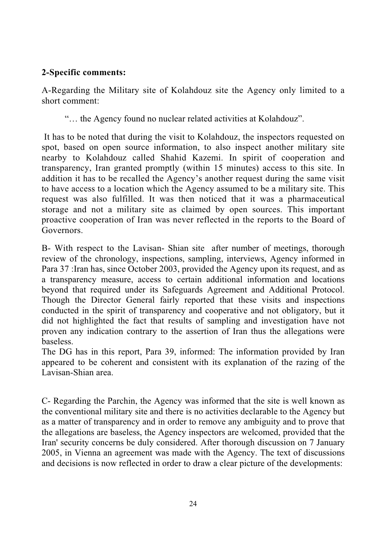#### **2-Specific comments:**

A-Regarding the Military site of Kolahdouz site the Agency only limited to a short comment:

"… the Agency found no nuclear related activities at Kolahdouz".

 It has to be noted that during the visit to Kolahdouz, the inspectors requested on spot, based on open source information, to also inspect another military site nearby to Kolahdouz called Shahid Kazemi. In spirit of cooperation and transparency, Iran granted promptly (within 15 minutes) access to this site. In addition it has to be recalled the Agency's another request during the same visit to have access to a location which the Agency assumed to be a military site. This request was also fulfilled. It was then noticed that it was a pharmaceutical storage and not a military site as claimed by open sources. This important proactive cooperation of Iran was never reflected in the reports to the Board of Governors.

B- With respect to the Lavisan- Shian site after number of meetings, thorough review of the chronology, inspections, sampling, interviews, Agency informed in Para 37 :Iran has, since October 2003, provided the Agency upon its request, and as a transparency measure, access to certain additional information and locations beyond that required under its Safeguards Agreement and Additional Protocol. Though the Director General fairly reported that these visits and inspections conducted in the spirit of transparency and cooperative and not obligatory, but it did not highlighted the fact that results of sampling and investigation have not proven any indication contrary to the assertion of Iran thus the allegations were baseless.

The DG has in this report, Para 39, informed: The information provided by Iran appeared to be coherent and consistent with its explanation of the razing of the Lavisan-Shian area.

C- Regarding the Parchin, the Agency was informed that the site is well known as the conventional military site and there is no activities declarable to the Agency but as a matter of transparency and in order to remove any ambiguity and to prove that the allegations are baseless, the Agency inspectors are welcomed, provided that the Iran' security concerns be duly considered. After thorough discussion on 7 January 2005, in Vienna an agreement was made with the Agency. The text of discussions and decisions is now reflected in order to draw a clear picture of the developments: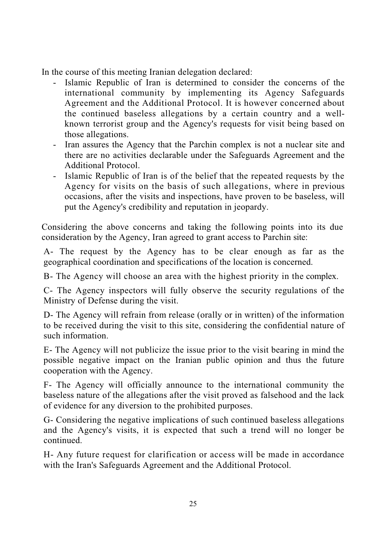In the course of this meeting Iranian delegation declared:

- Islamic Republic of Iran is determined to consider the concerns of the international community by implementing its Agency Safeguards Agreement and the Additional Protocol. It is however concerned about the continued baseless allegations by a certain country and a wellknown terrorist group and the Agency's requests for visit being based on those allegations.
- Iran assures the Agency that the Parchin complex is not a nuclear site and there are no activities declarable under the Safeguards Agreement and the Additional Protocol.
- Islamic Republic of Iran is of the belief that the repeated requests by the Agency for visits on the basis of such allegations, where in previous occasions, after the visits and inspections, have proven to be baseless, will put the Agency's credibility and reputation in jeopardy.

Considering the above concerns and taking the following points into its due consideration by the Agency, Iran agreed to grant access to Parchin site:

A- The request by the Agency has to be clear enough as far as the geographical coordination and specifications of the location is concerned.

B- The Agency will choose an area with the highest priority in the complex.

C- The Agency inspectors will fully observe the security regulations of the Ministry of Defense during the visit.

D- The Agency will refrain from release (orally or in written) of the information to be received during the visit to this site, considering the confidential nature of such information.

E- The Agency will not publicize the issue prior to the visit bearing in mind the possible negative impact on the Iranian public opinion and thus the future cooperation with the Agency.

F- The Agency will officially announce to the international community the baseless nature of the allegations after the visit proved as falsehood and the lack of evidence for any diversion to the prohibited purposes.

G- Considering the negative implications of such continued baseless allegations and the Agency's visits, it is expected that such a trend will no longer be continued.

H- Any future request for clarification or access will be made in accordance with the Iran's Safeguards Agreement and the Additional Protocol.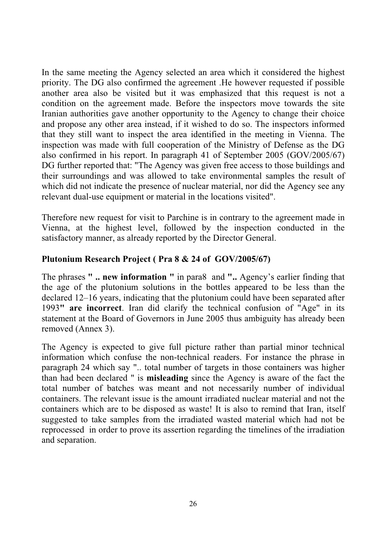In the same meeting the Agency selected an area which it considered the highest priority. The DG also confirmed the agreement .He however requested if possible another area also be visited but it was emphasized that this request is not a condition on the agreement made. Before the inspectors move towards the site Iranian authorities gave another opportunity to the Agency to change their choice and propose any other area instead, if it wished to do so. The inspectors informed that they still want to inspect the area identified in the meeting in Vienna. The inspection was made with full cooperation of the Ministry of Defense as the DG also confirmed in his report. In paragraph 41 of September 2005 (GOV/2005/67) DG further reported that: "The Agency was given free access to those buildings and their surroundings and was allowed to take environmental samples the result of which did not indicate the presence of nuclear material, nor did the Agency see any relevant dual-use equipment or material in the locations visited".

Therefore new request for visit to Parchine is in contrary to the agreement made in Vienna, at the highest level, followed by the inspection conducted in the satisfactory manner, as already reported by the Director General.

#### **Plutonium Research Project ( Pra 8 & 24 of GOV/2005/67)**

The phrases **" .. new information "** in para8 and **"..** Agency's earlier finding that the age of the plutonium solutions in the bottles appeared to be less than the declared 12–16 years, indicating that the plutonium could have been separated after 1993**" are incorrect**. Iran did clarify the technical confusion of "Age" in its statement at the Board of Governors in June 2005 thus ambiguity has already been removed (Annex 3).

The Agency is expected to give full picture rather than partial minor technical information which confuse the non-technical readers. For instance the phrase in paragraph 24 which say ".. total number of targets in those containers was higher than had been declared " is **misleading** since the Agency is aware of the fact the total number of batches was meant and not necessarily number of individual containers. The relevant issue is the amount irradiated nuclear material and not the containers which are to be disposed as waste! It is also to remind that Iran, itself suggested to take samples from the irradiated wasted material which had not be reprocessed in order to prove its assertion regarding the timelines of the irradiation and separation.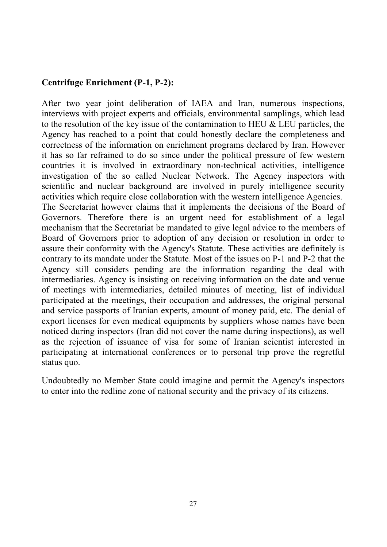#### **Centrifuge Enrichment (P-1, P-2):**

After two year joint deliberation of IAEA and Iran, numerous inspections, interviews with project experts and officials, environmental samplings, which lead to the resolution of the key issue of the contamination to HEU & LEU particles, the Agency has reached to a point that could honestly declare the completeness and correctness of the information on enrichment programs declared by Iran. However it has so far refrained to do so since under the political pressure of few western countries it is involved in extraordinary non-technical activities, intelligence investigation of the so called Nuclear Network. The Agency inspectors with scientific and nuclear background are involved in purely intelligence security activities which require close collaboration with the western intelligence Agencies. The Secretariat however claims that it implements the decisions of the Board of Governors. Therefore there is an urgent need for establishment of a legal mechanism that the Secretariat be mandated to give legal advice to the members of Board of Governors prior to adoption of any decision or resolution in order to assure their conformity with the Agency's Statute. These activities are definitely is contrary to its mandate under the Statute. Most of the issues on P-1 and P-2 that the Agency still considers pending are the information regarding the deal with intermediaries. Agency is insisting on receiving information on the date and venue of meetings with intermediaries, detailed minutes of meeting, list of individual participated at the meetings, their occupation and addresses, the original personal and service passports of Iranian experts, amount of money paid, etc. The denial of export licenses for even medical equipments by suppliers whose names have been noticed during inspectors (Iran did not cover the name during inspections), as well as the rejection of issuance of visa for some of Iranian scientist interested in participating at international conferences or to personal trip prove the regretful status quo.

Undoubtedly no Member State could imagine and permit the Agency's inspectors to enter into the redline zone of national security and the privacy of its citizens.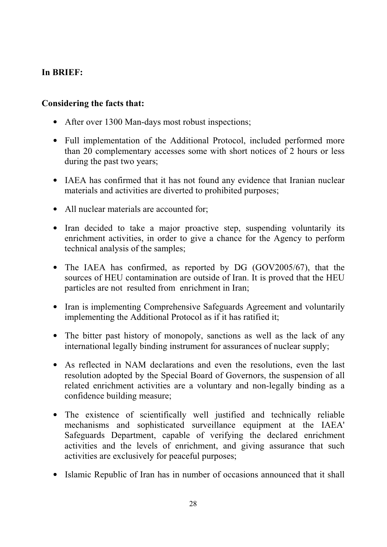#### **In BRIEF:**

#### **Considering the facts that:**

- After over 1300 Man-days most robust inspections;
- Full implementation of the Additional Protocol, included performed more than 20 complementary accesses some with short notices of 2 hours or less during the past two years;
- IAEA has confirmed that it has not found any evidence that Iranian nuclear materials and activities are diverted to prohibited purposes;
- All nuclear materials are accounted for;
- Iran decided to take a major proactive step, suspending voluntarily its enrichment activities, in order to give a chance for the Agency to perform technical analysis of the samples;
- The IAEA has confirmed, as reported by DG (GOV2005/67), that the sources of HEU contamination are outside of Iran. It is proved that the HEU particles are not resulted from enrichment in Iran;
- Iran is implementing Comprehensive Safeguards Agreement and voluntarily implementing the Additional Protocol as if it has ratified it;
- The bitter past history of monopoly, sanctions as well as the lack of any international legally binding instrument for assurances of nuclear supply;
- As reflected in NAM declarations and even the resolutions, even the last resolution adopted by the Special Board of Governors, the suspension of all related enrichment activities are a voluntary and non-legally binding as a confidence building measure;
- The existence of scientifically well justified and technically reliable mechanisms and sophisticated surveillance equipment at the IAEA' Safeguards Department, capable of verifying the declared enrichment activities and the levels of enrichment, and giving assurance that such activities are exclusively for peaceful purposes;
- Islamic Republic of Iran has in number of occasions announced that it shall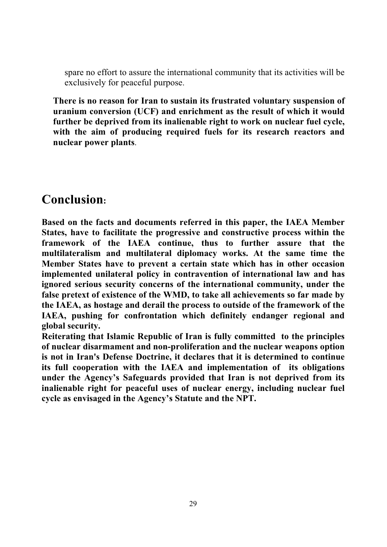spare no effort to assure the international community that its activities will be exclusively for peaceful purpose.

**There is no reason for Iran to sustain its frustrated voluntary suspension of uranium conversion (UCF) and enrichment as the result of which it would further be deprived from its inalienable right to work on nuclear fuel cycle, with the aim of producing required fuels for its research reactors and nuclear power plants**.

### **Conclusion:**

**Based on the facts and documents referred in this paper, the IAEA Member States, have to facilitate the progressive and constructive process within the framework of the IAEA continue, thus to further assure that the multilateralism and multilateral diplomacy works. At the same time the Member States have to prevent a certain state which has in other occasion implemented unilateral policy in contravention of international law and has ignored serious security concerns of the international community, under the false pretext of existence of the WMD, to take all achievements so far made by the IAEA, as hostage and derail the process to outside of the framework of the IAEA, pushing for confrontation which definitely endanger regional and global security.** 

**Reiterating that Islamic Republic of Iran is fully committed to the principles of nuclear disarmament and non-proliferation and the nuclear weapons option is not in Iran's Defense Doctrine, it declares that it is determined to continue its full cooperation with the IAEA and implementation of its obligations under the Agency's Safeguards provided that Iran is not deprived from its inalienable right for peaceful uses of nuclear energy, including nuclear fuel cycle as envisaged in the Agency's Statute and the NPT.**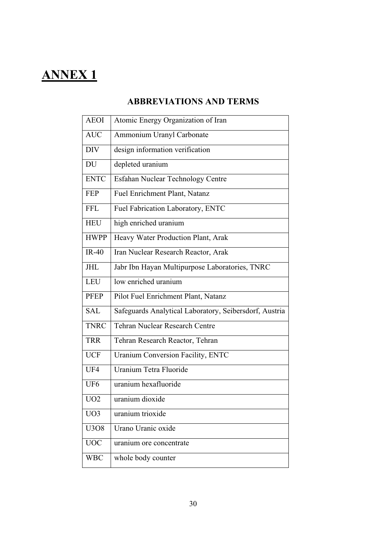# **ANNEX 1**

#### **ABBREVIATIONS AND TERMS**

| <b>AEOI</b>     | Atomic Energy Organization of Iran                     |
|-----------------|--------------------------------------------------------|
| <b>AUC</b>      | Ammonium Uranyl Carbonate                              |
| DIV             | design information verification                        |
| DU              | depleted uranium                                       |
| <b>ENTC</b>     | Esfahan Nuclear Technology Centre                      |
| <b>FEP</b>      | Fuel Enrichment Plant, Natanz                          |
| <b>FFL</b>      | Fuel Fabrication Laboratory, ENTC                      |
| <b>HEU</b>      | high enriched uranium                                  |
| <b>HWPP</b>     | Heavy Water Production Plant, Arak                     |
| $IR-40$         | Iran Nuclear Research Reactor, Arak                    |
| JHL             | Jabr Ibn Hayan Multipurpose Laboratories, TNRC         |
| LEU             | low enriched uranium                                   |
| <b>PFEP</b>     | Pilot Fuel Enrichment Plant, Natanz                    |
| <b>SAL</b>      | Safeguards Analytical Laboratory, Seibersdorf, Austria |
| <b>TNRC</b>     | <b>Tehran Nuclear Research Centre</b>                  |
| <b>TRR</b>      | Tehran Research Reactor, Tehran                        |
| <b>UCF</b>      | Uranium Conversion Facility, ENTC                      |
| UF4             | Uranium Tetra Fluoride                                 |
| UF <sub>6</sub> | uranium hexafluoride                                   |
| UO2             | uranium dioxide                                        |
| UO3             | uranium trioxide                                       |
| U3O8            | Urano Uranic oxide                                     |
| <b>UOC</b>      | uranium ore concentrate                                |
| WBC             | whole body counter                                     |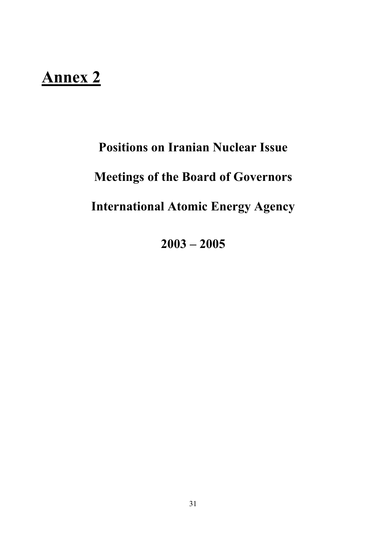# **Annex 2**

# **Positions on Iranian Nuclear Issue**

# **Meetings of the Board of Governors**

# **International Atomic Energy Agency**

**2003 – 2005**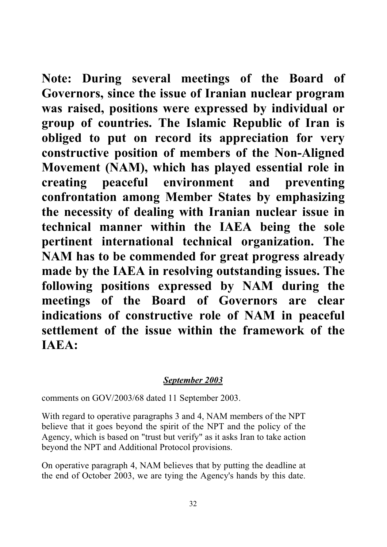**Note: During several meetings of the Board of Governors, since the issue of Iranian nuclear program was raised, positions were expressed by individual or group of countries. The Islamic Republic of Iran is obliged to put on record its appreciation for very constructive position of members of the Non-Aligned Movement (NAM), which has played essential role in creating peaceful environment and preventing confrontation among Member States by emphasizing the necessity of dealing with Iranian nuclear issue in technical manner within the IAEA being the sole pertinent international technical organization. The NAM has to be commended for great progress already made by the IAEA in resolving outstanding issues. The following positions expressed by NAM during the meetings of the Board of Governors are clear indications of constructive role of NAM in peaceful settlement of the issue within the framework of the IAEA:**

#### *September 2003*

comments on GOV/2003/68 dated 11 September 2003.

With regard to operative paragraphs 3 and 4, NAM members of the NPT believe that it goes beyond the spirit of the NPT and the policy of the Agency, which is based on "trust but verify" as it asks Iran to take action beyond the NPT and Additional Protocol provisions.

On operative paragraph 4, NAM believes that by putting the deadline at the end of October 2003, we are tying the Agency's hands by this date.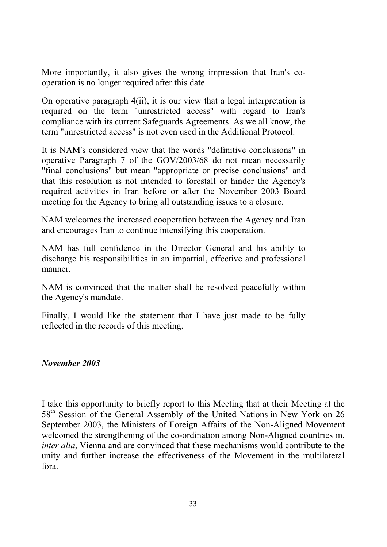More importantly, it also gives the wrong impression that Iran's cooperation is no longer required after this date.

On operative paragraph 4(ii), it is our view that a legal interpretation is required on the term "unrestricted access" with regard to Iran's compliance with its current Safeguards Agreements. As we all know, the term "unrestricted access" is not even used in the Additional Protocol.

It is NAM's considered view that the words "definitive conclusions" in operative Paragraph 7 of the GOV/2003/68 do not mean necessarily "final conclusions" but mean "appropriate or precise conclusions" and that this resolution is not intended to forestall or hinder the Agency's required activities in Iran before or after the November 2003 Board meeting for the Agency to bring all outstanding issues to a closure.

NAM welcomes the increased cooperation between the Agency and Iran and encourages Iran to continue intensifying this cooperation.

NAM has full confidence in the Director General and his ability to discharge his responsibilities in an impartial, effective and professional manner.

NAM is convinced that the matter shall be resolved peacefully within the Agency's mandate.

Finally, I would like the statement that I have just made to be fully reflected in the records of this meeting.

#### *November 2003*

I take this opportunity to briefly report to this Meeting that at their Meeting at the 58<sup>th</sup> Session of the General Assembly of the United Nations in New York on 26 September 2003, the Ministers of Foreign Affairs of the Non-Aligned Movement welcomed the strengthening of the co-ordination among Non-Aligned countries in, *inter alia*, Vienna and are convinced that these mechanisms would contribute to the unity and further increase the effectiveness of the Movement in the multilateral fora.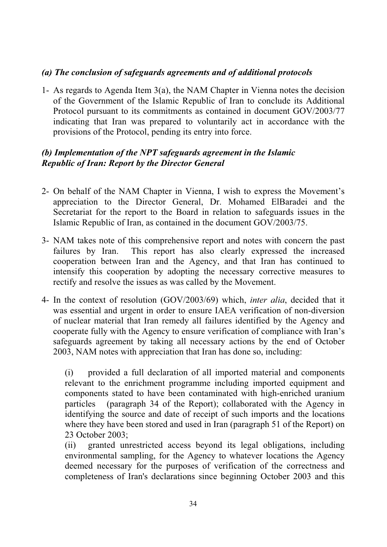#### *(a) The conclusion of safeguards agreements and of additional protocols*

1- As regards to Agenda Item 3(a), the NAM Chapter in Vienna notes the decision of the Government of the Islamic Republic of Iran to conclude its Additional Protocol pursuant to its commitments as contained in document GOV/2003/77 indicating that Iran was prepared to voluntarily act in accordance with the provisions of the Protocol, pending its entry into force.

#### *(b) Implementation of the NPT safeguards agreement in the Islamic Republic of Iran: Report by the Director General*

- 2- On behalf of the NAM Chapter in Vienna, I wish to express the Movement's appreciation to the Director General, Dr. Mohamed ElBaradei and the Secretariat for the report to the Board in relation to safeguards issues in the Islamic Republic of Iran, as contained in the document GOV/2003/75.
- 3- NAM takes note of this comprehensive report and notes with concern the past failures by Iran. This report has also clearly expressed the increased cooperation between Iran and the Agency, and that Iran has continued to intensify this cooperation by adopting the necessary corrective measures to rectify and resolve the issues as was called by the Movement.
- 4- In the context of resolution (GOV/2003/69) which, *inter alia*, decided that it was essential and urgent in order to ensure IAEA verification of non-diversion of nuclear material that Iran remedy all failures identified by the Agency and cooperate fully with the Agency to ensure verification of compliance with Iran's safeguards agreement by taking all necessary actions by the end of October 2003, NAM notes with appreciation that Iran has done so, including:

(i) provided a full declaration of all imported material and components relevant to the enrichment programme including imported equipment and components stated to have been contaminated with high-enriched uranium particles (paragraph 34 of the Report); collaborated with the Agency in identifying the source and date of receipt of such imports and the locations where they have been stored and used in Iran (paragraph 51 of the Report) on 23 October 2003;

(ii) granted unrestricted access beyond its legal obligations, including environmental sampling, for the Agency to whatever locations the Agency deemed necessary for the purposes of verification of the correctness and completeness of Iran's declarations since beginning October 2003 and this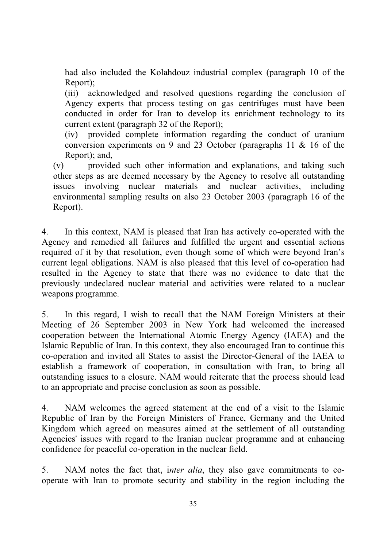had also included the Kolahdouz industrial complex (paragraph 10 of the Report);

(iii) acknowledged and resolved questions regarding the conclusion of Agency experts that process testing on gas centrifuges must have been conducted in order for Iran to develop its enrichment technology to its current extent (paragraph 32 of the Report);

(iv) provided complete information regarding the conduct of uranium conversion experiments on 9 and 23 October (paragraphs 11 & 16 of the Report); and,

(v) provided such other information and explanations, and taking such other steps as are deemed necessary by the Agency to resolve all outstanding issues involving nuclear materials and nuclear activities, including environmental sampling results on also 23 October 2003 (paragraph 16 of the Report).

4. In this context, NAM is pleased that Iran has actively co-operated with the Agency and remedied all failures and fulfilled the urgent and essential actions required of it by that resolution, even though some of which were beyond Iran's current legal obligations. NAM is also pleased that this level of co-operation had resulted in the Agency to state that there was no evidence to date that the previously undeclared nuclear material and activities were related to a nuclear weapons programme.

5. In this regard, I wish to recall that the NAM Foreign Ministers at their Meeting of 26 September 2003 in New York had welcomed the increased cooperation between the International Atomic Energy Agency (IAEA) and the Islamic Republic of Iran. In this context, they also encouraged Iran to continue this co-operation and invited all States to assist the Director-General of the IAEA to establish a framework of cooperation, in consultation with Iran, to bring all outstanding issues to a closure. NAM would reiterate that the process should lead to an appropriate and precise conclusion as soon as possible.

4. NAM welcomes the agreed statement at the end of a visit to the Islamic Republic of Iran by the Foreign Ministers of France, Germany and the United Kingdom which agreed on measures aimed at the settlement of all outstanding Agencies' issues with regard to the Iranian nuclear programme and at enhancing confidence for peaceful co-operation in the nuclear field.

5. NAM notes the fact that, i*nter alia*, they also gave commitments to cooperate with Iran to promote security and stability in the region including the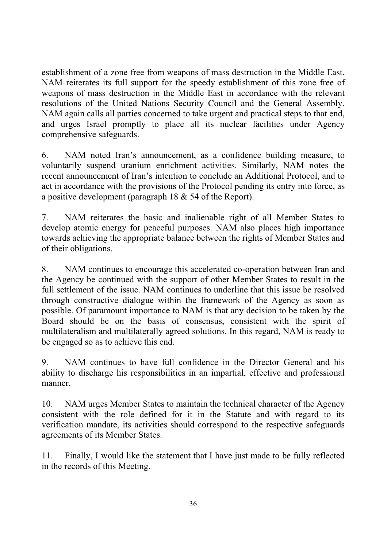establishment of a zone free from weapons of mass destruction in the Middle East. NAM reiterates its full support for the speedy establishment of this zone free of weapons of mass destruction in the Middle East in accordance with the relevant resolutions of the United Nations Security Council and the General Assembly. NAM again calls all parties concerned to take urgent and practical steps to that end, and urges Israel promptly to place all its nuclear facilities under Agency comprehensive safeguards.

6. NAM noted Iran's announcement, as a confidence building measure, to voluntarily suspend uranium enrichment activities. Similarly, NAM notes the recent announcement of Iran's intention to conclude an Additional Protocol, and to act in accordance with the provisions of the Protocol pending its entry into force, as a positive development (paragraph 18 & 54 of the Report).

7. NAM reiterates the basic and inalienable right of all Member States to develop atomic energy for peaceful purposes. NAM also places high importance towards achieving the appropriate balance between the rights of Member States and of their obligations.

8. NAM continues to encourage this accelerated co-operation between Iran and the Agency be continued with the support of other Member States to result in the full settlement of the issue. NAM continues to underline that this issue be resolved through constructive dialogue within the framework of the Agency as soon as possible. Of paramount importance to NAM is that any decision to be taken by the Board should be on the basis of consensus, consistent with the spirit of multilateralism and multilaterally agreed solutions. In this regard, NAM is ready to be engaged so as to achieve this end.

9. NAM continues to have full confidence in the Director General and his ability to discharge his responsibilities in an impartial, effective and professional manner.

10. NAM urges Member States to maintain the technical character of the Agency consistent with the role defined for it in the Statute and with regard to its verification mandate, its activities should correspond to the respective safeguards agreements of its Member States.

11. Finally, I would like the statement that I have just made to be fully reflected in the records of this Meeting.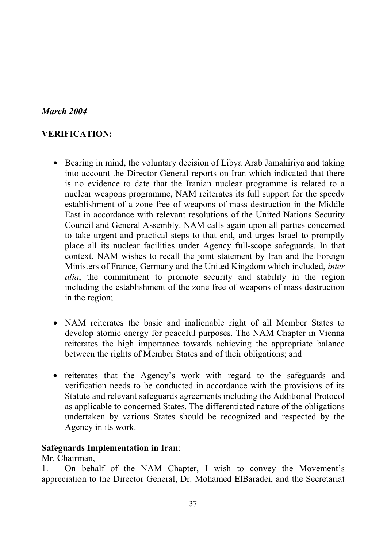## *March 2004*

## **VERIFICATION:**

- Bearing in mind, the voluntary decision of Libya Arab Jamahiriya and taking into account the Director General reports on Iran which indicated that there is no evidence to date that the Iranian nuclear programme is related to a nuclear weapons programme, NAM reiterates its full support for the speedy establishment of a zone free of weapons of mass destruction in the Middle East in accordance with relevant resolutions of the United Nations Security Council and General Assembly. NAM calls again upon all parties concerned to take urgent and practical steps to that end, and urges Israel to promptly place all its nuclear facilities under Agency full-scope safeguards. In that context, NAM wishes to recall the joint statement by Iran and the Foreign Ministers of France, Germany and the United Kingdom which included, *inter alia*, the commitment to promote security and stability in the region including the establishment of the zone free of weapons of mass destruction in the region;
- NAM reiterates the basic and inalienable right of all Member States to develop atomic energy for peaceful purposes. The NAM Chapter in Vienna reiterates the high importance towards achieving the appropriate balance between the rights of Member States and of their obligations; and
- reiterates that the Agency's work with regard to the safeguards and verification needs to be conducted in accordance with the provisions of its Statute and relevant safeguards agreements including the Additional Protocol as applicable to concerned States. The differentiated nature of the obligations undertaken by various States should be recognized and respected by the Agency in its work.

#### **Safeguards Implementation in Iran**:

Mr. Chairman,

1. On behalf of the NAM Chapter, I wish to convey the Movement's appreciation to the Director General, Dr. Mohamed ElBaradei, and the Secretariat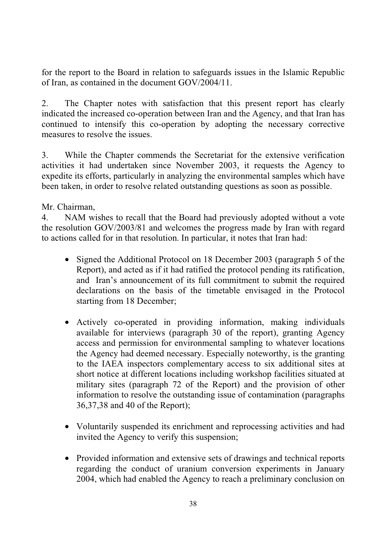for the report to the Board in relation to safeguards issues in the Islamic Republic of Iran, as contained in the document GOV/2004/11.

2. The Chapter notes with satisfaction that this present report has clearly indicated the increased co-operation between Iran and the Agency, and that Iran has continued to intensify this co-operation by adopting the necessary corrective measures to resolve the issues.

3. While the Chapter commends the Secretariat for the extensive verification activities it had undertaken since November 2003, it requests the Agency to expedite its efforts, particularly in analyzing the environmental samples which have been taken, in order to resolve related outstanding questions as soon as possible.

Mr. Chairman,

4. NAM wishes to recall that the Board had previously adopted without a vote the resolution GOV/2003/81 and welcomes the progress made by Iran with regard to actions called for in that resolution. In particular, it notes that Iran had:

- Signed the Additional Protocol on 18 December 2003 (paragraph 5 of the Report), and acted as if it had ratified the protocol pending its ratification, and Iran's announcement of its full commitment to submit the required declarations on the basis of the timetable envisaged in the Protocol starting from 18 December;
- Actively co-operated in providing information, making individuals available for interviews (paragraph 30 of the report), granting Agency access and permission for environmental sampling to whatever locations the Agency had deemed necessary. Especially noteworthy, is the granting to the IAEA inspectors complementary access to six additional sites at short notice at different locations including workshop facilities situated at military sites (paragraph 72 of the Report) and the provision of other information to resolve the outstanding issue of contamination (paragraphs 36,37,38 and 40 of the Report);
- Voluntarily suspended its enrichment and reprocessing activities and had invited the Agency to verify this suspension;
- Provided information and extensive sets of drawings and technical reports regarding the conduct of uranium conversion experiments in January 2004, which had enabled the Agency to reach a preliminary conclusion on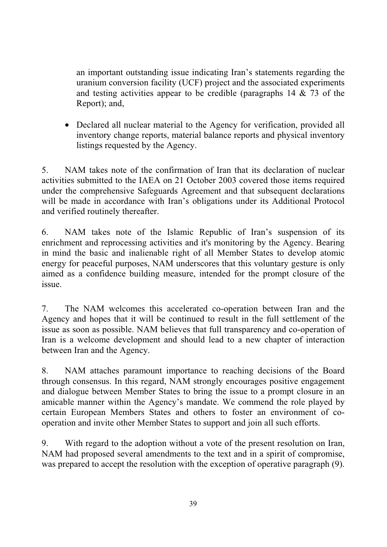an important outstanding issue indicating Iran's statements regarding the uranium conversion facility (UCF) project and the associated experiments and testing activities appear to be credible (paragraphs 14 & 73 of the Report); and,

• Declared all nuclear material to the Agency for verification, provided all inventory change reports, material balance reports and physical inventory listings requested by the Agency.

5. NAM takes note of the confirmation of Iran that its declaration of nuclear activities submitted to the IAEA on 21 October 2003 covered those items required under the comprehensive Safeguards Agreement and that subsequent declarations will be made in accordance with Iran's obligations under its Additional Protocol and verified routinely thereafter.

6. NAM takes note of the Islamic Republic of Iran's suspension of its enrichment and reprocessing activities and it's monitoring by the Agency. Bearing in mind the basic and inalienable right of all Member States to develop atomic energy for peaceful purposes, NAM underscores that this voluntary gesture is only aimed as a confidence building measure, intended for the prompt closure of the issue.

7. The NAM welcomes this accelerated co-operation between Iran and the Agency and hopes that it will be continued to result in the full settlement of the issue as soon as possible. NAM believes that full transparency and co-operation of Iran is a welcome development and should lead to a new chapter of interaction between Iran and the Agency.

8. NAM attaches paramount importance to reaching decisions of the Board through consensus. In this regard, NAM strongly encourages positive engagement and dialogue between Member States to bring the issue to a prompt closure in an amicable manner within the Agency's mandate. We commend the role played by certain European Members States and others to foster an environment of cooperation and invite other Member States to support and join all such efforts.

9. With regard to the adoption without a vote of the present resolution on Iran, NAM had proposed several amendments to the text and in a spirit of compromise, was prepared to accept the resolution with the exception of operative paragraph (9).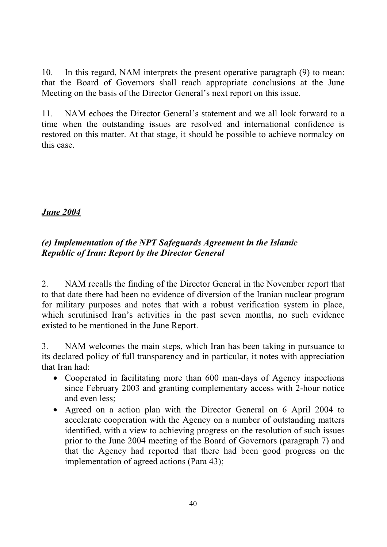10. In this regard, NAM interprets the present operative paragraph (9) to mean: that the Board of Governors shall reach appropriate conclusions at the June Meeting on the basis of the Director General's next report on this issue.

11. NAM echoes the Director General's statement and we all look forward to a time when the outstanding issues are resolved and international confidence is restored on this matter. At that stage, it should be possible to achieve normalcy on this case.

## *June 2004*

## *(e) Implementation of the NPT Safeguards Agreement in the Islamic Republic of Iran: Report by the Director General*

2. NAM recalls the finding of the Director General in the November report that to that date there had been no evidence of diversion of the Iranian nuclear program for military purposes and notes that with a robust verification system in place, which scrutinised Iran's activities in the past seven months, no such evidence existed to be mentioned in the June Report.

3. NAM welcomes the main steps, which Iran has been taking in pursuance to its declared policy of full transparency and in particular, it notes with appreciation that Iran had:

- Cooperated in facilitating more than 600 man-days of Agency inspections since February 2003 and granting complementary access with 2-hour notice and even less;
- Agreed on a action plan with the Director General on 6 April 2004 to accelerate cooperation with the Agency on a number of outstanding matters identified, with a view to achieving progress on the resolution of such issues prior to the June 2004 meeting of the Board of Governors (paragraph 7) and that the Agency had reported that there had been good progress on the implementation of agreed actions (Para 43);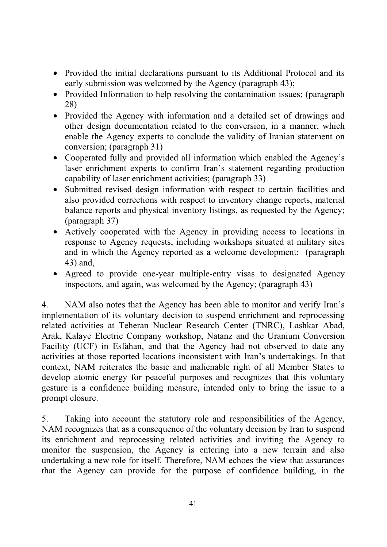- Provided the initial declarations pursuant to its Additional Protocol and its early submission was welcomed by the Agency (paragraph 43);
- Provided Information to help resolving the contamination issues; (paragraph 28)
- Provided the Agency with information and a detailed set of drawings and other design documentation related to the conversion, in a manner, which enable the Agency experts to conclude the validity of Iranian statement on conversion; (paragraph 31)
- Cooperated fully and provided all information which enabled the Agency's laser enrichment experts to confirm Iran's statement regarding production capability of laser enrichment activities; (paragraph 33)
- Submitted revised design information with respect to certain facilities and also provided corrections with respect to inventory change reports, material balance reports and physical inventory listings, as requested by the Agency; (paragraph 37)
- Actively cooperated with the Agency in providing access to locations in response to Agency requests, including workshops situated at military sites and in which the Agency reported as a welcome development; (paragraph 43) and,
- Agreed to provide one-year multiple-entry visas to designated Agency inspectors, and again, was welcomed by the Agency; (paragraph 43)

4. NAM also notes that the Agency has been able to monitor and verify Iran's implementation of its voluntary decision to suspend enrichment and reprocessing related activities at Teheran Nuclear Research Center (TNRC), Lashkar Abad, Arak, Kalaye Electric Company workshop, Natanz and the Uranium Conversion Facility (UCF) in Esfahan, and that the Agency had not observed to date any activities at those reported locations inconsistent with Iran's undertakings. In that context, NAM reiterates the basic and inalienable right of all Member States to develop atomic energy for peaceful purposes and recognizes that this voluntary gesture is a confidence building measure, intended only to bring the issue to a prompt closure.

5. Taking into account the statutory role and responsibilities of the Agency, NAM recognizes that as a consequence of the voluntary decision by Iran to suspend its enrichment and reprocessing related activities and inviting the Agency to monitor the suspension, the Agency is entering into a new terrain and also undertaking a new role for itself. Therefore, NAM echoes the view that assurances that the Agency can provide for the purpose of confidence building, in the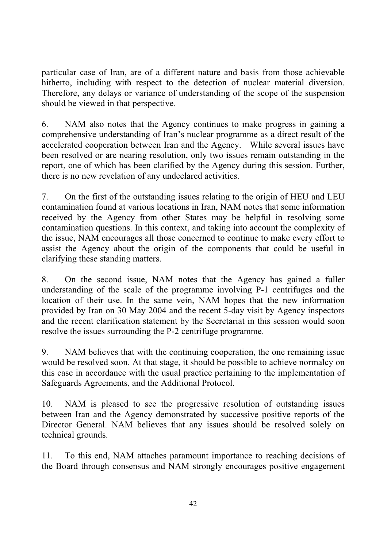particular case of Iran, are of a different nature and basis from those achievable hitherto, including with respect to the detection of nuclear material diversion. Therefore, any delays or variance of understanding of the scope of the suspension should be viewed in that perspective.

6. NAM also notes that the Agency continues to make progress in gaining a comprehensive understanding of Iran's nuclear programme as a direct result of the accelerated cooperation between Iran and the Agency. While several issues have been resolved or are nearing resolution, only two issues remain outstanding in the report, one of which has been clarified by the Agency during this session. Further, there is no new revelation of any undeclared activities.

7. On the first of the outstanding issues relating to the origin of HEU and LEU contamination found at various locations in Iran, NAM notes that some information received by the Agency from other States may be helpful in resolving some contamination questions. In this context, and taking into account the complexity of the issue, NAM encourages all those concerned to continue to make every effort to assist the Agency about the origin of the components that could be useful in clarifying these standing matters.

8. On the second issue, NAM notes that the Agency has gained a fuller understanding of the scale of the programme involving P-1 centrifuges and the location of their use. In the same vein, NAM hopes that the new information provided by Iran on 30 May 2004 and the recent 5-day visit by Agency inspectors and the recent clarification statement by the Secretariat in this session would soon resolve the issues surrounding the P-2 centrifuge programme.

9. NAM believes that with the continuing cooperation, the one remaining issue would be resolved soon. At that stage, it should be possible to achieve normalcy on this case in accordance with the usual practice pertaining to the implementation of Safeguards Agreements, and the Additional Protocol.

10. NAM is pleased to see the progressive resolution of outstanding issues between Iran and the Agency demonstrated by successive positive reports of the Director General. NAM believes that any issues should be resolved solely on technical grounds.

11. To this end, NAM attaches paramount importance to reaching decisions of the Board through consensus and NAM strongly encourages positive engagement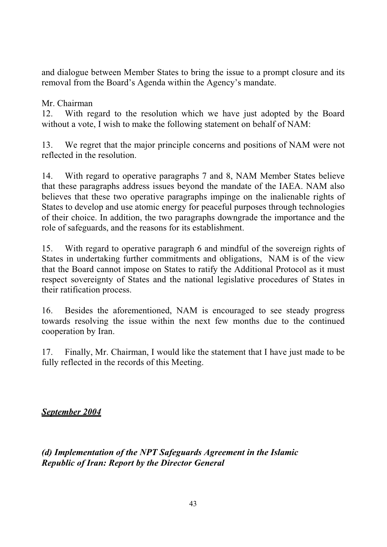and dialogue between Member States to bring the issue to a prompt closure and its removal from the Board's Agenda within the Agency's mandate.

### Mr. Chairman

12. With regard to the resolution which we have just adopted by the Board without a vote, I wish to make the following statement on behalf of NAM:

13. We regret that the major principle concerns and positions of NAM were not reflected in the resolution.

14. With regard to operative paragraphs 7 and 8, NAM Member States believe that these paragraphs address issues beyond the mandate of the IAEA. NAM also believes that these two operative paragraphs impinge on the inalienable rights of States to develop and use atomic energy for peaceful purposes through technologies of their choice. In addition, the two paragraphs downgrade the importance and the role of safeguards, and the reasons for its establishment.

15. With regard to operative paragraph 6 and mindful of the sovereign rights of States in undertaking further commitments and obligations, NAM is of the view that the Board cannot impose on States to ratify the Additional Protocol as it must respect sovereignty of States and the national legislative procedures of States in their ratification process.

16. Besides the aforementioned, NAM is encouraged to see steady progress towards resolving the issue within the next few months due to the continued cooperation by Iran.

17. Finally, Mr. Chairman, I would like the statement that I have just made to be fully reflected in the records of this Meeting.

*September 2004*

*(d) Implementation of the NPT Safeguards Agreement in the Islamic Republic of Iran: Report by the Director General*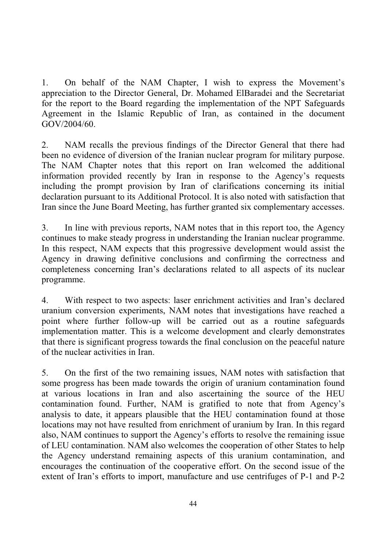1. On behalf of the NAM Chapter, I wish to express the Movement's appreciation to the Director General, Dr. Mohamed ElBaradei and the Secretariat for the report to the Board regarding the implementation of the NPT Safeguards Agreement in the Islamic Republic of Iran, as contained in the document GOV/2004/60.

2. NAM recalls the previous findings of the Director General that there had been no evidence of diversion of the Iranian nuclear program for military purpose. The NAM Chapter notes that this report on Iran welcomed the additional information provided recently by Iran in response to the Agency's requests including the prompt provision by Iran of clarifications concerning its initial declaration pursuant to its Additional Protocol. It is also noted with satisfaction that Iran since the June Board Meeting, has further granted six complementary accesses.

3. In line with previous reports, NAM notes that in this report too, the Agency continues to make steady progress in understanding the Iranian nuclear programme. In this respect, NAM expects that this progressive development would assist the Agency in drawing definitive conclusions and confirming the correctness and completeness concerning Iran's declarations related to all aspects of its nuclear programme.

4. With respect to two aspects: laser enrichment activities and Iran's declared uranium conversion experiments, NAM notes that investigations have reached a point where further follow-up will be carried out as a routine safeguards implementation matter. This is a welcome development and clearly demonstrates that there is significant progress towards the final conclusion on the peaceful nature of the nuclear activities in Iran.

5. On the first of the two remaining issues, NAM notes with satisfaction that some progress has been made towards the origin of uranium contamination found at various locations in Iran and also ascertaining the source of the HEU contamination found. Further, NAM is gratified to note that from Agency's analysis to date, it appears plausible that the HEU contamination found at those locations may not have resulted from enrichment of uranium by Iran. In this regard also, NAM continues to support the Agency's efforts to resolve the remaining issue of LEU contamination. NAM also welcomes the cooperation of other States to help the Agency understand remaining aspects of this uranium contamination, and encourages the continuation of the cooperative effort. On the second issue of the extent of Iran's efforts to import, manufacture and use centrifuges of P-1 and P-2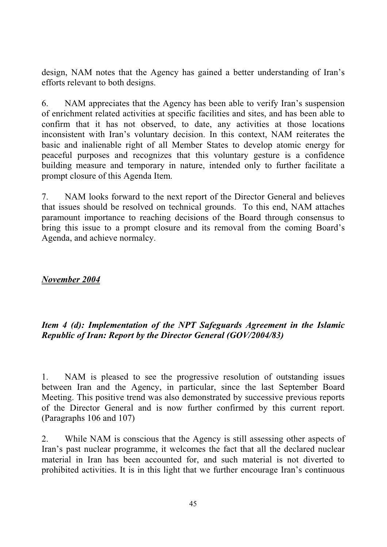design, NAM notes that the Agency has gained a better understanding of Iran's efforts relevant to both designs.

6. NAM appreciates that the Agency has been able to verify Iran's suspension of enrichment related activities at specific facilities and sites, and has been able to confirm that it has not observed, to date, any activities at those locations inconsistent with Iran's voluntary decision. In this context, NAM reiterates the basic and inalienable right of all Member States to develop atomic energy for peaceful purposes and recognizes that this voluntary gesture is a confidence building measure and temporary in nature, intended only to further facilitate a prompt closure of this Agenda Item.

7. NAM looks forward to the next report of the Director General and believes that issues should be resolved on technical grounds. To this end, NAM attaches paramount importance to reaching decisions of the Board through consensus to bring this issue to a prompt closure and its removal from the coming Board's Agenda, and achieve normalcy.

#### *November 2004*

## *Item 4 (d): Implementation of the NPT Safeguards Agreement in the Islamic Republic of Iran: Report by the Director General (GOV/2004/83)*

1. NAM is pleased to see the progressive resolution of outstanding issues between Iran and the Agency, in particular, since the last September Board Meeting. This positive trend was also demonstrated by successive previous reports of the Director General and is now further confirmed by this current report. (Paragraphs 106 and 107)

2. While NAM is conscious that the Agency is still assessing other aspects of Iran's past nuclear programme, it welcomes the fact that all the declared nuclear material in Iran has been accounted for, and such material is not diverted to prohibited activities. It is in this light that we further encourage Iran's continuous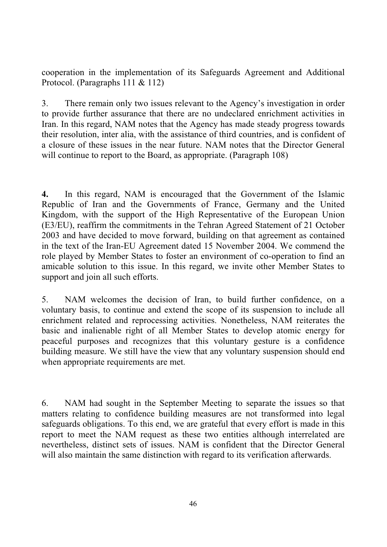cooperation in the implementation of its Safeguards Agreement and Additional Protocol. (Paragraphs 111 & 112)

3. There remain only two issues relevant to the Agency's investigation in order to provide further assurance that there are no undeclared enrichment activities in Iran. In this regard, NAM notes that the Agency has made steady progress towards their resolution, inter alia, with the assistance of third countries, and is confident of a closure of these issues in the near future. NAM notes that the Director General will continue to report to the Board, as appropriate. (Paragraph 108)

**4.** In this regard, NAM is encouraged that the Government of the Islamic Republic of Iran and the Governments of France, Germany and the United Kingdom, with the support of the High Representative of the European Union (E3/EU), reaffirm the commitments in the Tehran Agreed Statement of 21 October 2003 and have decided to move forward, building on that agreement as contained in the text of the Iran-EU Agreement dated 15 November 2004. We commend the role played by Member States to foster an environment of co-operation to find an amicable solution to this issue. In this regard, we invite other Member States to support and join all such efforts.

5. NAM welcomes the decision of Iran, to build further confidence, on a voluntary basis, to continue and extend the scope of its suspension to include all enrichment related and reprocessing activities. Nonetheless, NAM reiterates the basic and inalienable right of all Member States to develop atomic energy for peaceful purposes and recognizes that this voluntary gesture is a confidence building measure. We still have the view that any voluntary suspension should end when appropriate requirements are met.

6. NAM had sought in the September Meeting to separate the issues so that matters relating to confidence building measures are not transformed into legal safeguards obligations. To this end, we are grateful that every effort is made in this report to meet the NAM request as these two entities although interrelated are nevertheless, distinct sets of issues. NAM is confident that the Director General will also maintain the same distinction with regard to its verification afterwards.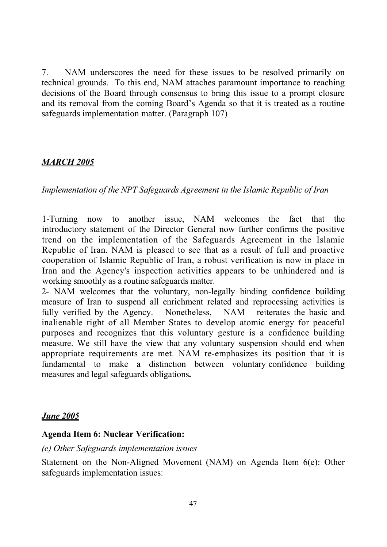7. NAM underscores the need for these issues to be resolved primarily on technical grounds. To this end, NAM attaches paramount importance to reaching decisions of the Board through consensus to bring this issue to a prompt closure and its removal from the coming Board's Agenda so that it is treated as a routine safeguards implementation matter. (Paragraph 107)

### *MARCH 2005*

*Implementation of the NPT Safeguards Agreement in the Islamic Republic of Iran*

1-Turning now to another issue, NAM welcomes the fact that the introductory statement of the Director General now further confirms the positive trend on the implementation of the Safeguards Agreement in the Islamic Republic of Iran. NAM is pleased to see that as a result of full and proactive cooperation of Islamic Republic of Iran, a robust verification is now in place in Iran and the Agency's inspection activities appears to be unhindered and is working smoothly as a routine safeguards matter.

2- NAM welcomes that the voluntary, non-legally binding confidence building measure of Iran to suspend all enrichment related and reprocessing activities is fully verified by the Agency. Nonetheless, NAM reiterates the basic and inalienable right of all Member States to develop atomic energy for peaceful purposes and recognizes that this voluntary gesture is a confidence building measure. We still have the view that any voluntary suspension should end when appropriate requirements are met. NAM re-emphasizes its position that it is fundamental to make a distinction between voluntary confidence building measures and legal safeguards obligations**.**

#### *June 2005*

#### **Agenda Item 6: Nuclear Verification:**

#### *(e) Other Safeguards implementation issues*

Statement on the Non-Aligned Movement (NAM) on Agenda Item 6(e): Other safeguards implementation issues: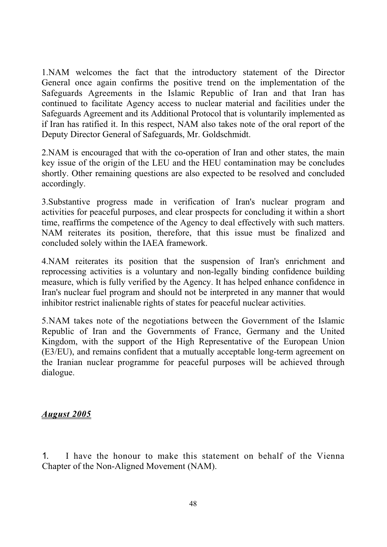1.NAM welcomes the fact that the introductory statement of the Director General once again confirms the positive trend on the implementation of the Safeguards Agreements in the Islamic Republic of Iran and that Iran has continued to facilitate Agency access to nuclear material and facilities under the Safeguards Agreement and its Additional Protocol that is voluntarily implemented as if Iran has ratified it. In this respect, NAM also takes note of the oral report of the Deputy Director General of Safeguards, Mr. Goldschmidt.

2.NAM is encouraged that with the co-operation of Iran and other states, the main key issue of the origin of the LEU and the HEU contamination may be concludes shortly. Other remaining questions are also expected to be resolved and concluded accordingly.

3.Substantive progress made in verification of Iran's nuclear program and activities for peaceful purposes, and clear prospects for concluding it within a short time, reaffirms the competence of the Agency to deal effectively with such matters. NAM reiterates its position, therefore, that this issue must be finalized and concluded solely within the IAEA framework.

4.NAM reiterates its position that the suspension of Iran's enrichment and reprocessing activities is a voluntary and non-legally binding confidence building measure, which is fully verified by the Agency. It has helped enhance confidence in Iran's nuclear fuel program and should not be interpreted in any manner that would inhibitor restrict inalienable rights of states for peaceful nuclear activities.

5.NAM takes note of the negotiations between the Government of the Islamic Republic of Iran and the Governments of France, Germany and the United Kingdom, with the support of the High Representative of the European Union (E3/EU), and remains confident that a mutually acceptable long-term agreement on the Iranian nuclear programme for peaceful purposes will be achieved through dialogue.

#### *August 2005*

1. I have the honour to make this statement on behalf of the Vienna Chapter of the Non-Aligned Movement (NAM).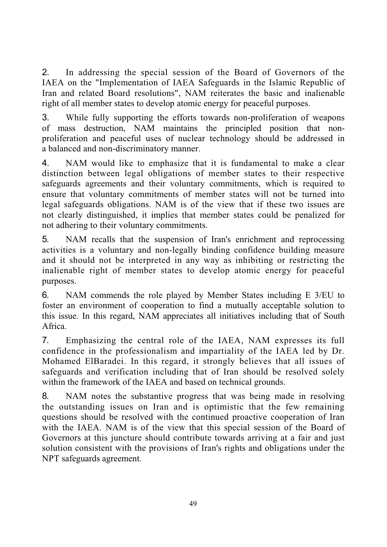2. In addressing the special session of the Board of Governors of the IAEA on the "Implementation of IAEA Safeguards in the Islamic Republic of Iran and related Board resolutions", NAM reiterates the basic and inalienable right of all member states to develop atomic energy for peaceful purposes.

3. While fully supporting the efforts towards non-proliferation of weapons of mass destruction, NAM maintains the principled position that nonproliferation and peaceful uses of nuclear technology should be addressed in a balanced and non-discriminatory manner.

4. NAM would like to emphasize that it is fundamental to make a clear distinction between legal obligations of member states to their respective safeguards agreements and their voluntary commitments, which is required to ensure that voluntary commitments of member states will not be turned into legal safeguards obligations. NAM is of the view that if these two issues are not clearly distinguished, it implies that member states could be penalized for not adhering to their voluntary commitments.

5. NAM recalls that the suspension of Iran's enrichment and reprocessing activities is a voluntary and non-legally binding confidence building measure and it should not be interpreted in any way as inhibiting or restricting the inalienable right of member states to develop atomic energy for peaceful purposes.

6. NAM commends the role played by Member States including E 3/EU to foster an environment of cooperation to find a mutually acceptable solution to this issue. In this regard, NAM appreciates all initiatives including that of South Africa.

7. Emphasizing the central role of the IAEA, NAM expresses its full confidence in the professionalism and impartiality of the IAEA led by Dr. Mohamed ElBaradei. In this regard, it strongly believes that all issues of safeguards and verification including that of Iran should be resolved solely within the framework of the IAEA and based on technical grounds.

8. NAM notes the substantive progress that was being made in resolving the outstanding issues on Iran and is optimistic that the few remaining questions should be resolved with the continued proactive cooperation of Iran with the IAEA. NAM is of the view that this special session of the Board of Governors at this juncture should contribute towards arriving at a fair and just solution consistent with the provisions of Iran's rights and obligations under the NPT safeguards agreement.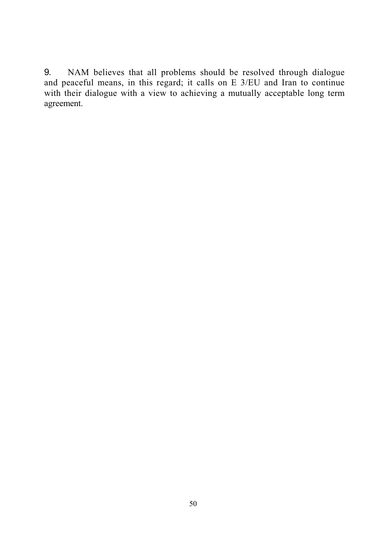9. NAM believes that all problems should be resolved through dialogue and peaceful means, in this regard; it calls on E 3/EU and Iran to continue with their dialogue with a view to achieving a mutually acceptable long term agreement.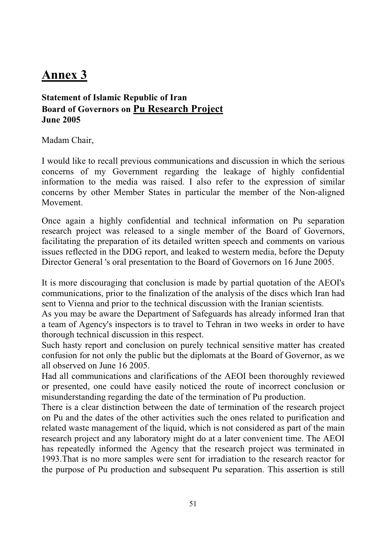# **Annex 3**

## **Statement of Islamic Republic of Iran Board of Governors on Pu Research Project June 2005**

Madam Chair,

I would like to recall previous communications and discussion in which the serious concerns of my Government regarding the leakage of highly confidential information to the media was raised. I also refer to the expression of similar concerns by other Member States in particular the member of the Non-aligned Movement.

Once again a highly confidential and technical information on Pu separation research project was released to a single member of the Board of Governors, facilitating the preparation of its detailed written speech and comments on various issues reflected in the DDG report, and leaked to western media, before the Deputy Director General 's oral presentation to the Board of Governors on 16 June 2005.

It is more discouraging that conclusion is made by partial quotation of the AEOI's communications, prior to the finalization of the analysis of the discs which Iran had sent to Vienna and prior to the technical discussion with the Iranian scientists.

As you may be aware the Department of Safeguards has already informed Iran that a team of Agency's inspectors is to travel to Tehran in two weeks in order to have thorough technical discussion in this respect.

Such hasty report and conclusion on purely technical sensitive matter has created confusion for not only the public but the diplomats at the Board of Governor, as we all observed on June 16 2005.

Had all communications and clarifications of the AEOI been thoroughly reviewed or presented, one could have easily noticed the route of incorrect conclusion or misunderstanding regarding the date of the termination of Pu production.

There is a clear distinction between the date of termination of the research project on Pu and the dates of the other activities such the ones related to purification and related waste management of the liquid, which is not considered as part of the main research project and any laboratory might do at a later convenient time. The AEOI has repeatedly informed the Agency that the research project was terminated in 1993.That is no more samples were sent for irradiation to the research reactor for the purpose of Pu production and subsequent Pu separation. This assertion is still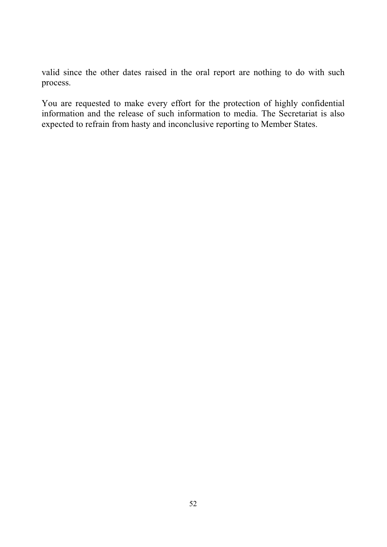valid since the other dates raised in the oral report are nothing to do with such process.

You are requested to make every effort for the protection of highly confidential information and the release of such information to media. The Secretariat is also expected to refrain from hasty and inconclusive reporting to Member States.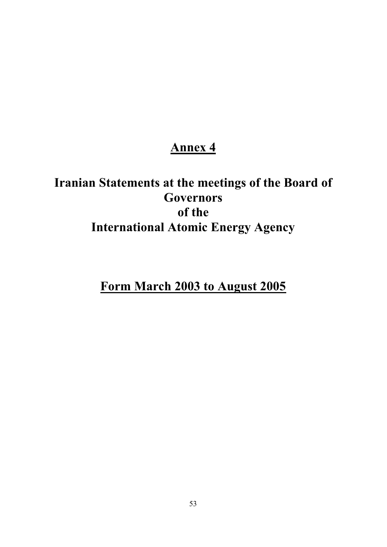## **Annex 4**

# **Iranian Statements at the meetings of the Board of Governors of the International Atomic Energy Agency**

**Form March 2003 to August 2005**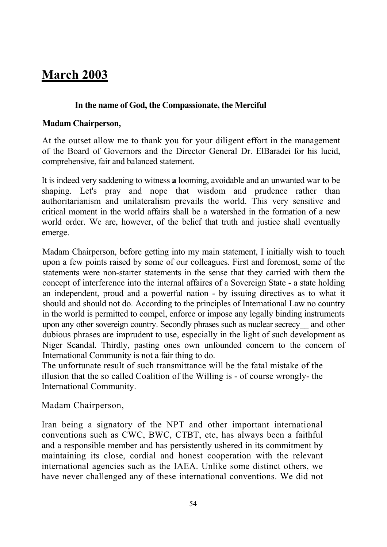# **March 2003**

#### **In the name of God, the Compassionate, the Merciful**

#### **Madam Chairperson,**

At the outset allow me to thank you for your diligent effort in the management of the Board of Governors and the Director General Dr. ElBaradei for his lucid, comprehensive, fair and balanced statement.

It is indeed very saddening to witness **a** looming, avoidable and an unwanted war to be shaping. Let's pray and nope that wisdom and prudence rather than authoritarianism and unilateralism prevails the world. This very sensitive and critical moment in the world affairs shall be a watershed in the formation of a new world order. We are, however, of the belief that truth and justice shall eventually emerge.

Madam Chairperson, before getting into my main statement, I initially wish to touch upon a few points raised by some of our colleagues. First and foremost, some of the statements were non-starter statements in the sense that they carried with them the concept of interference into the internal affaires of a Sovereign State - a state holding an independent, proud and a powerful nation - by issuing directives as to what it should and should not do. According to the principles of International Law no country in the world is permitted to compel, enforce or impose any legally binding instruments upon any other sovereign country. Secondly phrases such as nuclear secrecy\_\_ and other dubious phrases are imprudent to use, especially in the light of such development as Niger Scandal. Thirdly, pasting ones own unfounded concern to the concern of International Community is not a fair thing to do.

The unfortunate result of such transmittance will be the fatal mistake of the illusion that the so called Coalition of the Willing is - of course wrongly- the International Community.

Madam Chairperson,

Iran being a signatory of the NPT and other important international conventions such as CWC, BWC, CTBT, etc, has always been a faithful and a responsible member and has persistently ushered in its commitment by maintaining its close, cordial and honest cooperation with the relevant international agencies such as the IAEA. Unlike some distinct others, we have never challenged any of these international conventions. We did not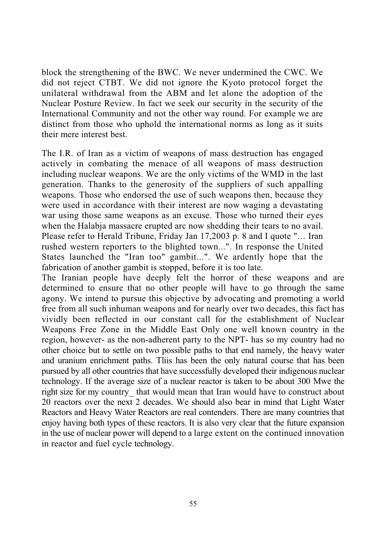block the strengthening of the BWC. We never undermined the CWC. We did not reject CTBT. We did not ignore the Kyoto protocol forget the unilateral withdrawal from the ABM and let alone the adoption of the Nuclear Posture Review. In fact we seek our security in the security of the International Community and not the other way round. For example we are distinct from those who uphold the international norms as long as it suits their mere interest best.

The I.R. of Iran as a victim of weapons of mass destruction has engaged actively in combating the menace of all weapons of mass destruction including nuclear weapons. We are the only victims of the WMD in the last generation. Thanks to the generosity of the suppliers of such appalling weapons. Those who endorsed the use of such weapons then, because they were used in accordance with their interest are now waging a devastating war using those same weapons as an excuse. Those who turned their eyes when the Halabja massacre erupted arc now shedding their tears to no avail. Please refer to Herald Tribune, Friday Jan 17,2003 p. 8 and I quote "... Iran rushed western reporters to the blighted town...". In response the United States launched the "Iran too" gambit...". We ardently hope that the fabrication of another gambit is stopped, before it is too late.

The Iranian people have deeply felt the horror of these weapons and are determined to ensure that no other people will have to go through the same agony. We intend to pursue this objective by advocating and promoting a world free from all such inhuman weapons and for nearly over two decades, this fact has vividly been reflected in our constant call for the establishment of Nuclear Weapons Free Zone in the Middle East Only one well known country in the region, however- as the non-adherent party to the NPT- has so my country had no other choice but to settle on two possible paths to that end namely, the heavy water and uranium enrichment paths. Tliis has been the only natural course that has been pursued by all other countries that have successfully developed their indigenous nuclear technology. If the average size of a nuclear reactor is taken to be about 300 Mwe the right size for my country that would mean that Iran would have to construct about 20 reactors over the next 2 decades. We should also bear in mind that Light Water Reactors and Heavy Water Reactors are real contenders. There are many countries that enjoy having both types of these reactors. It is also very clear that the future expansion in the use of nuclear power will depend to a large extent on the continued innovation in reactor and fuel cycle technology.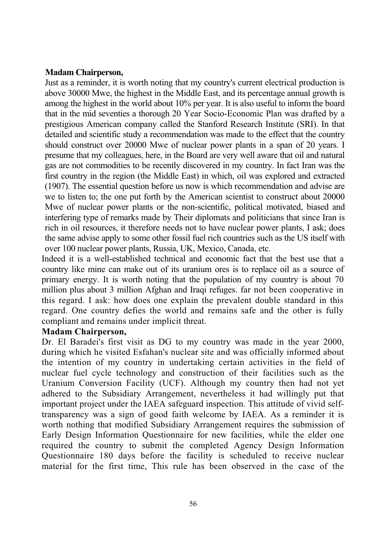#### **Madam Chairperson,**

Just as a reminder, it is worth noting that my country's current electrical production is above 30000 Mwe, the highest in the Middle East, and its percentage annual growth is among the highest in the world about 10% per year. It is also useful to inform the board that in the mid seventies a thorough 20 Year Socio-Economic Plan was drafted by a prestigious American company called the Stanford Research Institute (SRI). In that detailed and scientific study a recommendation was made to the effect that the country should construct over 20000 Mwe of nuclear power plants in a span of 20 years. I presume that my colleagues, here, in the Board are very well aware that oil and natural gas are not commodities to be recently discovered in my country. In fact Iran was the first country in the region (the Middle East) in which, oil was explored and extracted (1907). The essential question before us now is which recommendation and advise are we to listen to; the one put forth by the American scientist to construct about 20000 Mwe of nuclear power plants or the non-scientific, political motivated, biased and interfering type of remarks made by Their diplomats and politicians that since Iran is rich in oil resources, it therefore needs not to have nuclear power plants, I ask; does the same advise apply to some other fossil fuel rich countries such as the US itself with over 100 nuclear power plants, Russia, UK, Mexico, Canada, etc.

Indeed it is a well-established technical and economic fact that the best use that a country like mine can make out of its uranium ores is to replace oil as a source of primary energy. It is worth noting that the population of my country is about 70 million plus about 3 million Afghan and Iraqi refuges. far not been cooperative in this regard. I ask: how does one explain the prevalent double standard in this regard. One country defies the world and remains safe and the other is fully compliant and remains under implicit threat.

#### **Madam Chairperson,**

Dr. El Baradei's first visit as DG to my country was made in the year 2000, during which he visited Esfahan's nuclear site and was officially informed about the intention of my country in undertaking certain activities in the field of nuclear fuel cycle technology and construction of their facilities such as the Uranium Conversion Facility (UCF). Although my country then had not yet adhered to the Subsidiary Arrangement, nevertheless it had willingly put that important project under the IAEA safeguard inspection. This attitude of vivid selftransparency was a sign of good faith welcome by IAEA. As a reminder it is worth nothing that modified Subsidiary Arrangement requires the submission of Early Design Information Questionnaire for new facilities, while the elder one required the country to submit the completed Agency Design Information Questionnaire 180 days before the facility is scheduled to receive nuclear material for the first time, This rule has been observed in the case of the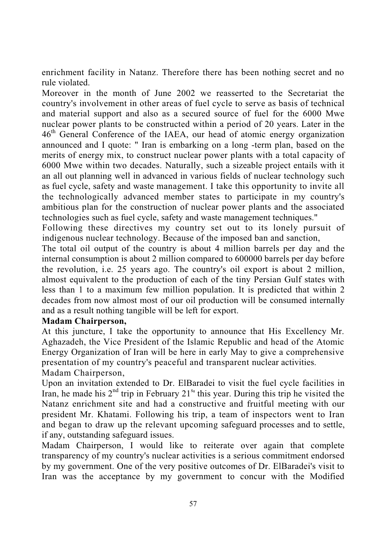enrichment facility in Natanz. Therefore there has been nothing secret and no rule violated.

Moreover in the month of June 2002 we reasserted to the Secretariat the country's involvement in other areas of fuel cycle to serve as basis of technical and material support and also as a secured source of fuel for the 6000 Mwe nuclear power plants to be constructed within a period of 20 years. Later in the 46<sup>th</sup> General Conference of the IAEA, our head of atomic energy organization announced and I quote: " Iran is embarking on a long -term plan, based on the merits of energy mix, to construct nuclear power plants with a total capacity of 6000 Mwe within two decades. Naturally, such a sizeable project entails with it an all out planning well in advanced in various fields of nuclear technology such as fuel cycle, safety and waste management. I take this opportunity to invite all the technologically advanced member states to participate in my country's ambitious plan for the construction of nuclear power plants and the associated technologies such as fuel cycle, safety and waste management techniques."

Following these directives my country set out to its lonely pursuit of indigenous nuclear technology. Because of the imposed ban and sanction,

The total oil output of the country is about 4 million barrels per day and the internal consumption is about 2 million compared to 600000 barrels per day before the revolution, i.e. 25 years ago. The country's oil export is about 2 million, almost equivalent to the production of each of the tiny Persian Gulf states with less than 1 to a maximum few million population. It is predicted that within 2 decades from now almost most of our oil production will be consumed internally and as a result nothing tangible will be left for export.

#### **Madam Chairperson,**

At this juncture, I take the opportunity to announce that His Excellency Mr. Aghazadeh, the Vice President of the Islamic Republic and head of the Atomic Energy Organization of Iran will be here in early May to give a comprehensive presentation of my country's peaceful and transparent nuclear activities. Madam Chairperson,

Upon an invitation extended to Dr. ElBaradei to visit the fuel cycle facilities in Iran, he made his  $2<sup>nd</sup>$  trip in February  $21<sup>s</sup>$  this year. During this trip he visited the Natanz enrichment site and had a constructive and fruitful meeting with our president Mr. Khatami. Following his trip, a team of inspectors went to Iran and began to draw up the relevant upcoming safeguard processes and to settle, if any, outstanding safeguard issues.

Madam Chairperson, I would like to reiterate over again that complete transparency of my country's nuclear activities is a serious commitment endorsed by my government. One of the very positive outcomes of Dr. ElBaradei's visit to Iran was the acceptance by my government to concur with the Modified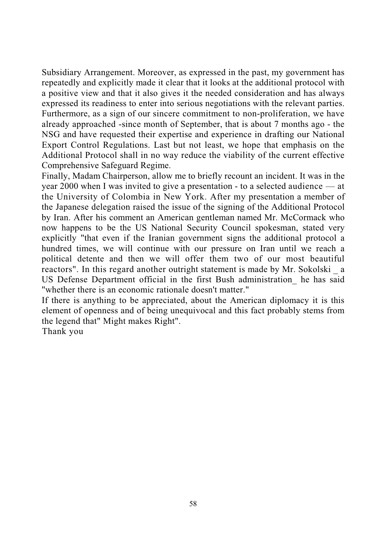Subsidiary Arrangement. Moreover, as expressed in the past, my government has repeatedly and explicitly made it clear that it looks at the additional protocol with a positive view and that it also gives it the needed consideration and has always expressed its readiness to enter into serious negotiations with the relevant parties. Furthermore, as a sign of our sincere commitment to non-proliferation, we have already approached -since month of September, that is about 7 months ago - the NSG and have requested their expertise and experience in drafting our National Export Control Regulations. Last but not least, we hope that emphasis on the Additional Protocol shall in no way reduce the viability of the current effective Comprehensive Safeguard Regime.

Finally, Madam Chairperson, allow me to briefly recount an incident. It was in the year 2000 when I was invited to give a presentation - to a selected audience — at the University of Colombia in New York. After my presentation a member of the Japanese delegation raised the issue of the signing of the Additional Protocol by Iran. After his comment an American gentleman named Mr. McCormack who now happens to be the US National Security Council spokesman, stated very explicitly "that even if the Iranian government signs the additional protocol a hundred times, we will continue with our pressure on Iran until we reach a political detente and then we will offer them two of our most beautiful reactors". In this regard another outright statement is made by Mr. Sokolski a US Defense Department official in the first Bush administration\_ he has said "whether there is an economic rationale doesn't matter."

If there is anything to be appreciated, about the American diplomacy it is this element of openness and of being unequivocal and this fact probably stems from the legend that" Might makes Right".

Thank you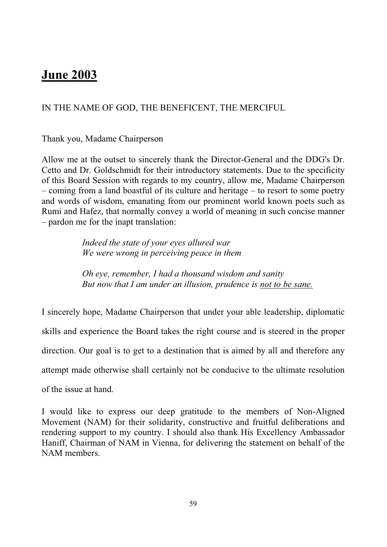## **June 2003**

### IN THE NAME OF GOD, THE BENEFICENT, THE MERCIFUL

Thank you, Madame Chairperson

Allow me at the outset to sincerely thank the Director-General and the DDG's Dr. Cetto and Dr. Goldschmidt for their introductory statements. Due to the specificity of this Board Session with regards to my country, allow me, Madame Chairperson – coming from a land boastful of its culture and heritage – to resort to some poetry and words of wisdom, emanating from our prominent world known poets such as Rumi and Hafez, that normally convey a world of meaning in such concise manner – pardon me for the inapt translation:

> *Indeed the state of your eyes allured war We were wrong in perceiving peace in them*

*Oh eye, remember, I had a thousand wisdom and sanity But now that I am under an illusion, prudence is not to be sane.*

I sincerely hope, Madame Chairperson that under your able leadership, diplomatic skills and experience the Board takes the right course and is steered in the proper direction. Our goal is to get to a destination that is aimed by all and therefore any attempt made otherwise shall certainly not be conducive to the ultimate resolution of the issue at hand.

I would like to express our deep gratitude to the members of Non-Aligned Movement (NAM) for their solidarity, constructive and fruitful deliberations and rendering support to my country. I should also thank His Excellency Ambassador Haniff, Chairman of NAM in Vienna, for delivering the statement on behalf of the NAM members.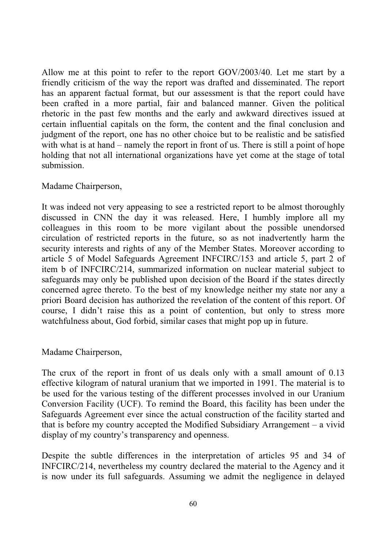Allow me at this point to refer to the report GOV/2003/40. Let me start by a friendly criticism of the way the report was drafted and disseminated. The report has an apparent factual format, but our assessment is that the report could have been crafted in a more partial, fair and balanced manner. Given the political rhetoric in the past few months and the early and awkward directives issued at certain influential capitals on the form, the content and the final conclusion and judgment of the report, one has no other choice but to be realistic and be satisfied with what is at hand – namely the report in front of us. There is still a point of hope holding that not all international organizations have yet come at the stage of total submission.

#### Madame Chairperson,

It was indeed not very appeasing to see a restricted report to be almost thoroughly discussed in CNN the day it was released. Here, I humbly implore all my colleagues in this room to be more vigilant about the possible unendorsed circulation of restricted reports in the future, so as not inadvertently harm the security interests and rights of any of the Member States. Moreover according to article 5 of Model Safeguards Agreement INFCIRC/153 and article 5, part 2 of item b of INFCIRC/214, summarized information on nuclear material subject to safeguards may only be published upon decision of the Board if the states directly concerned agree thereto. To the best of my knowledge neither my state nor any a priori Board decision has authorized the revelation of the content of this report. Of course, I didn't raise this as a point of contention, but only to stress more watchfulness about, God forbid, similar cases that might pop up in future.

#### Madame Chairperson,

The crux of the report in front of us deals only with a small amount of 0.13 effective kilogram of natural uranium that we imported in 1991. The material is to be used for the various testing of the different processes involved in our Uranium Conversion Facility (UCF). To remind the Board, this facility has been under the Safeguards Agreement ever since the actual construction of the facility started and that is before my country accepted the Modified Subsidiary Arrangement – a vivid display of my country's transparency and openness.

Despite the subtle differences in the interpretation of articles 95 and 34 of INFCIRC/214, nevertheless my country declared the material to the Agency and it is now under its full safeguards. Assuming we admit the negligence in delayed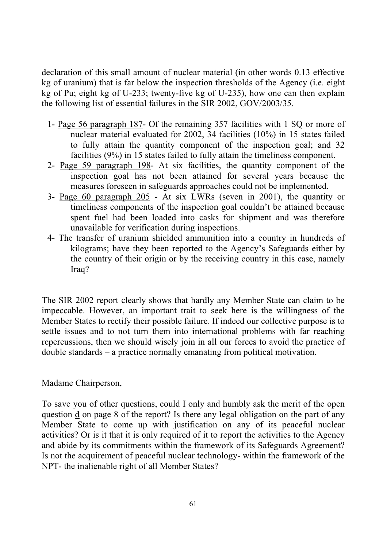declaration of this small amount of nuclear material (in other words 0.13 effective kg of uranium) that is far below the inspection thresholds of the Agency (i.e. eight kg of Pu; eight kg of U-233; twenty-five kg of U-235), how one can then explain the following list of essential failures in the SIR 2002, GOV/2003/35.

- 1- Page 56 paragraph 187- Of the remaining 357 facilities with 1 SQ or more of nuclear material evaluated for 2002, 34 facilities (10%) in 15 states failed to fully attain the quantity component of the inspection goal; and 32 facilities (9%) in 15 states failed to fully attain the timeliness component.
- 2- Page 59 paragraph 198- At six facilities, the quantity component of the inspection goal has not been attained for several years because the measures foreseen in safeguards approaches could not be implemented.
- 3- Page 60 paragraph 205 At six LWRs (seven in 2001), the quantity or timeliness components of the inspection goal couldn't be attained because spent fuel had been loaded into casks for shipment and was therefore unavailable for verification during inspections.
- 4- The transfer of uranium shielded ammunition into a country in hundreds of kilograms; have they been reported to the Agency's Safeguards either by the country of their origin or by the receiving country in this case, namely Iraq?

The SIR 2002 report clearly shows that hardly any Member State can claim to be impeccable. However, an important trait to seek here is the willingness of the Member States to rectify their possible failure. If indeed our collective purpose is to settle issues and to not turn them into international problems with far reaching repercussions, then we should wisely join in all our forces to avoid the practice of double standards – a practice normally emanating from political motivation.

#### Madame Chairperson,

To save you of other questions, could I only and humbly ask the merit of the open question  $\mathbf d$  on page 8 of the report? Is there any legal obligation on the part of any Member State to come up with justification on any of its peaceful nuclear activities? Or is it that it is only required of it to report the activities to the Agency and abide by its commitments within the framework of its Safeguards Agreement? Is not the acquirement of peaceful nuclear technology- within the framework of the NPT- the inalienable right of all Member States?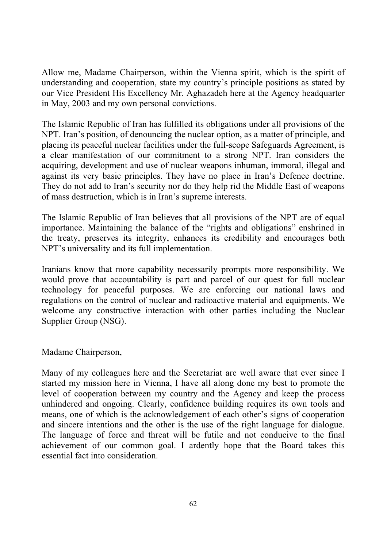Allow me, Madame Chairperson, within the Vienna spirit, which is the spirit of understanding and cooperation, state my country's principle positions as stated by our Vice President His Excellency Mr. Aghazadeh here at the Agency headquarter in May, 2003 and my own personal convictions.

The Islamic Republic of Iran has fulfilled its obligations under all provisions of the NPT. Iran's position, of denouncing the nuclear option, as a matter of principle, and placing its peaceful nuclear facilities under the full-scope Safeguards Agreement, is a clear manifestation of our commitment to a strong NPT. Iran considers the acquiring, development and use of nuclear weapons inhuman, immoral, illegal and against its very basic principles. They have no place in Iran's Defence doctrine. They do not add to Iran's security nor do they help rid the Middle East of weapons of mass destruction, which is in Iran's supreme interests.

The Islamic Republic of Iran believes that all provisions of the NPT are of equal importance. Maintaining the balance of the "rights and obligations" enshrined in the treaty, preserves its integrity, enhances its credibility and encourages both NPT's universality and its full implementation.

Iranians know that more capability necessarily prompts more responsibility. We would prove that accountability is part and parcel of our quest for full nuclear technology for peaceful purposes. We are enforcing our national laws and regulations on the control of nuclear and radioactive material and equipments. We welcome any constructive interaction with other parties including the Nuclear Supplier Group (NSG).

Madame Chairperson,

Many of my colleagues here and the Secretariat are well aware that ever since I started my mission here in Vienna, I have all along done my best to promote the level of cooperation between my country and the Agency and keep the process unhindered and ongoing. Clearly, confidence building requires its own tools and means, one of which is the acknowledgement of each other's signs of cooperation and sincere intentions and the other is the use of the right language for dialogue. The language of force and threat will be futile and not conducive to the final achievement of our common goal. I ardently hope that the Board takes this essential fact into consideration.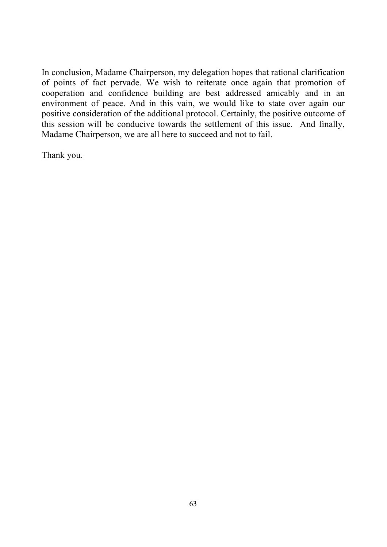In conclusion, Madame Chairperson, my delegation hopes that rational clarification of points of fact pervade. We wish to reiterate once again that promotion of cooperation and confidence building are best addressed amicably and in an environment of peace. And in this vain, we would like to state over again our positive consideration of the additional protocol. Certainly, the positive outcome of this session will be conducive towards the settlement of this issue. And finally, Madame Chairperson, we are all here to succeed and not to fail.

Thank you.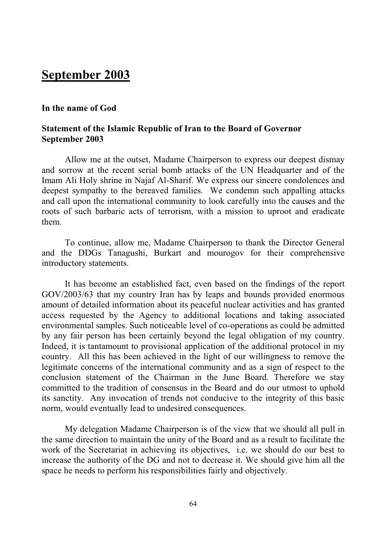## **September 2003**

#### **In the name of God**

#### **Statement of the Islamic Republic of Iran to the Board of Governor September 2003**

 Allow me at the outset, Madame Chairperson to express our deepest dismay and sorrow at the recent serial bomb attacks of the UN Headquarter and of the Imam Ali Holy shrine in Najaf Al-Sharif. We express our sincere condolences and deepest sympathy to the bereaved families. We condemn such appalling attacks and call upon the international community to look carefully into the causes and the roots of such barbaric acts of terrorism, with a mission to uproot and eradicate them.

 To continue, allow me, Madame Chairperson to thank the Director General and the DDGs Tanagushi, Burkart and mourogov for their comprehensive introductory statements.

 It has become an established fact, even based on the findings of the report GOV/2003/63 that my country Iran has by leaps and bounds provided enormous amount of detailed information about its peaceful nuclear activities and has granted access requested by the Agency to additional locations and taking associated environmental samples. Such noticeable level of co-operations as could be admitted by any fair person has been certainly beyond the legal obligation of my country. Indeed, it is tantamount to provisional application of the additional protocol in my country. All this has been achieved in the light of our willingness to remove the legitimate concerns of the international community and as a sign of respect to the conclusion statement of the Chairman in the June Board. Therefore we stay committed to the tradition of consensus in the Board and do our utmost to uphold its sanctity. Any invocation of trends not conducive to the integrity of this basic norm, would eventually lead to undesired consequences.

My delegation Madame Chairperson is of the view that we should all pull in the same direction to maintain the unity of the Board and as a result to facilitate the work of the Secretariat in achieving its objectives, i.e. we should do our best to increase the authority of the DG and not to decrease it. We should give him all the space he needs to perform his responsibilities fairly and objectively.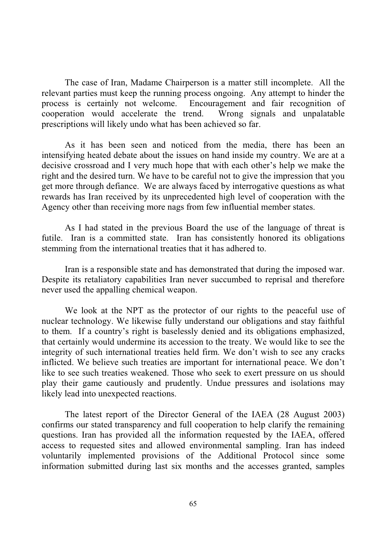The case of Iran, Madame Chairperson is a matter still incomplete. All the relevant parties must keep the running process ongoing. Any attempt to hinder the process is certainly not welcome. Encouragement and fair recognition of cooperation would accelerate the trend. Wrong signals and unpalatable prescriptions will likely undo what has been achieved so far.

 As it has been seen and noticed from the media, there has been an intensifying heated debate about the issues on hand inside my country. We are at a decisive crossroad and I very much hope that with each other's help we make the right and the desired turn. We have to be careful not to give the impression that you get more through defiance. We are always faced by interrogative questions as what rewards has Iran received by its unprecedented high level of cooperation with the Agency other than receiving more nags from few influential member states.

As I had stated in the previous Board the use of the language of threat is futile. Iran is a committed state. Iran has consistently honored its obligations stemming from the international treaties that it has adhered to.

 Iran is a responsible state and has demonstrated that during the imposed war. Despite its retaliatory capabilities Iran never succumbed to reprisal and therefore never used the appalling chemical weapon.

We look at the NPT as the protector of our rights to the peaceful use of nuclear technology. We likewise fully understand our obligations and stay faithful to them. If a country's right is baselessly denied and its obligations emphasized, that certainly would undermine its accession to the treaty. We would like to see the integrity of such international treaties held firm. We don't wish to see any cracks inflicted. We believe such treaties are important for international peace. We don't like to see such treaties weakened. Those who seek to exert pressure on us should play their game cautiously and prudently. Undue pressures and isolations may likely lead into unexpected reactions.

The latest report of the Director General of the IAEA (28 August 2003) confirms our stated transparency and full cooperation to help clarify the remaining questions. Iran has provided all the information requested by the IAEA, offered access to requested sites and allowed environmental sampling. Iran has indeed voluntarily implemented provisions of the Additional Protocol since some information submitted during last six months and the accesses granted, samples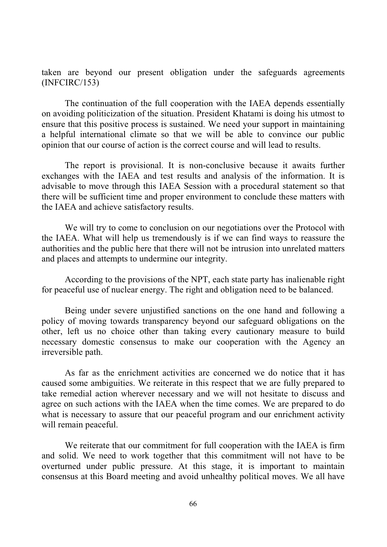taken are beyond our present obligation under the safeguards agreements (INFCIRC/153)

The continuation of the full cooperation with the IAEA depends essentially on avoiding politicization of the situation. President Khatami is doing his utmost to ensure that this positive process is sustained. We need your support in maintaining a helpful international climate so that we will be able to convince our public opinion that our course of action is the correct course and will lead to results.

The report is provisional. It is non-conclusive because it awaits further exchanges with the IAEA and test results and analysis of the information. It is advisable to move through this IAEA Session with a procedural statement so that there will be sufficient time and proper environment to conclude these matters with the IAEA and achieve satisfactory results.

We will try to come to conclusion on our negotiations over the Protocol with the IAEA. What will help us tremendously is if we can find ways to reassure the authorities and the public here that there will not be intrusion into unrelated matters and places and attempts to undermine our integrity.

According to the provisions of the NPT, each state party has inalienable right for peaceful use of nuclear energy. The right and obligation need to be balanced.

Being under severe unjustified sanctions on the one hand and following a policy of moving towards transparency beyond our safeguard obligations on the other, left us no choice other than taking every cautionary measure to build necessary domestic consensus to make our cooperation with the Agency an irreversible path.

As far as the enrichment activities are concerned we do notice that it has caused some ambiguities. We reiterate in this respect that we are fully prepared to take remedial action wherever necessary and we will not hesitate to discuss and agree on such actions with the IAEA when the time comes. We are prepared to do what is necessary to assure that our peaceful program and our enrichment activity will remain peaceful.

We reiterate that our commitment for full cooperation with the IAEA is firm and solid. We need to work together that this commitment will not have to be overturned under public pressure. At this stage, it is important to maintain consensus at this Board meeting and avoid unhealthy political moves. We all have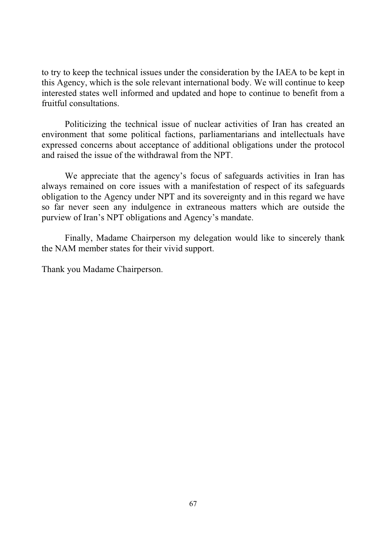to try to keep the technical issues under the consideration by the IAEA to be kept in this Agency, which is the sole relevant international body. We will continue to keep interested states well informed and updated and hope to continue to benefit from a fruitful consultations.

Politicizing the technical issue of nuclear activities of Iran has created an environment that some political factions, parliamentarians and intellectuals have expressed concerns about acceptance of additional obligations under the protocol and raised the issue of the withdrawal from the NPT.

We appreciate that the agency's focus of safeguards activities in Iran has always remained on core issues with a manifestation of respect of its safeguards obligation to the Agency under NPT and its sovereignty and in this regard we have so far never seen any indulgence in extraneous matters which are outside the purview of Iran's NPT obligations and Agency's mandate.

Finally, Madame Chairperson my delegation would like to sincerely thank the NAM member states for their vivid support.

Thank you Madame Chairperson.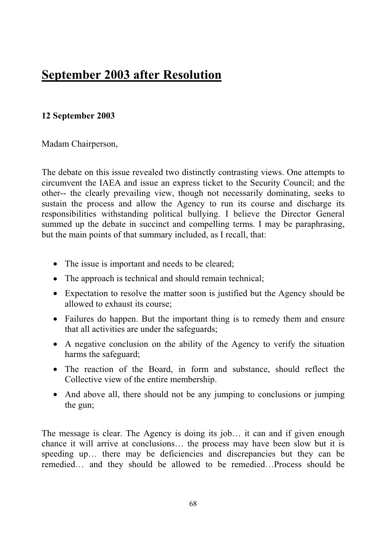## **September 2003 after Resolution**

### **12 September 2003**

Madam Chairperson,

The debate on this issue revealed two distinctly contrasting views. One attempts to circumvent the IAEA and issue an express ticket to the Security Council; and the other-- the clearly prevailing view, though not necessarily dominating, seeks to sustain the process and allow the Agency to run its course and discharge its responsibilities withstanding political bullying. I believe the Director General summed up the debate in succinct and compelling terms. I may be paraphrasing, but the main points of that summary included, as I recall, that:

- The issue is important and needs to be cleared;
- The approach is technical and should remain technical;
- Expectation to resolve the matter soon is justified but the Agency should be allowed to exhaust its course;
- Failures do happen. But the important thing is to remedy them and ensure that all activities are under the safeguards;
- A negative conclusion on the ability of the Agency to verify the situation harms the safeguard;
- The reaction of the Board, in form and substance, should reflect the Collective view of the entire membership.
- And above all, there should not be any jumping to conclusions or jumping the gun;

The message is clear. The Agency is doing its job… it can and if given enough chance it will arrive at conclusions… the process may have been slow but it is speeding up… there may be deficiencies and discrepancies but they can be remedied… and they should be allowed to be remedied…Process should be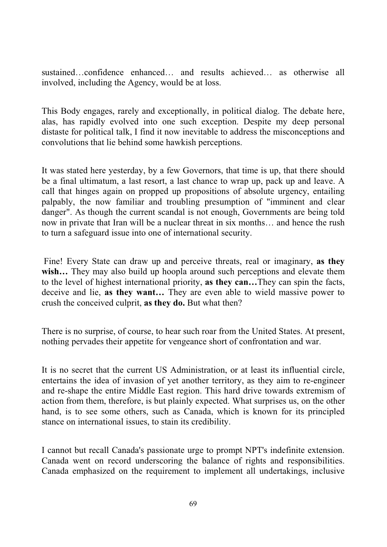sustained…confidence enhanced… and results achieved… as otherwise all involved, including the Agency, would be at loss.

This Body engages, rarely and exceptionally, in political dialog. The debate here, alas, has rapidly evolved into one such exception. Despite my deep personal distaste for political talk, I find it now inevitable to address the misconceptions and convolutions that lie behind some hawkish perceptions.

It was stated here yesterday, by a few Governors, that time is up, that there should be a final ultimatum, a last resort, a last chance to wrap up, pack up and leave. A call that hinges again on propped up propositions of absolute urgency, entailing palpably, the now familiar and troubling presumption of "imminent and clear danger". As though the current scandal is not enough, Governments are being told now in private that Iran will be a nuclear threat in six months… and hence the rush to turn a safeguard issue into one of international security.

 Fine! Every State can draw up and perceive threats, real or imaginary, **as they**  wish... They may also build up hoopla around such perceptions and elevate them to the level of highest international priority, **as they can…**They can spin the facts, deceive and lie, **as they want…** They are even able to wield massive power to crush the conceived culprit, **as they do.** But what then?

There is no surprise, of course, to hear such roar from the United States. At present, nothing pervades their appetite for vengeance short of confrontation and war.

It is no secret that the current US Administration, or at least its influential circle, entertains the idea of invasion of yet another territory, as they aim to re-engineer and re-shape the entire Middle East region. This hard drive towards extremism of action from them, therefore, is but plainly expected. What surprises us, on the other hand, is to see some others, such as Canada, which is known for its principled stance on international issues, to stain its credibility.

I cannot but recall Canada's passionate urge to prompt NPT's indefinite extension. Canada went on record underscoring the balance of rights and responsibilities. Canada emphasized on the requirement to implement all undertakings, inclusive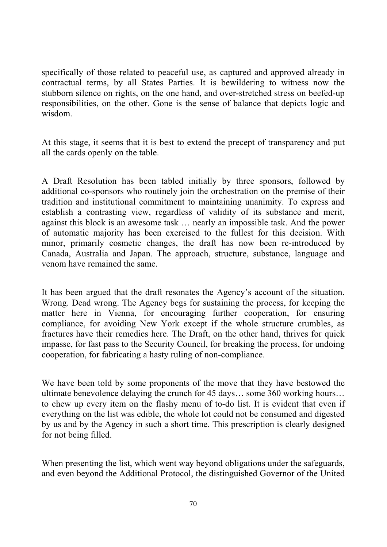specifically of those related to peaceful use, as captured and approved already in contractual terms, by all States Parties. It is bewildering to witness now the stubborn silence on rights, on the one hand, and over-stretched stress on beefed-up responsibilities, on the other. Gone is the sense of balance that depicts logic and wisdom.

At this stage, it seems that it is best to extend the precept of transparency and put all the cards openly on the table.

A Draft Resolution has been tabled initially by three sponsors, followed by additional co-sponsors who routinely join the orchestration on the premise of their tradition and institutional commitment to maintaining unanimity. To express and establish a contrasting view, regardless of validity of its substance and merit, against this block is an awesome task … nearly an impossible task. And the power of automatic majority has been exercised to the fullest for this decision. With minor, primarily cosmetic changes, the draft has now been re-introduced by Canada, Australia and Japan. The approach, structure, substance, language and venom have remained the same.

It has been argued that the draft resonates the Agency's account of the situation. Wrong. Dead wrong. The Agency begs for sustaining the process, for keeping the matter here in Vienna, for encouraging further cooperation, for ensuring compliance, for avoiding New York except if the whole structure crumbles, as fractures have their remedies here. The Draft, on the other hand, thrives for quick impasse, for fast pass to the Security Council, for breaking the process, for undoing cooperation, for fabricating a hasty ruling of non-compliance.

We have been told by some proponents of the move that they have bestowed the ultimate benevolence delaying the crunch for 45 days… some 360 working hours… to chew up every item on the flashy menu of to-do list. It is evident that even if everything on the list was edible, the whole lot could not be consumed and digested by us and by the Agency in such a short time. This prescription is clearly designed for not being filled.

When presenting the list, which went way beyond obligations under the safeguards, and even beyond the Additional Protocol, the distinguished Governor of the United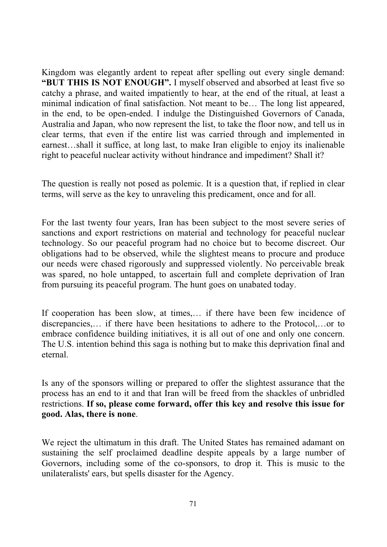Kingdom was elegantly ardent to repeat after spelling out every single demand: **"BUT THIS IS NOT ENOUGH".** I myself observed and absorbed at least five so catchy a phrase, and waited impatiently to hear, at the end of the ritual, at least a minimal indication of final satisfaction. Not meant to be… The long list appeared, in the end, to be open-ended. I indulge the Distinguished Governors of Canada, Australia and Japan, who now represent the list, to take the floor now, and tell us in clear terms, that even if the entire list was carried through and implemented in earnest…shall it suffice, at long last, to make Iran eligible to enjoy its inalienable right to peaceful nuclear activity without hindrance and impediment? Shall it?

The question is really not posed as polemic. It is a question that, if replied in clear terms, will serve as the key to unraveling this predicament, once and for all.

For the last twenty four years, Iran has been subject to the most severe series of sanctions and export restrictions on material and technology for peaceful nuclear technology. So our peaceful program had no choice but to become discreet. Our obligations had to be observed, while the slightest means to procure and produce our needs were chased rigorously and suppressed violently. No perceivable break was spared, no hole untapped, to ascertain full and complete deprivation of Iran from pursuing its peaceful program. The hunt goes on unabated today.

If cooperation has been slow, at times,… if there have been few incidence of discrepancies,… if there have been hesitations to adhere to the Protocol,…or to embrace confidence building initiatives, it is all out of one and only one concern. The U.S. intention behind this saga is nothing but to make this deprivation final and eternal.

Is any of the sponsors willing or prepared to offer the slightest assurance that the process has an end to it and that Iran will be freed from the shackles of unbridled restrictions. **If so, please come forward, offer this key and resolve this issue for good. Alas, there is none**.

We reject the ultimatum in this draft. The United States has remained adamant on sustaining the self proclaimed deadline despite appeals by a large number of Governors, including some of the co-sponsors, to drop it. This is music to the unilateralists' ears, but spells disaster for the Agency.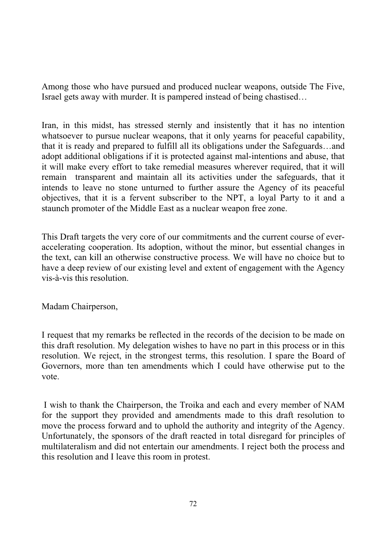Among those who have pursued and produced nuclear weapons, outside The Five, Israel gets away with murder. It is pampered instead of being chastised…

Iran, in this midst, has stressed sternly and insistently that it has no intention whatsoever to pursue nuclear weapons, that it only yearns for peaceful capability, that it is ready and prepared to fulfill all its obligations under the Safeguards…and adopt additional obligations if it is protected against mal-intentions and abuse, that it will make every effort to take remedial measures wherever required, that it will remain transparent and maintain all its activities under the safeguards, that it intends to leave no stone unturned to further assure the Agency of its peaceful objectives, that it is a fervent subscriber to the NPT, a loyal Party to it and a staunch promoter of the Middle East as a nuclear weapon free zone.

This Draft targets the very core of our commitments and the current course of everaccelerating cooperation. Its adoption, without the minor, but essential changes in the text, can kill an otherwise constructive process. We will have no choice but to have a deep review of our existing level and extent of engagement with the Agency vis-à-vis this resolution.

Madam Chairperson,

I request that my remarks be reflected in the records of the decision to be made on this draft resolution. My delegation wishes to have no part in this process or in this resolution. We reject, in the strongest terms, this resolution. I spare the Board of Governors, more than ten amendments which I could have otherwise put to the vote.

 I wish to thank the Chairperson, the Troika and each and every member of NAM for the support they provided and amendments made to this draft resolution to move the process forward and to uphold the authority and integrity of the Agency. Unfortunately, the sponsors of the draft reacted in total disregard for principles of multilateralism and did not entertain our amendments. I reject both the process and this resolution and I leave this room in protest.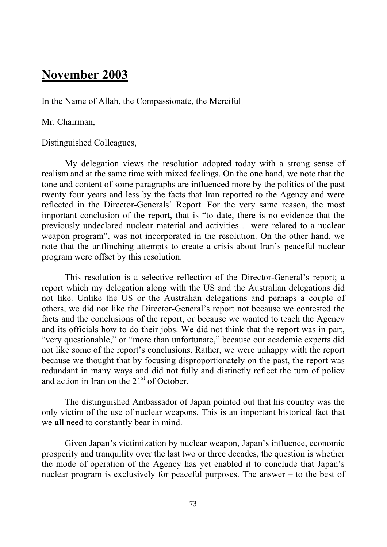## **November 2003**

In the Name of Allah, the Compassionate, the Merciful

Mr. Chairman,

Distinguished Colleagues,

My delegation views the resolution adopted today with a strong sense of realism and at the same time with mixed feelings. On the one hand, we note that the tone and content of some paragraphs are influenced more by the politics of the past twenty four years and less by the facts that Iran reported to the Agency and were reflected in the Director-Generals' Report. For the very same reason, the most important conclusion of the report, that is "to date, there is no evidence that the previously undeclared nuclear material and activities… were related to a nuclear weapon program", was not incorporated in the resolution. On the other hand, we note that the unflinching attempts to create a crisis about Iran's peaceful nuclear program were offset by this resolution.

This resolution is a selective reflection of the Director-General's report; a report which my delegation along with the US and the Australian delegations did not like. Unlike the US or the Australian delegations and perhaps a couple of others, we did not like the Director-General's report not because we contested the facts and the conclusions of the report, or because we wanted to teach the Agency and its officials how to do their jobs. We did not think that the report was in part, "very questionable," or "more than unfortunate," because our academic experts did not like some of the report's conclusions. Rather, we were unhappy with the report because we thought that by focusing disproportionately on the past, the report was redundant in many ways and did not fully and distinctly reflect the turn of policy and action in Iran on the  $21<sup>st</sup>$  of October.

The distinguished Ambassador of Japan pointed out that his country was the only victim of the use of nuclear weapons. This is an important historical fact that we **all** need to constantly bear in mind.

Given Japan's victimization by nuclear weapon, Japan's influence, economic prosperity and tranquility over the last two or three decades, the question is whether the mode of operation of the Agency has yet enabled it to conclude that Japan's nuclear program is exclusively for peaceful purposes. The answer – to the best of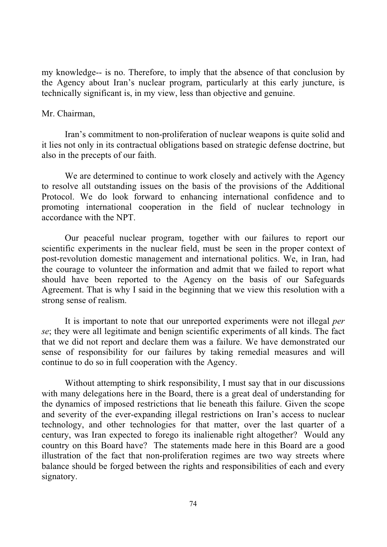my knowledge-- is no. Therefore, to imply that the absence of that conclusion by the Agency about Iran's nuclear program, particularly at this early juncture, is technically significant is, in my view, less than objective and genuine.

#### Mr. Chairman,

Iran's commitment to non-proliferation of nuclear weapons is quite solid and it lies not only in its contractual obligations based on strategic defense doctrine, but also in the precepts of our faith.

We are determined to continue to work closely and actively with the Agency to resolve all outstanding issues on the basis of the provisions of the Additional Protocol. We do look forward to enhancing international confidence and to promoting international cooperation in the field of nuclear technology in accordance with the NPT.

Our peaceful nuclear program, together with our failures to report our scientific experiments in the nuclear field, must be seen in the proper context of post-revolution domestic management and international politics. We, in Iran, had the courage to volunteer the information and admit that we failed to report what should have been reported to the Agency on the basis of our Safeguards Agreement. That is why I said in the beginning that we view this resolution with a strong sense of realism.

It is important to note that our unreported experiments were not illegal *per se*; they were all legitimate and benign scientific experiments of all kinds. The fact that we did not report and declare them was a failure. We have demonstrated our sense of responsibility for our failures by taking remedial measures and will continue to do so in full cooperation with the Agency.

Without attempting to shirk responsibility, I must say that in our discussions with many delegations here in the Board, there is a great deal of understanding for the dynamics of imposed restrictions that lie beneath this failure. Given the scope and severity of the ever-expanding illegal restrictions on Iran's access to nuclear technology, and other technologies for that matter, over the last quarter of a century, was Iran expected to forego its inalienable right altogether? Would any country on this Board have? The statements made here in this Board are a good illustration of the fact that non-proliferation regimes are two way streets where balance should be forged between the rights and responsibilities of each and every signatory.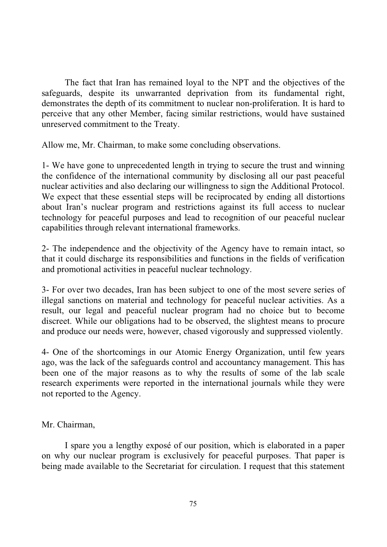The fact that Iran has remained loyal to the NPT and the objectives of the safeguards, despite its unwarranted deprivation from its fundamental right, demonstrates the depth of its commitment to nuclear non-proliferation. It is hard to perceive that any other Member, facing similar restrictions, would have sustained unreserved commitment to the Treaty.

Allow me, Mr. Chairman, to make some concluding observations.

1- We have gone to unprecedented length in trying to secure the trust and winning the confidence of the international community by disclosing all our past peaceful nuclear activities and also declaring our willingness to sign the Additional Protocol. We expect that these essential steps will be reciprocated by ending all distortions about Iran's nuclear program and restrictions against its full access to nuclear technology for peaceful purposes and lead to recognition of our peaceful nuclear capabilities through relevant international frameworks.

2- The independence and the objectivity of the Agency have to remain intact, so that it could discharge its responsibilities and functions in the fields of verification and promotional activities in peaceful nuclear technology.

3- For over two decades, Iran has been subject to one of the most severe series of illegal sanctions on material and technology for peaceful nuclear activities. As a result, our legal and peaceful nuclear program had no choice but to become discreet. While our obligations had to be observed, the slightest means to procure and produce our needs were, however, chased vigorously and suppressed violently.

4- One of the shortcomings in our Atomic Energy Organization, until few years ago, was the lack of the safeguards control and accountancy management. This has been one of the major reasons as to why the results of some of the lab scale research experiments were reported in the international journals while they were not reported to the Agency.

Mr. Chairman,

I spare you a lengthy exposé of our position, which is elaborated in a paper on why our nuclear program is exclusively for peaceful purposes. That paper is being made available to the Secretariat for circulation. I request that this statement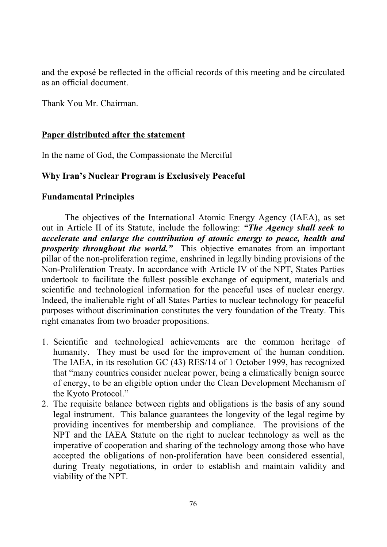and the exposé be reflected in the official records of this meeting and be circulated as an official document.

Thank You Mr. Chairman.

#### **Paper distributed after the statement**

In the name of God, the Compassionate the Merciful

## **Why Iran's Nuclear Program is Exclusively Peaceful**

#### **Fundamental Principles**

The objectives of the International Atomic Energy Agency (IAEA), as set out in Article II of its Statute, include the following: *"The Agency shall seek to accelerate and enlarge the contribution of atomic energy to peace, health and prosperity throughout the world.*" This objective emanates from an important pillar of the non-proliferation regime, enshrined in legally binding provisions of the Non-Proliferation Treaty. In accordance with Article IV of the NPT, States Parties undertook to facilitate the fullest possible exchange of equipment, materials and scientific and technological information for the peaceful uses of nuclear energy. Indeed, the inalienable right of all States Parties to nuclear technology for peaceful purposes without discrimination constitutes the very foundation of the Treaty. This right emanates from two broader propositions.

- 1. Scientific and technological achievements are the common heritage of humanity. They must be used for the improvement of the human condition. The IAEA, in its resolution GC (43) RES/14 of 1 October 1999, has recognized that "many countries consider nuclear power, being a climatically benign source of energy, to be an eligible option under the Clean Development Mechanism of the Kyoto Protocol."
- 2. The requisite balance between rights and obligations is the basis of any sound legal instrument. This balance guarantees the longevity of the legal regime by providing incentives for membership and compliance. The provisions of the NPT and the IAEA Statute on the right to nuclear technology as well as the imperative of cooperation and sharing of the technology among those who have accepted the obligations of non-proliferation have been considered essential, during Treaty negotiations, in order to establish and maintain validity and viability of the NPT.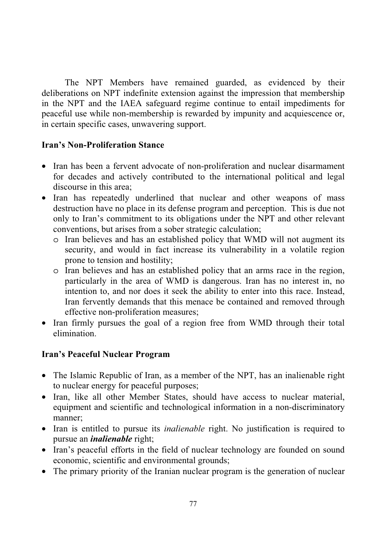The NPT Members have remained guarded, as evidenced by their deliberations on NPT indefinite extension against the impression that membership in the NPT and the IAEA safeguard regime continue to entail impediments for peaceful use while non-membership is rewarded by impunity and acquiescence or, in certain specific cases, unwavering support.

#### **Iran's Non-Proliferation Stance**

- Iran has been a fervent advocate of non-proliferation and nuclear disarmament for decades and actively contributed to the international political and legal discourse in this area;
- Iran has repeatedly underlined that nuclear and other weapons of mass destruction have no place in its defense program and perception. This is due not only to Iran's commitment to its obligations under the NPT and other relevant conventions, but arises from a sober strategic calculation;
	- o Iran believes and has an established policy that WMD will not augment its security, and would in fact increase its vulnerability in a volatile region prone to tension and hostility;
	- o Iran believes and has an established policy that an arms race in the region, particularly in the area of WMD is dangerous. Iran has no interest in, no intention to, and nor does it seek the ability to enter into this race. Instead, Iran fervently demands that this menace be contained and removed through effective non-proliferation measures;
- Iran firmly pursues the goal of a region free from WMD through their total elimination.

## **Iran's Peaceful Nuclear Program**

- The Islamic Republic of Iran, as a member of the NPT, has an inalienable right to nuclear energy for peaceful purposes;
- Iran, like all other Member States, should have access to nuclear material, equipment and scientific and technological information in a non-discriminatory manner;
- Iran is entitled to pursue its *inalienable* right. No justification is required to pursue an *inalienable* right;
- Iran's peaceful efforts in the field of nuclear technology are founded on sound economic, scientific and environmental grounds;
- The primary priority of the Iranian nuclear program is the generation of nuclear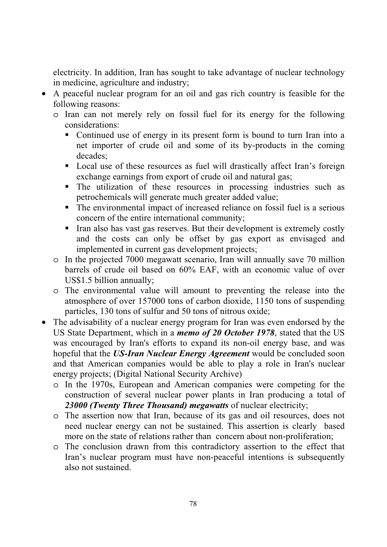electricity. In addition, Iran has sought to take advantage of nuclear technology in medicine, agriculture and industry;

- A peaceful nuclear program for an oil and gas rich country is feasible for the following reasons:
	- o Iran can not merely rely on fossil fuel for its energy for the following considerations:
		- Continued use of energy in its present form is bound to turn Iran into a net importer of crude oil and some of its by-products in the coming decades;
		- Local use of these resources as fuel will drastically affect Iran's foreign exchange earnings from export of crude oil and natural gas;
		- The utilization of these resources in processing industries such as petrochemicals will generate much greater added value;
		- The environmental impact of increased reliance on fossil fuel is a serious concern of the entire international community;
		- Iran also has vast gas reserves. But their development is extremely costly and the costs can only be offset by gas export as envisaged and implemented in current gas development projects;
	- o In the projected 7000 megawatt scenario, Iran will annually save 70 million barrels of crude oil based on 60% EAF, with an economic value of over US\$1.5 billion annually;
	- o The environmental value will amount to preventing the release into the atmosphere of over 157000 tons of carbon dioxide, 1150 tons of suspending particles, 130 tons of sulfur and 50 tons of nitrous oxide;
- The advisability of a nuclear energy program for Iran was even endorsed by the US State Department, which in a *memo of 20 October 1978*, stated that the US was encouraged by Iran's efforts to expand its non-oil energy base, and was hopeful that the *US-Iran Nuclear Energy Agreement* would be concluded soon and that American companies would be able to play a role in Iran's nuclear energy projects; (Digital National Security Archive)
	- o In the 1970s, European and American companies were competing for the construction of several nuclear power plants in Iran producing a total of *23000 (Twenty Three Thousand) megawatts* of nuclear electricity;
	- o The assertion now that Iran, because of its gas and oil resources, does not need nuclear energy can not be sustained. This assertion is clearly based more on the state of relations rather than concern about non-proliferation;
	- o The conclusion drawn from this contradictory assertion to the effect that Iran's nuclear program must have non-peaceful intentions is subsequently also not sustained.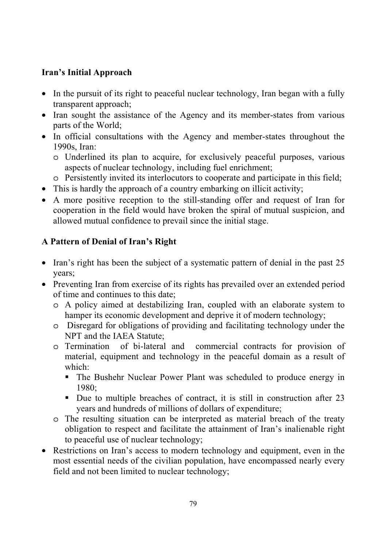## **Iran's Initial Approach**

- In the pursuit of its right to peaceful nuclear technology, Iran began with a fully transparent approach;
- Iran sought the assistance of the Agency and its member-states from various parts of the World;
- In official consultations with the Agency and member-states throughout the 1990s, Iran:
	- o Underlined its plan to acquire, for exclusively peaceful purposes, various aspects of nuclear technology, including fuel enrichment;
	- o Persistently invited its interlocutors to cooperate and participate in this field;
- This is hardly the approach of a country embarking on illicit activity;
- A more positive reception to the still-standing offer and request of Iran for cooperation in the field would have broken the spiral of mutual suspicion, and allowed mutual confidence to prevail since the initial stage.

## **A Pattern of Denial of Iran's Right**

- Iran's right has been the subject of a systematic pattern of denial in the past 25 years;
- Preventing Iran from exercise of its rights has prevailed over an extended period of time and continues to this date;
	- o A policy aimed at destabilizing Iran, coupled with an elaborate system to hamper its economic development and deprive it of modern technology;
	- o Disregard for obligations of providing and facilitating technology under the NPT and the IAEA Statute;
	- o Termination of bi-lateral and commercial contracts for provision of material, equipment and technology in the peaceful domain as a result of which:
		- The Bushehr Nuclear Power Plant was scheduled to produce energy in 1980;
		- Due to multiple breaches of contract, it is still in construction after 23 years and hundreds of millions of dollars of expenditure;
	- o The resulting situation can be interpreted as material breach of the treaty obligation to respect and facilitate the attainment of Iran's inalienable right to peaceful use of nuclear technology;
- Restrictions on Iran's access to modern technology and equipment, even in the most essential needs of the civilian population, have encompassed nearly every field and not been limited to nuclear technology;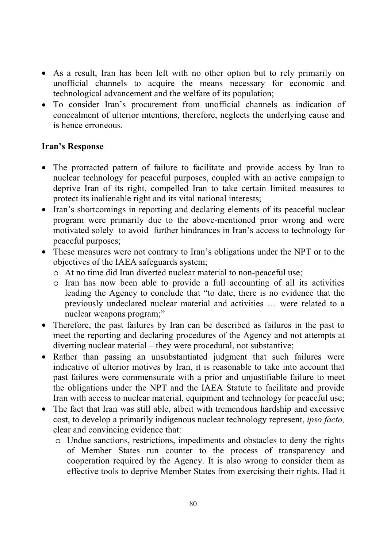- As a result, Iran has been left with no other option but to rely primarily on unofficial channels to acquire the means necessary for economic and technological advancement and the welfare of its population;
- To consider Iran's procurement from unofficial channels as indication of concealment of ulterior intentions, therefore, neglects the underlying cause and is hence erroneous.

## **Iran's Response**

- The protracted pattern of failure to facilitate and provide access by Iran to nuclear technology for peaceful purposes, coupled with an active campaign to deprive Iran of its right, compelled Iran to take certain limited measures to protect its inalienable right and its vital national interests;
- Iran's shortcomings in reporting and declaring elements of its peaceful nuclear program were primarily due to the above-mentioned prior wrong and were motivated solely to avoid further hindrances in Iran's access to technology for peaceful purposes;
- These measures were not contrary to Iran's obligations under the NPT or to the objectives of the IAEA safeguards system;
	- o At no time did Iran diverted nuclear material to non-peaceful use;
	- o Iran has now been able to provide a full accounting of all its activities leading the Agency to conclude that "to date, there is no evidence that the previously undeclared nuclear material and activities … were related to a nuclear weapons program;"
- Therefore, the past failures by Iran can be described as failures in the past to meet the reporting and declaring procedures of the Agency and not attempts at diverting nuclear material – they were procedural, not substantive;
- Rather than passing an unsubstantiated judgment that such failures were indicative of ulterior motives by Iran, it is reasonable to take into account that past failures were commensurate with a prior and unjustifiable failure to meet the obligations under the NPT and the IAEA Statute to facilitate and provide Iran with access to nuclear material, equipment and technology for peaceful use;
- The fact that Iran was still able, albeit with tremendous hardship and excessive cost, to develop a primarily indigenous nuclear technology represent, *ipso facto,* clear and convincing evidence that:
	- o Undue sanctions, restrictions, impediments and obstacles to deny the rights of Member States run counter to the process of transparency and cooperation required by the Agency. It is also wrong to consider them as effective tools to deprive Member States from exercising their rights. Had it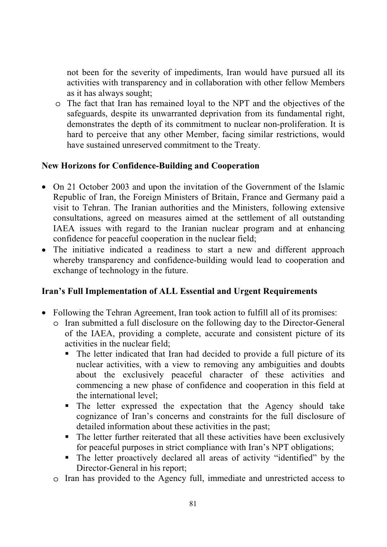not been for the severity of impediments, Iran would have pursued all its activities with transparency and in collaboration with other fellow Members as it has always sought;

o The fact that Iran has remained loyal to the NPT and the objectives of the safeguards, despite its unwarranted deprivation from its fundamental right, demonstrates the depth of its commitment to nuclear non-proliferation. It is hard to perceive that any other Member, facing similar restrictions, would have sustained unreserved commitment to the Treaty.

## **New Horizons for Confidence-Building and Cooperation**

- On 21 October 2003 and upon the invitation of the Government of the Islamic Republic of Iran, the Foreign Ministers of Britain, France and Germany paid a visit to Tehran. The Iranian authorities and the Ministers, following extensive consultations, agreed on measures aimed at the settlement of all outstanding IAEA issues with regard to the Iranian nuclear program and at enhancing confidence for peaceful cooperation in the nuclear field;
- The initiative indicated a readiness to start a new and different approach whereby transparency and confidence-building would lead to cooperation and exchange of technology in the future.

## **Iran's Full Implementation of ALL Essential and Urgent Requirements**

- Following the Tehran Agreement, Iran took action to fulfill all of its promises:
	- o Iran submitted a full disclosure on the following day to the Director-General of the IAEA, providing a complete, accurate and consistent picture of its activities in the nuclear field;
		- The letter indicated that Iran had decided to provide a full picture of its nuclear activities, with a view to removing any ambiguities and doubts about the exclusively peaceful character of these activities and commencing a new phase of confidence and cooperation in this field at the international level;
		- The letter expressed the expectation that the Agency should take cognizance of Iran's concerns and constraints for the full disclosure of detailed information about these activities in the past;
		- The letter further reiterated that all these activities have been exclusively for peaceful purposes in strict compliance with Iran's NPT obligations;
		- The letter proactively declared all areas of activity "identified" by the Director-General in his report;
	- o Iran has provided to the Agency full, immediate and unrestricted access to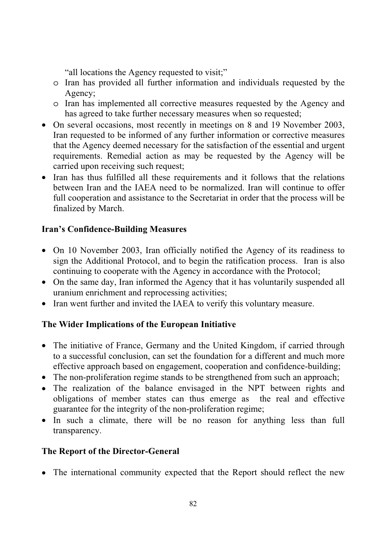"all locations the Agency requested to visit;"

- o Iran has provided all further information and individuals requested by the Agency;
- o Iran has implemented all corrective measures requested by the Agency and has agreed to take further necessary measures when so requested;
- On several occasions, most recently in meetings on 8 and 19 November 2003, Iran requested to be informed of any further information or corrective measures that the Agency deemed necessary for the satisfaction of the essential and urgent requirements. Remedial action as may be requested by the Agency will be carried upon receiving such request;
- Iran has thus fulfilled all these requirements and it follows that the relations between Iran and the IAEA need to be normalized. Iran will continue to offer full cooperation and assistance to the Secretariat in order that the process will be finalized by March.

## **Iran's Confidence-Building Measures**

- On 10 November 2003, Iran officially notified the Agency of its readiness to sign the Additional Protocol, and to begin the ratification process. Iran is also continuing to cooperate with the Agency in accordance with the Protocol;
- On the same day, Iran informed the Agency that it has voluntarily suspended all uranium enrichment and reprocessing activities;
- Iran went further and invited the IAEA to verify this voluntary measure.

## **The Wider Implications of the European Initiative**

- The initiative of France, Germany and the United Kingdom, if carried through to a successful conclusion, can set the foundation for a different and much more effective approach based on engagement, cooperation and confidence-building;
- The non-proliferation regime stands to be strengthened from such an approach;
- The realization of the balance envisaged in the NPT between rights and obligations of member states can thus emerge as the real and effective guarantee for the integrity of the non-proliferation regime;
- In such a climate, there will be no reason for anything less than full transparency.

## **The Report of the Director-General**

• The international community expected that the Report should reflect the new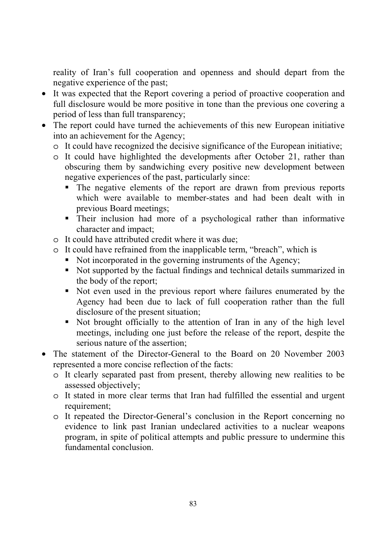reality of Iran's full cooperation and openness and should depart from the negative experience of the past;

- It was expected that the Report covering a period of proactive cooperation and full disclosure would be more positive in tone than the previous one covering a period of less than full transparency;
- The report could have turned the achievements of this new European initiative into an achievement for the Agency;
	- o It could have recognized the decisive significance of the European initiative;
	- o It could have highlighted the developments after October 21, rather than obscuring them by sandwiching every positive new development between negative experiences of the past, particularly since:
		- The negative elements of the report are drawn from previous reports which were available to member-states and had been dealt with in previous Board meetings;
		- Their inclusion had more of a psychological rather than informative character and impact;
	- o It could have attributed credit where it was due;
	- o It could have refrained from the inapplicable term, "breach", which is
		- Not incorporated in the governing instruments of the Agency;
		- Not supported by the factual findings and technical details summarized in the body of the report;
		- Not even used in the previous report where failures enumerated by the Agency had been due to lack of full cooperation rather than the full disclosure of the present situation;
		- Not brought officially to the attention of Iran in any of the high level meetings, including one just before the release of the report, despite the serious nature of the assertion;
- The statement of the Director-General to the Board on 20 November 2003 represented a more concise reflection of the facts:
	- o It clearly separated past from present, thereby allowing new realities to be assessed objectively;
	- o It stated in more clear terms that Iran had fulfilled the essential and urgent requirement;
	- o It repeated the Director-General's conclusion in the Report concerning no evidence to link past Iranian undeclared activities to a nuclear weapons program, in spite of political attempts and public pressure to undermine this fundamental conclusion.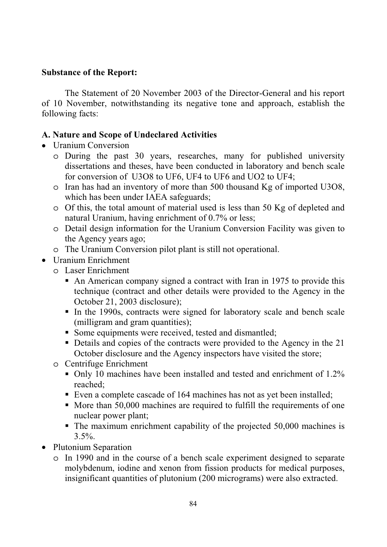#### **Substance of the Report:**

The Statement of 20 November 2003 of the Director-General and his report of 10 November, notwithstanding its negative tone and approach, establish the following facts:

## **A. Nature and Scope of Undeclared Activities**

- Uranium Conversion
	- o During the past 30 years, researches, many for published university dissertations and theses, have been conducted in laboratory and bench scale for conversion of U3O8 to UF6, UF4 to UF6 and UO2 to UF4;
	- o Iran has had an inventory of more than 500 thousand Kg of imported U3O8, which has been under IAEA safeguards;
	- o Of this, the total amount of material used is less than 50 Kg of depleted and natural Uranium, having enrichment of 0.7% or less;
	- o Detail design information for the Uranium Conversion Facility was given to the Agency years ago;
	- o The Uranium Conversion pilot plant is still not operational.
- Uranium Enrichment
	- o Laser Enrichment
		- An American company signed a contract with Iran in 1975 to provide this technique (contract and other details were provided to the Agency in the October 21, 2003 disclosure);
		- In the 1990s, contracts were signed for laboratory scale and bench scale (milligram and gram quantities);
		- Some equipments were received, tested and dismantled;
		- Details and copies of the contracts were provided to the Agency in the 21 October disclosure and the Agency inspectors have visited the store;
	- o Centrifuge Enrichment
		- Only 10 machines have been installed and tested and enrichment of 1.2% reached;
		- Even a complete cascade of 164 machines has not as yet been installed;
		- $\blacksquare$  More than 50,000 machines are required to fulfill the requirements of one nuclear power plant;
		- The maximum enrichment capability of the projected 50,000 machines is  $3.5\%$ .
- Plutonium Separation
	- o In 1990 and in the course of a bench scale experiment designed to separate molybdenum, iodine and xenon from fission products for medical purposes, insignificant quantities of plutonium (200 micrograms) were also extracted.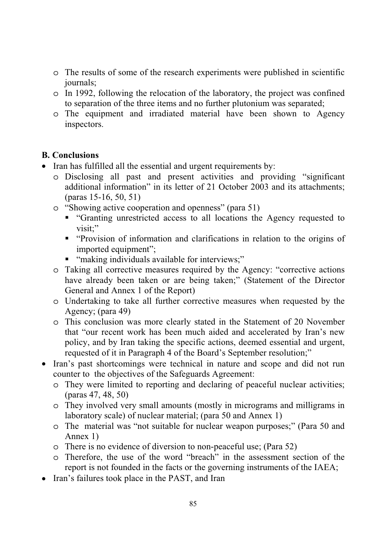- o The results of some of the research experiments were published in scientific journals;
- o In 1992, following the relocation of the laboratory, the project was confined to separation of the three items and no further plutonium was separated;
- o The equipment and irradiated material have been shown to Agency inspectors.

## **B. Conclusions**

- Iran has fulfilled all the essential and urgent requirements by:
	- o Disclosing all past and present activities and providing "significant additional information" in its letter of 21 October 2003 and its attachments; (paras 15-16, 50, 51)
	- o "Showing active cooperation and openness" (para 51)
		- "Granting unrestricted access to all locations the Agency requested to visit:"
		- "Provision of information and clarifications in relation to the origins of imported equipment";
		- "making individuals available for interviews;"
	- o Taking all corrective measures required by the Agency: "corrective actions have already been taken or are being taken;" (Statement of the Director General and Annex 1 of the Report)
	- o Undertaking to take all further corrective measures when requested by the Agency; (para 49)
	- o This conclusion was more clearly stated in the Statement of 20 November that "our recent work has been much aided and accelerated by Iran's new policy, and by Iran taking the specific actions, deemed essential and urgent, requested of it in Paragraph 4 of the Board's September resolution;"
- Iran's past shortcomings were technical in nature and scope and did not run counter to the objectives of the Safeguards Agreement:
	- o They were limited to reporting and declaring of peaceful nuclear activities; (paras 47, 48, 50)
	- o They involved very small amounts (mostly in micrograms and milligrams in laboratory scale) of nuclear material; (para 50 and Annex 1)
	- o The material was "not suitable for nuclear weapon purposes;" (Para 50 and Annex 1)
	- o There is no evidence of diversion to non-peaceful use; (Para 52)
	- o Therefore, the use of the word "breach" in the assessment section of the report is not founded in the facts or the governing instruments of the IAEA;
- Iran's failures took place in the PAST, and Iran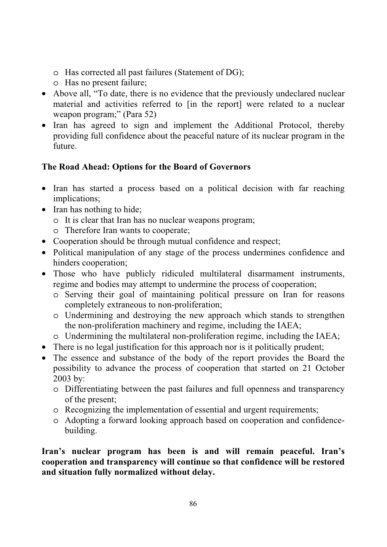- o Has corrected all past failures (Statement of DG);
- o Has no present failure;
- Above all, "To date, there is no evidence that the previously undeclared nuclear material and activities referred to [in the report] were related to a nuclear weapon program;" (Para 52)
- Iran has agreed to sign and implement the Additional Protocol, thereby providing full confidence about the peaceful nature of its nuclear program in the future.

## **The Road Ahead: Options for the Board of Governors**

- Iran has started a process based on a political decision with far reaching implications;
- Iran has nothing to hide:
	- o It is clear that Iran has no nuclear weapons program;
	- o Therefore Iran wants to cooperate;
- Cooperation should be through mutual confidence and respect;
- Political manipulation of any stage of the process undermines confidence and hinders cooperation;
- Those who have publicly ridiculed multilateral disarmament instruments, regime and bodies may attempt to undermine the process of cooperation;
	- o Serving their goal of maintaining political pressure on Iran for reasons completely extraneous to non-proliferation;
	- o Undermining and destroying the new approach which stands to strengthen the non-proliferation machinery and regime, including the IAEA;
	- o Undermining the multilateral non-proliferation regime, including the IAEA;
- There is no legal justification for this approach nor is it politically prudent;
- The essence and substance of the body of the report provides the Board the possibility to advance the process of cooperation that started on 21 October 2003 by:
	- o Differentiating between the past failures and full openness and transparency of the present;
	- o Recognizing the implementation of essential and urgent requirements;
	- o Adopting a forward looking approach based on cooperation and confidencebuilding.

**Iran's nuclear program has been is and will remain peaceful. Iran's cooperation and transparency will continue so that confidence will be restored and situation fully normalized without delay.**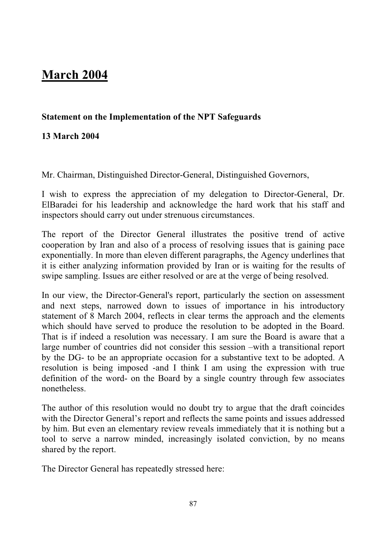# **March 2004**

## **Statement on the Implementation of the NPT Safeguards**

## **13 March 2004**

Mr. Chairman, Distinguished Director-General, Distinguished Governors,

I wish to express the appreciation of my delegation to Director-General, Dr. ElBaradei for his leadership and acknowledge the hard work that his staff and inspectors should carry out under strenuous circumstances.

The report of the Director General illustrates the positive trend of active cooperation by Iran and also of a process of resolving issues that is gaining pace exponentially. In more than eleven different paragraphs, the Agency underlines that it is either analyzing information provided by Iran or is waiting for the results of swipe sampling. Issues are either resolved or are at the verge of being resolved.

In our view, the Director-General's report, particularly the section on assessment and next steps, narrowed down to issues of importance in his introductory statement of 8 March 2004, reflects in clear terms the approach and the elements which should have served to produce the resolution to be adopted in the Board. That is if indeed a resolution was necessary. I am sure the Board is aware that a large number of countries did not consider this session –with a transitional report by the DG- to be an appropriate occasion for a substantive text to be adopted. A resolution is being imposed -and I think I am using the expression with true definition of the word- on the Board by a single country through few associates nonetheless.

The author of this resolution would no doubt try to argue that the draft coincides with the Director General's report and reflects the same points and issues addressed by him. But even an elementary review reveals immediately that it is nothing but a tool to serve a narrow minded, increasingly isolated conviction, by no means shared by the report.

The Director General has repeatedly stressed here: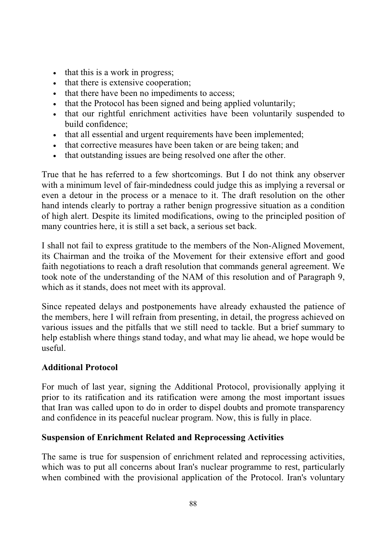- that this is a work in progress;
- that there is extensive cooperation;
- that there have been no impediments to access;
- that the Protocol has been signed and being applied voluntarily;
- that our rightful enrichment activities have been voluntarily suspended to build confidence;
- that all essential and urgent requirements have been implemented;
- that corrective measures have been taken or are being taken; and
- that outstanding issues are being resolved one after the other.

True that he has referred to a few shortcomings. But I do not think any observer with a minimum level of fair-mindedness could judge this as implying a reversal or even a detour in the process or a menace to it. The draft resolution on the other hand intends clearly to portray a rather benign progressive situation as a condition of high alert. Despite its limited modifications, owing to the principled position of many countries here, it is still a set back, a serious set back.

I shall not fail to express gratitude to the members of the Non-Aligned Movement, its Chairman and the troika of the Movement for their extensive effort and good faith negotiations to reach a draft resolution that commands general agreement. We took note of the understanding of the NAM of this resolution and of Paragraph 9, which as it stands, does not meet with its approval.

Since repeated delays and postponements have already exhausted the patience of the members, here I will refrain from presenting, in detail, the progress achieved on various issues and the pitfalls that we still need to tackle. But a brief summary to help establish where things stand today, and what may lie ahead, we hope would be useful.

## **Additional Protocol**

For much of last year, signing the Additional Protocol, provisionally applying it prior to its ratification and its ratification were among the most important issues that Iran was called upon to do in order to dispel doubts and promote transparency and confidence in its peaceful nuclear program. Now, this is fully in place.

## **Suspension of Enrichment Related and Reprocessing Activities**

The same is true for suspension of enrichment related and reprocessing activities, which was to put all concerns about Iran's nuclear programme to rest, particularly when combined with the provisional application of the Protocol. Iran's voluntary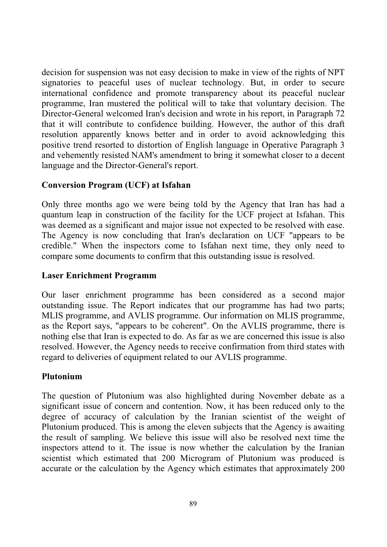decision for suspension was not easy decision to make in view of the rights of NPT signatories to peaceful uses of nuclear technology. But, in order to secure international confidence and promote transparency about its peaceful nuclear programme, Iran mustered the political will to take that voluntary decision. The Director-General welcomed Iran's decision and wrote in his report, in Paragraph 72 that it will contribute to confidence building. However, the author of this draft resolution apparently knows better and in order to avoid acknowledging this positive trend resorted to distortion of English language in Operative Paragraph 3 and vehemently resisted NAM's amendment to bring it somewhat closer to a decent language and the Director-General's report.

## **Conversion Program (UCF) at Isfahan**

Only three months ago we were being told by the Agency that Iran has had a quantum leap in construction of the facility for the UCF project at Isfahan. This was deemed as a significant and major issue not expected to be resolved with ease. The Agency is now concluding that Iran's declaration on UCF "appears to be credible." When the inspectors come to Isfahan next time, they only need to compare some documents to confirm that this outstanding issue is resolved.

## **Laser Enrichment Programm**

Our laser enrichment programme has been considered as a second major outstanding issue. The Report indicates that our programme has had two parts; MLIS programme, and AVLIS programme. Our information on MLIS programme, as the Report says, "appears to be coherent". On the AVLIS programme, there is nothing else that Iran is expected to do. As far as we are concerned this issue is also resolved. However, the Agency needs to receive confirmation from third states with regard to deliveries of equipment related to our AVLIS programme.

## **Plutonium**

The question of Plutonium was also highlighted during November debate as a significant issue of concern and contention. Now, it has been reduced only to the degree of accuracy of calculation by the Iranian scientist of the weight of Plutonium produced. This is among the eleven subjects that the Agency is awaiting the result of sampling. We believe this issue will also be resolved next time the inspectors attend to it. The issue is now whether the calculation by the Iranian scientist which estimated that 200 Microgram of Plutonium was produced is accurate or the calculation by the Agency which estimates that approximately 200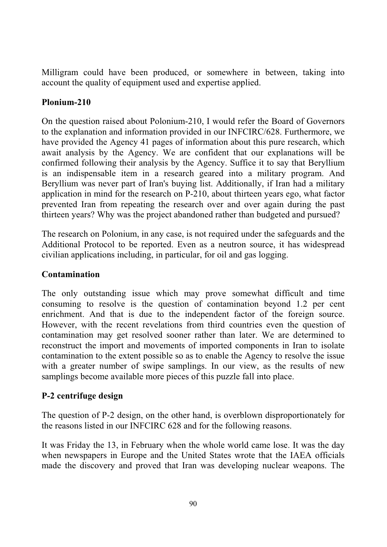Milligram could have been produced, or somewhere in between, taking into account the quality of equipment used and expertise applied.

## **Plonium-210**

On the question raised about Polonium-210, I would refer the Board of Governors to the explanation and information provided in our INFCIRC/628. Furthermore, we have provided the Agency 41 pages of information about this pure research, which await analysis by the Agency. We are confident that our explanations will be confirmed following their analysis by the Agency. Suffice it to say that Beryllium is an indispensable item in a research geared into a military program. And Beryllium was never part of Iran's buying list. Additionally, if Iran had a military application in mind for the research on P-210, about thirteen years ego, what factor prevented Iran from repeating the research over and over again during the past thirteen years? Why was the project abandoned rather than budgeted and pursued?

The research on Polonium, in any case, is not required under the safeguards and the Additional Protocol to be reported. Even as a neutron source, it has widespread civilian applications including, in particular, for oil and gas logging.

## **Contamination**

The only outstanding issue which may prove somewhat difficult and time consuming to resolve is the question of contamination beyond 1.2 per cent enrichment. And that is due to the independent factor of the foreign source. However, with the recent revelations from third countries even the question of contamination may get resolved sooner rather than later. We are determined to reconstruct the import and movements of imported components in Iran to isolate contamination to the extent possible so as to enable the Agency to resolve the issue with a greater number of swipe samplings. In our view, as the results of new samplings become available more pieces of this puzzle fall into place.

## **P-2 centrifuge design**

The question of P-2 design, on the other hand, is overblown disproportionately for the reasons listed in our INFCIRC 628 and for the following reasons.

It was Friday the 13, in February when the whole world came lose. It was the day when newspapers in Europe and the United States wrote that the IAEA officials made the discovery and proved that Iran was developing nuclear weapons. The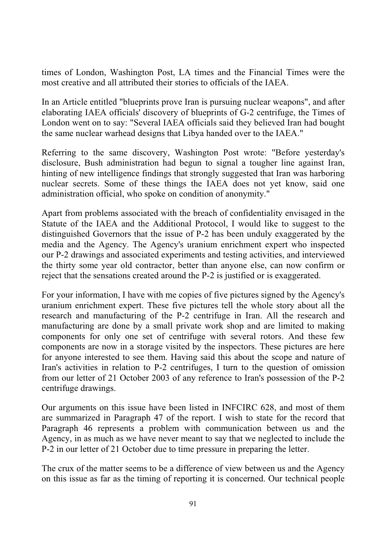times of London, Washington Post, LA times and the Financial Times were the most creative and all attributed their stories to officials of the IAEA.

In an Article entitled "blueprints prove Iran is pursuing nuclear weapons", and after elaborating IAEA officials' discovery of blueprints of G-2 centrifuge, the Times of London went on to say: "Several IAEA officials said they believed Iran had bought the same nuclear warhead designs that Libya handed over to the IAEA."

Referring to the same discovery, Washington Post wrote: "Before yesterday's disclosure, Bush administration had begun to signal a tougher line against Iran, hinting of new intelligence findings that strongly suggested that Iran was harboring nuclear secrets. Some of these things the IAEA does not yet know, said one administration official, who spoke on condition of anonymity."

Apart from problems associated with the breach of confidentiality envisaged in the Statute of the IAEA and the Additional Protocol, I would like to suggest to the distinguished Governors that the issue of P-2 has been unduly exaggerated by the media and the Agency. The Agency's uranium enrichment expert who inspected our P-2 drawings and associated experiments and testing activities, and interviewed the thirty some year old contractor, better than anyone else, can now confirm or reject that the sensations created around the P-2 is justified or is exaggerated.

For your information, I have with me copies of five pictures signed by the Agency's uranium enrichment expert. These five pictures tell the whole story about all the research and manufacturing of the P-2 centrifuge in Iran. All the research and manufacturing are done by a small private work shop and are limited to making components for only one set of centrifuge with several rotors. And these few components are now in a storage visited by the inspectors. These pictures are here for anyone interested to see them. Having said this about the scope and nature of Iran's activities in relation to P-2 centrifuges, I turn to the question of omission from our letter of 21 October 2003 of any reference to Iran's possession of the P-2 centrifuge drawings.

Our arguments on this issue have been listed in INFCIRC 628, and most of them are summarized in Paragraph 47 of the report. I wish to state for the record that Paragraph 46 represents a problem with communication between us and the Agency, in as much as we have never meant to say that we neglected to include the P-2 in our letter of 21 October due to time pressure in preparing the letter.

The crux of the matter seems to be a difference of view between us and the Agency on this issue as far as the timing of reporting it is concerned. Our technical people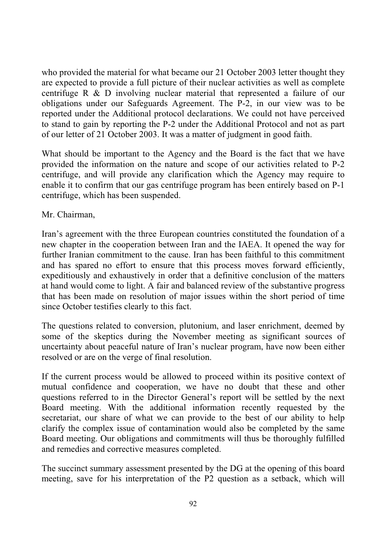who provided the material for what became our 21 October 2003 letter thought they are expected to provide a full picture of their nuclear activities as well as complete centrifuge R & D involving nuclear material that represented a failure of our obligations under our Safeguards Agreement. The P-2, in our view was to be reported under the Additional protocol declarations. We could not have perceived to stand to gain by reporting the P-2 under the Additional Protocol and not as part of our letter of 21 October 2003. It was a matter of judgment in good faith.

What should be important to the Agency and the Board is the fact that we have provided the information on the nature and scope of our activities related to P-2 centrifuge, and will provide any clarification which the Agency may require to enable it to confirm that our gas centrifuge program has been entirely based on P-1 centrifuge, which has been suspended.

#### Mr. Chairman,

Iran's agreement with the three European countries constituted the foundation of a new chapter in the cooperation between Iran and the IAEA. It opened the way for further Iranian commitment to the cause. Iran has been faithful to this commitment and has spared no effort to ensure that this process moves forward efficiently, expeditiously and exhaustively in order that a definitive conclusion of the matters at hand would come to light. A fair and balanced review of the substantive progress that has been made on resolution of major issues within the short period of time since October testifies clearly to this fact.

The questions related to conversion, plutonium, and laser enrichment, deemed by some of the skeptics during the November meeting as significant sources of uncertainty about peaceful nature of Iran's nuclear program, have now been either resolved or are on the verge of final resolution.

If the current process would be allowed to proceed within its positive context of mutual confidence and cooperation, we have no doubt that these and other questions referred to in the Director General's report will be settled by the next Board meeting. With the additional information recently requested by the secretariat, our share of what we can provide to the best of our ability to help clarify the complex issue of contamination would also be completed by the same Board meeting. Our obligations and commitments will thus be thoroughly fulfilled and remedies and corrective measures completed.

The succinct summary assessment presented by the DG at the opening of this board meeting, save for his interpretation of the P2 question as a setback, which will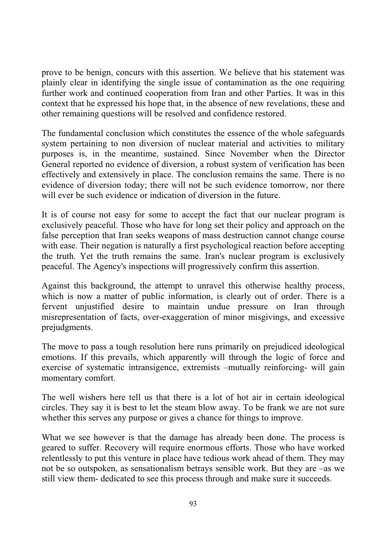prove to be benign, concurs with this assertion. We believe that his statement was plainly clear in identifying the single issue of contamination as the one requiring further work and continued cooperation from Iran and other Parties. It was in this context that he expressed his hope that, in the absence of new revelations, these and other remaining questions will be resolved and confidence restored.

The fundamental conclusion which constitutes the essence of the whole safeguards system pertaining to non diversion of nuclear material and activities to military purposes is, in the meantime, sustained. Since November when the Director General reported no evidence of diversion, a robust system of verification has been effectively and extensively in place. The conclusion remains the same. There is no evidence of diversion today; there will not be such evidence tomorrow, nor there will ever be such evidence or indication of diversion in the future.

It is of course not easy for some to accept the fact that our nuclear program is exclusively peaceful. Those who have for long set their policy and approach on the false perception that Iran seeks weapons of mass destruction cannot change course with ease. Their negation is naturally a first psychological reaction before accepting the truth. Yet the truth remains the same. Iran's nuclear program is exclusively peaceful. The Agency's inspections will progressively confirm this assertion.

Against this background, the attempt to unravel this otherwise healthy process, which is now a matter of public information, is clearly out of order. There is a fervent unjustified desire to maintain undue pressure on Iran through misrepresentation of facts, over-exaggeration of minor misgivings, and excessive prejudgments.

The move to pass a tough resolution here runs primarily on prejudiced ideological emotions. If this prevails, which apparently will through the logic of force and exercise of systematic intransigence, extremists –mutually reinforcing- will gain momentary comfort.

The well wishers here tell us that there is a lot of hot air in certain ideological circles. They say it is best to let the steam blow away. To be frank we are not sure whether this serves any purpose or gives a chance for things to improve.

What we see however is that the damage has already been done. The process is geared to suffer. Recovery will require enormous efforts. Those who have worked relentlessly to put this venture in place have tedious work ahead of them. They may not be so outspoken, as sensationalism betrays sensible work. But they are –as we still view them- dedicated to see this process through and make sure it succeeds.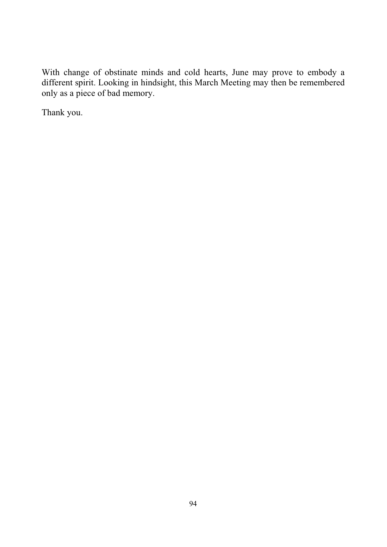With change of obstinate minds and cold hearts, June may prove to embody a different spirit. Looking in hindsight, this March Meeting may then be remembered only as a piece of bad memory.

Thank you.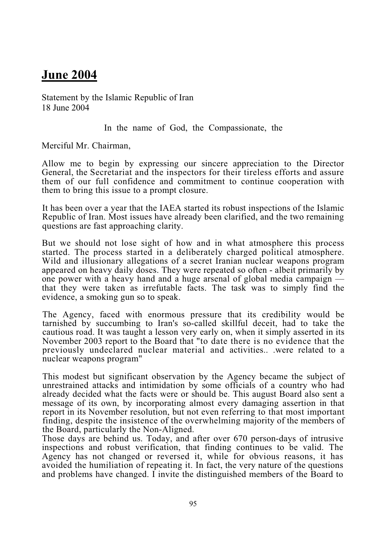## **June 2004**

Statement by the Islamic Republic of Iran 18 June 2004

In the name of God, the Compassionate, the

Merciful Mr. Chairman,

Allow me to begin by expressing our sincere appreciation to the Director General, the Secretariat and the inspectors for their tireless efforts and assure them of our full confidence and commitment to continue cooperation with them to bring this issue to a prompt closure.

It has been over a year that the IAEA started its robust inspections of the Islamic Republic of Iran. Most issues have already been clarified, and the two remaining questions are fast approaching clarity.

But we should not lose sight of how and in what atmosphere this process started. The process started in a deliberately charged political atmosphere. Wild and illusionary allegations of a secret Iranian nuclear weapons program appeared on heavy daily doses. They were repeated so often - albeit primarily by one power with a heavy hand and a huge arsenal of global media campaign that they were taken as irrefutable facts. The task was to simply find the evidence, a smoking gun so to speak.

The Agency, faced with enormous pressure that its credibility would be tarnished by succumbing to Iran's so-called skillful deceit, had to take the cautious road. It was taught a lesson very early on, when it simply asserted in its November 2003 report to the Board that "to date there is no evidence that the previously undeclared nuclear material and activities.. .were related to a nuclear weapons program"

This modest but significant observation by the Agency became the subject of unrestrained attacks and intimidation by some officials of a country who had already decided what the facts were or should be. This august Board also sent a message of its own, by incorporating almost every damaging assertion in that report in its November resolution, but not even referring to that most important finding, despite the insistence of the overwhelming majority of the members of the Board, particularly the Non-Aligned.

Those days are behind us. Today, and after over 670 person-days of intrusive inspections and robust verification, that finding continues to be valid. The Agency has not changed or reversed it, while for obvious reasons, it has avoided the humiliation of repeating it. In fact, the very nature of the questions and problems have changed. I invite the distinguished members of the Board to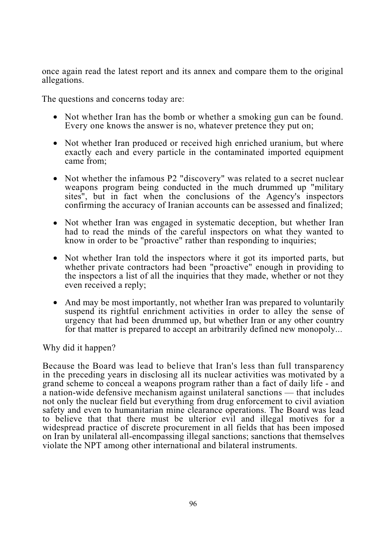once again read the latest report and its annex and compare them to the original allegations.

The questions and concerns today are:

- Not whether Iran has the bomb or whether a smoking gun can be found. Every one knows the answer is no, whatever pretence they put on;
- Not whether Iran produced or received high enriched uranium, but where exactly each and every particle in the contaminated imported equipment came from;
- Not whether the infamous P2 "discovery" was related to a secret nuclear weapons program being conducted in the much drummed up "military sites", but in fact when the conclusions of the Agency's inspectors confirming the accuracy of Iranian accounts can be assessed and finalized;
- Not whether Iran was engaged in systematic deception, but whether Iran had to read the minds of the careful inspectors on what they wanted to know in order to be "proactive" rather than responding to inquiries;
- Not whether Iran told the inspectors where it got its imported parts, but whether private contractors had been "proactive" enough in providing to the inspectors a list of all the inquiries that they made, whether or not they even received a reply;
- And may be most importantly, not whether Iran was prepared to voluntarily suspend its rightful enrichment activities in order to alley the sense of urgency that had been drummed up, but whether Iran or any other country for that matter is prepared to accept an arbitrarily defined new monopoly...

Why did it happen?

Because the Board was lead to believe that Iran's less than full transparency in the preceding years in disclosing all its nuclear activities was motivated by a grand scheme to conceal a weapons program rather than a fact of daily life - and a nation-wide defensive mechanism against unilateral sanctions — that includes not only the nuclear field but everything from drug enforcement to civil aviation safety and even to humanitarian mine clearance operations. The Board was lead to believe that that there must be ulterior evil and illegal motives for a widespread practice of discrete procurement in all fields that has been imposed on Iran by unilateral all-encompassing illegal sanctions; sanctions that themselves violate the NPT among other international and bilateral instruments.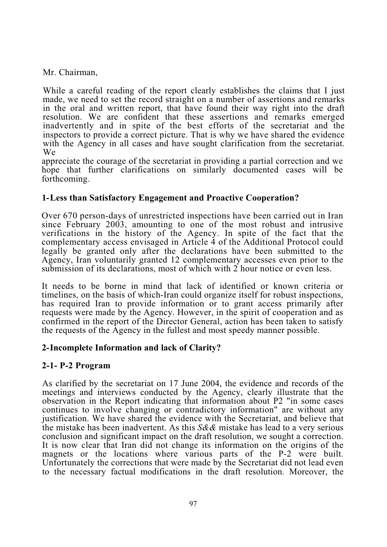Mr. Chairman,

While a careful reading of the report clearly establishes the claims that I just made, we need to set the record straight on a number of assertions and remarks in the oral and written report, that have found their way right into the draft resolution. We are confident that these assertions and remarks emerged inadvertently and in spite of the best efforts of the secretariat and the inspectors to provide a correct picture. That is why we have shared the evidence with the Agency in all cases and have sought clarification from the secretariat. We

appreciate the courage of the secretariat in providing a partial correction and we hope that further clarifications on similarly documented cases will be forthcoming.

#### **1- Less than Satisfactory Engagement and Proactive Cooperation?**

Over 670 person-days of unrestricted inspections have been carried out in Iran since February 2003, amounting to one of the most robust and intrusive verifications in the history of the Agency. In spite of the fact that the complementary access envisaged in Article 4 of the Additional Protocol could legally be granted only after the declarations have been submitted to the Agency, Iran voluntarily granted 12 complementary accesses even prior to the submission of its declarations, most of which with 2 hour notice or even less.

It needs to be borne in mind that lack of identified or known criteria or timelines, on the basis of which-Iran could organize itself for robust inspections, has required Iran to provide information or to grant access primarily after requests were made by the Agency. However, in the spirit of cooperation and as confirmed in the report of the Director General, action has been taken to satisfy the requests of the Agency in the fullest and most speedy manner possible.

#### **2- Incomplete Information and lack of Clarity?**

## **2-1- P-2 Program**

As clarified by the secretariat on 17 June 2004, the evidence and records of the meetings and interviews conducted by the Agency, clearly illustrate that the observation in the Report indicating that information about P2 "in some cases continues to involve changing or contradictory information" are without any justification. We have shared the evidence with the Secretariat, and believe that the mistake has been inadvertent. As this *S&&* mistake has lead to a very serious conclusion and significant impact on the draft resolution, we sought a correction. It is now clear that Iran did not change its information on the origins of the magnets or the locations where various parts of the P-2 were built. Unfortunately the corrections that were made by the Secretariat did not lead even to the necessary factual modifications in the draft resolution. Moreover, the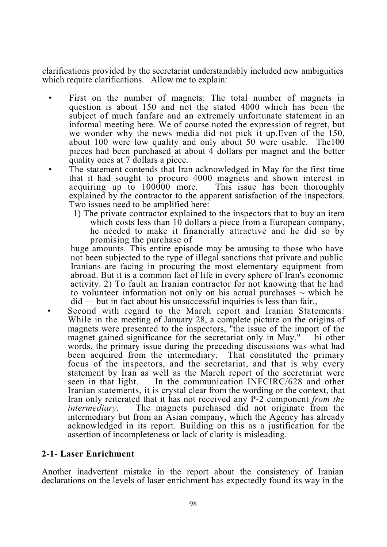clarifications provided by the secretariat understandably included new ambiguities which require clarifications. Allow me to explain:

- First on the number of magnets: The total number of magnets in question is about 150 and not the stated 4000 which has been the subject of much fanfare and an extremely unfortunate statement in an informal meeting here. We of course noted the expression of regret, but we wonder why the news media did not pick it up.Even of the 150, about 100 were low quality and only about 50 were usable. The100 pieces had been purchased at about 4 dollars per magnet and the better quality ones at 7 dollars a piece.
- The statement contends that Iran acknowledged in May for the first time that it had sought to procure 4000 magnets and shown interest in acquiring up to 100000 more. This issue has been thoroughly explained by the contractor to the apparent satisfaction of the inspectors. Two issues need to be amplified here:
	- 1) The private contractor explained to the inspectors that to buy an item which costs less than 10 dollars a piece from a European company, he needed to make it financially attractive and he did so by promising the purchase of

huge amounts. This entire episode may be amusing to those who have not been subjected to the type of illegal sanctions that private and public Iranians are facing in procuring the most elementary equipment from abroad. But it is a common fact of life in every sphere of Iran's economic activity. 2) To fault an Iranian contractor for not knowing that he had to volunteer information not only on his actual purchases  $\sim$  which he did — but in fact about his unsuccessful inquiries is less than fair.,

Second with regard to the March report and Iranian Statements: While in the meeting of January 28, a complete picture on the origins of magnets were presented to the inspectors, "the issue of the import of the magnet gained significance for the secretariat only in May." hi other words, the primary issue during the preceding discussions was what had been acquired from the intermediary. That constituted the primary focus of the inspectors, and the secretariat, and that is why every statement by Iran as well as the March report of the secretariat were<br>seen in that light. In the communication INFCIRC/628 and other In the communication INFCIRC/628 and other Iranian statements, it is crystal clear from the wording or the context, that Iran only reiterated that it has not received any P-2 component *from the intermediary.* The magnets purchased did not originate from the intermediary but from an Asian company, which the Agency has already acknowledged in its report. Building on this as a justification for the assertion of incompleteness or lack of clarity is misleading.

#### **2-1- Laser Enrichment**

Another inadvertent mistake in the report about the consistency of Iranian declarations on the levels of laser enrichment has expectedly found its way in the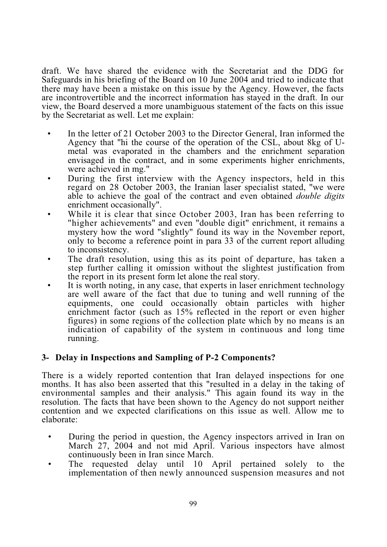draft. We have shared the evidence with the Secretariat and the DDG for Safeguards in his briefing of the Board on 10 June 2004 and tried to indicate that there may have been a mistake on this issue by the Agency. However, the facts are incontrovertible and the incorrect information has stayed in the draft. In our view, the Board deserved a more unambiguous statement of the facts on this issue by the Secretariat as well. Let me explain:

- In the letter of 21 October 2003 to the Director General, Iran informed the Agency that "hi the course of the operation of the CSL, about 8kg of Umetal was evaporated in the chambers and the enrichment separation envisaged in the contract, and in some experiments higher enrichments, were achieved in mg."
- During the first interview with the Agency inspectors, held in this regard on 28 October 2003, the Iranian laser specialist stated, "we were able to achieve the goal of the contract and even obtained *double digits*  enrichment occasionally".
- While it is clear that since October 2003, Iran has been referring to "higher achievements" and even "double digit" enrichment, it remains a mystery how the word "slightly" found its way in the November report, only to become a reference point in para 33 of the current report alluding to inconsistency.
- The draft resolution, using this as its point of departure, has taken a step further calling it omission without the slightest justification from the report in its present form let alone the real story.
- It is worth noting, in any case, that experts in laser enrichment technology are well aware of the fact that due to tuning and well running of the equipments, one could occasionally obtain particles with higher enrichment factor (such as 15% reflected in the report or even higher figures) in some regions of the collection plate which by no means is an indication of capability of the system in continuous and long time running.

#### **3- Delay in Inspections and Sampling of P-2 Components?**

There is a widely reported contention that Iran delayed inspections for one months. It has also been asserted that this "resulted in a delay in the taking of environmental samples and their analysis." This again found its way in the resolution. The facts that have been shown to the Agency do not support neither contention and we expected clarifications on this issue as well. Allow me to elaborate:

- During the period in question, the Agency inspectors arrived in Iran on March 27, 2004 and not mid April. Various inspectors have almost continuously been in Iran since March.
- The requested delay until 10 April pertained solely to the implementation of then newly announced suspension measures and not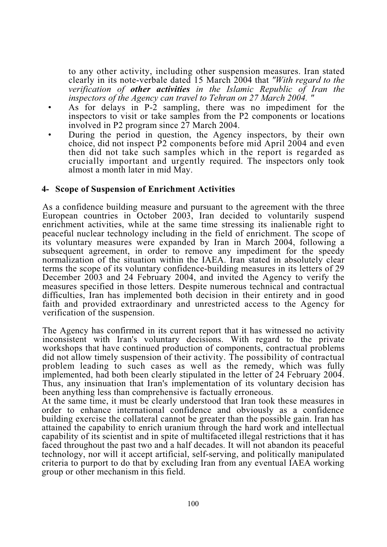to any other activity, including other suspension measures. Iran stated clearly in its note-verbale dated 15 March 2004 that *"With regard to the verification of other activities in the Islamic Republic of Iran the inspectors of the Agency can travel to Tehran on 27 March 2004. "*

- As for delays in P-2 sampling, there was no impediment for the inspectors to visit or take samples from the P2 components or locations involved in P2 program since 27 March 2004.
- During the period in question, the Agency inspectors, by their own choice, did not inspect P2 components before mid April 2004 and even then did not take such samples which in the report is regarded as crucially important and urgently required. The inspectors only took almost a month later in mid May.

#### **4- Scope of Suspension of Enrichment Activities**

As a confidence building measure and pursuant to the agreement with the three European countries in October 2003, Iran decided to voluntarily suspend enrichment activities, while at the same time stressing its inalienable right to peaceful nuclear technology including in the field of enrichment. The scope of its voluntary measures were expanded by Iran in March 2004, following a subsequent agreement, in order to remove any impediment for the speedy normalization of the situation within the IAEA. Iran stated in absolutely clear terms the scope of its voluntary confidence-building measures in its letters of 29 December 2003 and 24 February 2004, and invited the Agency to verify the measures specified in those letters. Despite numerous technical and contractual difficulties, Iran has implemented both decision in their entirety and in good faith and provided extraordinary and unrestricted access to the Agency for verification of the suspension.

The Agency has confirmed in its current report that it has witnessed no activity inconsistent with Iran's voluntary decisions. With regard to the private workshops that have continued production of components, contractual problems did not allow timely suspension of their activity. The possibility of contractual problem leading to such cases as well as the remedy, which was fully implemented, had both been clearly stipulated in the letter of 24 February 2004. Thus, any insinuation that Iran's implementation of its voluntary decision has been anything less than comprehensive is factually erroneous.

At the same time, it must be clearly understood that Iran took these measures in order to enhance international confidence and obviously as a confidence building exercise the collateral cannot be greater than the possible gain. Iran has attained the capability to enrich uranium through the hard work and intellectual capability of its scientist and in spite of multifaceted illegal restrictions that it has faced throughout the past two and a half decades. It will not abandon its peaceful technology, nor will it accept artificial, self-serving, and politically manipulated criteria to purport to do that by excluding Iran from any eventual IAEA working group or other mechanism in this field.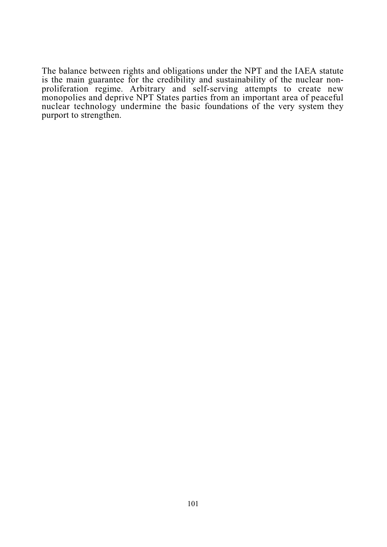The balance between rights and obligations under the NPT and the IAEA statute is the main guarantee for the credibility and sustainability of the nuclear nonproliferation regime. Arbitrary and self-serving attempts to create new monopolies and deprive NPT States parties from an important area of peaceful nuclear technology undermine the basic foundations of the very system they purport to strengthen.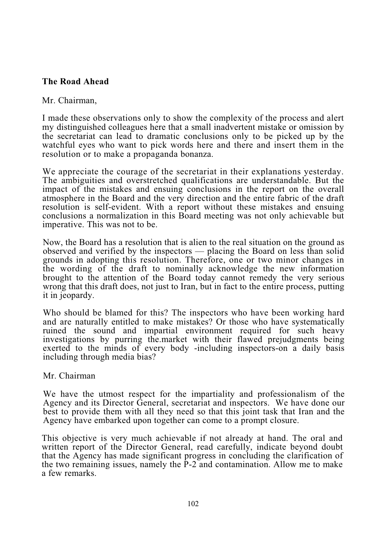#### **The Road Ahead**

#### Mr. Chairman,

I made these observations only to show the complexity of the process and alert my distinguished colleagues here that a small inadvertent mistake or omission by the secretariat can lead to dramatic conclusions only to be picked up by the watchful eyes who want to pick words here and there and insert them in the resolution or to make a propaganda bonanza.

We appreciate the courage of the secretariat in their explanations yesterday. The ambiguities and overstretched qualifications are understandable. But the impact of the mistakes and ensuing conclusions in the report on the overall atmosphere in the Board and the very direction and the entire fabric of the draft resolution is self-evident. With a report without these mistakes and ensuing conclusions a normalization in this Board meeting was not only achievable but imperative. This was not to be.

Now, the Board has a resolution that is alien to the real situation on the ground as observed and verified by the inspectors — placing the Board on less than solid grounds in adopting this resolution. Therefore, one or two minor changes in the wording of the draft to nominally acknowledge the new information brought to the attention of the Board today cannot remedy the very serious wrong that this draft does, not just to Iran, but in fact to the entire process, putting it in jeopardy.

Who should be blamed for this? The inspectors who have been working hard and are naturally entitled to make mistakes? Or those who have systematically ruined the sound and impartial environment required for such heavy investigations by purring the.market with their flawed prejudgments being exerted to the minds of every body -including inspectors-on a daily basis including through media bias?

#### Mr. Chairman

We have the utmost respect for the impartiality and professionalism of the Agency and its Director General, secretariat and inspectors. We have done our best to provide them with all they need so that this joint task that Iran and the Agency have embarked upon together can come to a prompt closure.

This objective is very much achievable if not already at hand. The oral and written report of the Director General, read carefully, indicate beyond doubt that the Agency has made significant progress in concluding the clarification of the two remaining issues, namely the P-2 and contamination. Allow me to make a few remarks.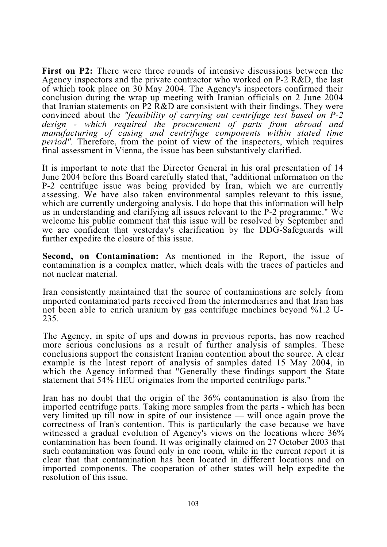**First on P2:** There were three rounds of intensive discussions between the Agency inspectors and the private contractor who worked on P-2 R&D, the last of which took place on 30 May 2004. The Agency's inspectors confirmed their conclusion during the wrap up meeting with Iranian officials on 2 June 2004 that Iranian statements on P2 R&D are consistent with their findings. They were convinced about the *"feasibility of carrying out centrifuge test based on P-2 design - which required the procurement of parts from abroad and manufacturing of casing and centrifuge components within stated time period"*. Therefore, from the point of view of the inspectors, which requires final assessment in Vienna, the issue has been substantively clarified.

It is important to note that the Director General in his oral presentation of 14 June 2004 before this Board carefully stated that, "additional information on the P-2 centrifuge issue was being provided by Iran, which we are currently assessing. We have also taken environmental samples relevant to this issue, which are currently undergoing analysis. I do hope that this information will help us in understanding and clarifying all issues relevant to the P-2 programme." We welcome his public comment that this issue will be resolved by September and we are confident that yesterday's clarification by the DDG-Safeguards will further expedite the closure of this issue.

**Second, on Contamination:** As mentioned in the Report, the issue of contamination is a complex matter, which deals with the traces of particles and not nuclear material.

Iran consistently maintained that the source of contaminations are solely from imported contaminated parts received from the intermediaries and that Iran has not been able to enrich uranium by gas centrifuge machines beyond %1.2 U-235.

The Agency, in spite of ups and downs in previous reports, has now reached more serious conclusions as a result of further analysis of samples. These conclusions support the consistent Iranian contention about the source. A clear example is the latest report of analysis of samples dated 15 May 2004, in which the Agency informed that "Generally these findings support the State statement that 54% HEU originates from the imported centrifuge parts."

Iran has no doubt that the origin of the 36% contamination is also from the imported centrifuge parts. Taking more samples from the parts - which has been very limited up till now in spite of our insistence — will once again prove the correctness of Iran's contention. This is particularly the case because we have witnessed a gradual evolution of Agency's views on the locations where 36% contamination has been found. It was originally claimed on 27 October 2003 that such contamination was found only in one room, while in the current report it is clear that that contamination has been located in different locations and on imported components. The cooperation of other states will help expedite the resolution of this issue.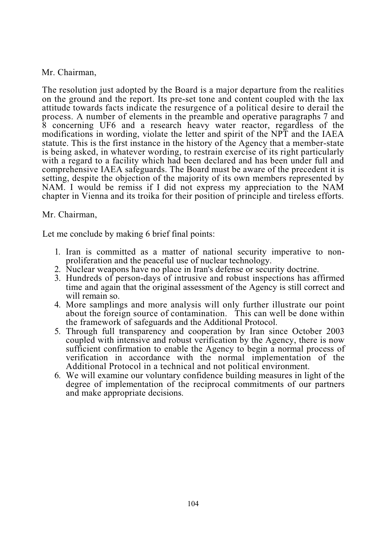#### Mr. Chairman,

The resolution just adopted by the Board is a major departure from the realities on the ground and the report. Its pre-set tone and content coupled with the lax attitude towards facts indicate the resurgence of a political desire to derail the process. A number of elements in the preamble and operative paragraphs 7 and 8 concerning UF6 and a research heavy water reactor, regardless of the modifications in wording, violate the letter and spirit of the NPT and the IAEA statute. This is the first instance in the history of the Agency that a member-state is being asked, in whatever wording, to restrain exercise of its right particularly with a regard to a facility which had been declared and has been under full and comprehensive IAEA safeguards. The Board must be aware of the precedent it is setting, despite the objection of the majority of its own members represented by NAM. I would be remiss if I did not express my appreciation to the NAM chapter in Vienna and its troika for their position of principle and tireless efforts.

#### Mr. Chairman,

Let me conclude by making 6 brief final points:

- 1. Iran is committed as a matter of national security imperative to nonproliferation and the peaceful use of nuclear technology.
- 2. Nuclear weapons have no place in Iran's defense or security doctrine.
- 3. Hundreds of person-days of intrusive and robust inspections has affirmed time and again that the original assessment of the Agency is still correct and will remain so.
- 4. More samplings and more analysis will only further illustrate our point about the foreign source of contamination. This can well be done within the framework of safeguards and the Additional Protocol.
- 5. Through full transparency and cooperation by Iran since October 2003 coupled with intensive and robust verification by the Agency, there is now sufficient confirmation to enable the Agency to begin a normal process of verification in accordance with the normal implementation of the Additional Protocol in a technical and not political environment.
- 6. We will examine our voluntary confidence building measures in light of the degree of implementation of the reciprocal commitments of our partners and make appropriate decisions.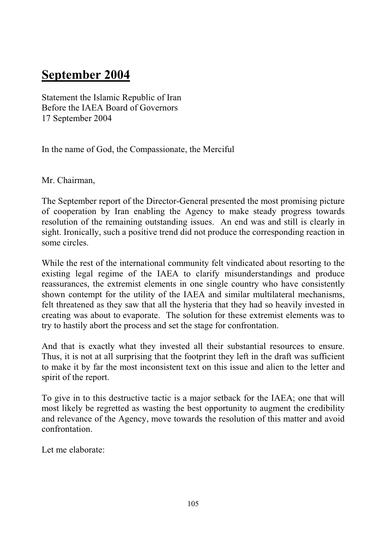# **September 2004**

Statement the Islamic Republic of Iran Before the IAEA Board of Governors 17 September 2004

In the name of God, the Compassionate, the Merciful

Mr. Chairman,

The September report of the Director-General presented the most promising picture of cooperation by Iran enabling the Agency to make steady progress towards resolution of the remaining outstanding issues. An end was and still is clearly in sight. Ironically, such a positive trend did not produce the corresponding reaction in some circles.

While the rest of the international community felt vindicated about resorting to the existing legal regime of the IAEA to clarify misunderstandings and produce reassurances, the extremist elements in one single country who have consistently shown contempt for the utility of the IAEA and similar multilateral mechanisms, felt threatened as they saw that all the hysteria that they had so heavily invested in creating was about to evaporate. The solution for these extremist elements was to try to hastily abort the process and set the stage for confrontation.

And that is exactly what they invested all their substantial resources to ensure. Thus, it is not at all surprising that the footprint they left in the draft was sufficient to make it by far the most inconsistent text on this issue and alien to the letter and spirit of the report.

To give in to this destructive tactic is a major setback for the IAEA; one that will most likely be regretted as wasting the best opportunity to augment the credibility and relevance of the Agency, move towards the resolution of this matter and avoid confrontation.

Let me elaborate: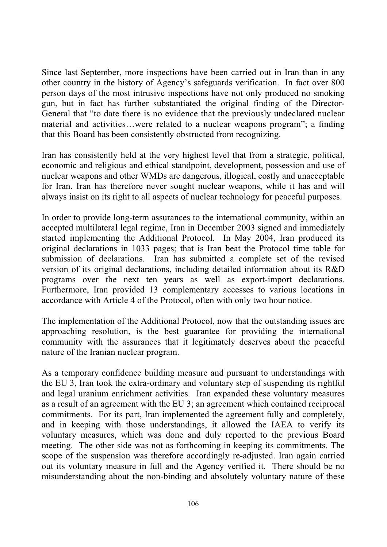Since last September, more inspections have been carried out in Iran than in any other country in the history of Agency's safeguards verification. In fact over 800 person days of the most intrusive inspections have not only produced no smoking gun, but in fact has further substantiated the original finding of the Director-General that "to date there is no evidence that the previously undeclared nuclear material and activities…were related to a nuclear weapons program"; a finding that this Board has been consistently obstructed from recognizing.

Iran has consistently held at the very highest level that from a strategic, political, economic and religious and ethical standpoint, development, possession and use of nuclear weapons and other WMDs are dangerous, illogical, costly and unacceptable for Iran. Iran has therefore never sought nuclear weapons, while it has and will always insist on its right to all aspects of nuclear technology for peaceful purposes.

In order to provide long-term assurances to the international community, within an accepted multilateral legal regime, Iran in December 2003 signed and immediately started implementing the Additional Protocol. In May 2004, Iran produced its original declarations in 1033 pages; that is Iran beat the Protocol time table for submission of declarations. Iran has submitted a complete set of the revised version of its original declarations, including detailed information about its R&D programs over the next ten years as well as export-import declarations. Furthermore, Iran provided 13 complementary accesses to various locations in accordance with Article 4 of the Protocol, often with only two hour notice.

The implementation of the Additional Protocol, now that the outstanding issues are approaching resolution, is the best guarantee for providing the international community with the assurances that it legitimately deserves about the peaceful nature of the Iranian nuclear program.

As a temporary confidence building measure and pursuant to understandings with the EU 3, Iran took the extra-ordinary and voluntary step of suspending its rightful and legal uranium enrichment activities. Iran expanded these voluntary measures as a result of an agreement with the EU 3; an agreement which contained reciprocal commitments. For its part, Iran implemented the agreement fully and completely, and in keeping with those understandings, it allowed the IAEA to verify its voluntary measures, which was done and duly reported to the previous Board meeting. The other side was not as forthcoming in keeping its commitments. The scope of the suspension was therefore accordingly re-adjusted. Iran again carried out its voluntary measure in full and the Agency verified it. There should be no misunderstanding about the non-binding and absolutely voluntary nature of these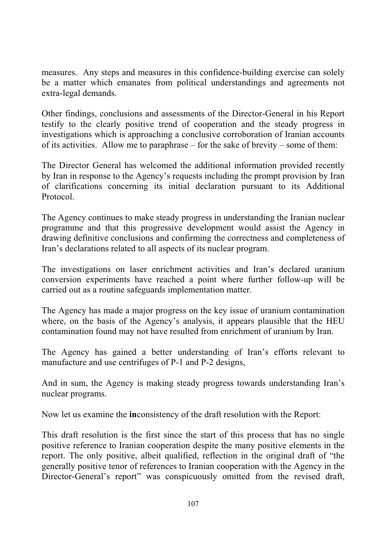measures. Any steps and measures in this confidence-building exercise can solely be a matter which emanates from political understandings and agreements not extra-legal demands.

Other findings, conclusions and assessments of the Director-General in his Report testify to the clearly positive trend of cooperation and the steady progress in investigations which is approaching a conclusive corroboration of Iranian accounts of its activities. Allow me to paraphrase – for the sake of brevity – some of them:

The Director General has welcomed the additional information provided recently by Iran in response to the Agency's requests including the prompt provision by Iran of clarifications concerning its initial declaration pursuant to its Additional Protocol.

The Agency continues to make steady progress in understanding the Iranian nuclear programme and that this progressive development would assist the Agency in drawing definitive conclusions and confirming the correctness and completeness of Iran's declarations related to all aspects of its nuclear program.

The investigations on laser enrichment activities and Iran's declared uranium conversion experiments have reached a point where further follow-up will be carried out as a routine safeguards implementation matter.

The Agency has made a major progress on the key issue of uranium contamination where, on the basis of the Agency's analysis, it appears plausible that the HEU contamination found may not have resulted from enrichment of uranium by Iran.

The Agency has gained a better understanding of Iran's efforts relevant to manufacture and use centrifuges of P-1 and P-2 designs,

And in sum, the Agency is making steady progress towards understanding Iran's nuclear programs.

Now let us examine the **in**consistency of the draft resolution with the Report:

This draft resolution is the first since the start of this process that has no single positive reference to Iranian cooperation despite the many positive elements in the report. The only positive, albeit qualified, reflection in the original draft of "the generally positive tenor of references to Iranian cooperation with the Agency in the Director-General's report" was conspicuously omitted from the revised draft,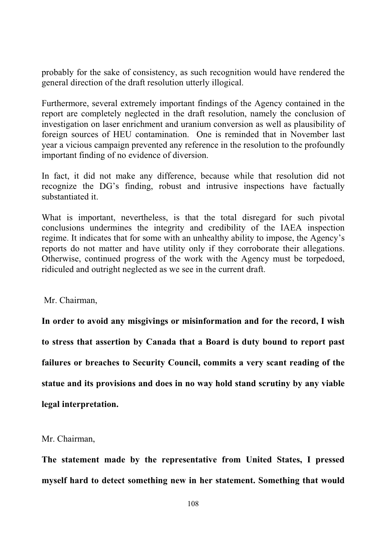probably for the sake of consistency, as such recognition would have rendered the general direction of the draft resolution utterly illogical.

Furthermore, several extremely important findings of the Agency contained in the report are completely neglected in the draft resolution, namely the conclusion of investigation on laser enrichment and uranium conversion as well as plausibility of foreign sources of HEU contamination. One is reminded that in November last year a vicious campaign prevented any reference in the resolution to the profoundly important finding of no evidence of diversion.

In fact, it did not make any difference, because while that resolution did not recognize the DG's finding, robust and intrusive inspections have factually substantiated it.

What is important, nevertheless, is that the total disregard for such pivotal conclusions undermines the integrity and credibility of the IAEA inspection regime. It indicates that for some with an unhealthy ability to impose, the Agency's reports do not matter and have utility only if they corroborate their allegations. Otherwise, continued progress of the work with the Agency must be torpedoed, ridiculed and outright neglected as we see in the current draft.

Mr. Chairman,

**In order to avoid any misgivings or misinformation and for the record, I wish to stress that assertion by Canada that a Board is duty bound to report past failures or breaches to Security Council, commits a very scant reading of the statue and its provisions and does in no way hold stand scrutiny by any viable legal interpretation.** 

Mr. Chairman,

**The statement made by the representative from United States, I pressed myself hard to detect something new in her statement. Something that would**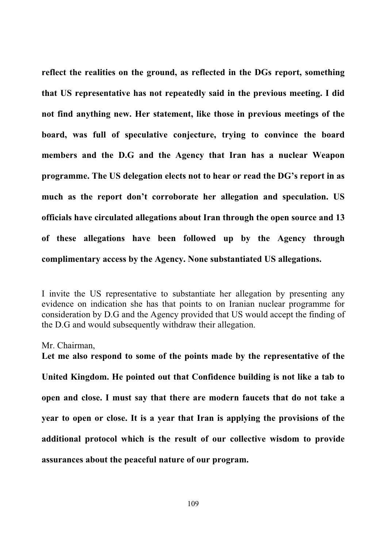**reflect the realities on the ground, as reflected in the DGs report, something that US representative has not repeatedly said in the previous meeting. I did not find anything new. Her statement, like those in previous meetings of the board, was full of speculative conjecture, trying to convince the board members and the D.G and the Agency that Iran has a nuclear Weapon programme. The US delegation elects not to hear or read the DG's report in as much as the report don't corroborate her allegation and speculation. US officials have circulated allegations about Iran through the open source and 13 of these allegations have been followed up by the Agency through complimentary access by the Agency. None substantiated US allegations.** 

I invite the US representative to substantiate her allegation by presenting any evidence on indication she has that points to on Iranian nuclear programme for consideration by D.G and the Agency provided that US would accept the finding of the D.G and would subsequently withdraw their allegation.

Mr. Chairman,

**Let me also respond to some of the points made by the representative of the United Kingdom. He pointed out that Confidence building is not like a tab to open and close. I must say that there are modern faucets that do not take a year to open or close. It is a year that Iran is applying the provisions of the additional protocol which is the result of our collective wisdom to provide assurances about the peaceful nature of our program.**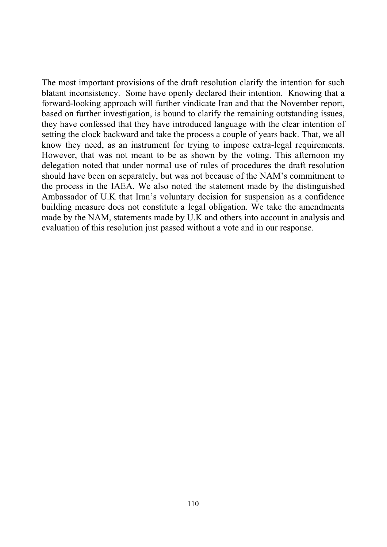The most important provisions of the draft resolution clarify the intention for such blatant inconsistency. Some have openly declared their intention. Knowing that a forward-looking approach will further vindicate Iran and that the November report, based on further investigation, is bound to clarify the remaining outstanding issues, they have confessed that they have introduced language with the clear intention of setting the clock backward and take the process a couple of years back. That, we all know they need, as an instrument for trying to impose extra-legal requirements. However, that was not meant to be as shown by the voting. This afternoon my delegation noted that under normal use of rules of procedures the draft resolution should have been on separately, but was not because of the NAM's commitment to the process in the IAEA. We also noted the statement made by the distinguished Ambassador of U.K that Iran's voluntary decision for suspension as a confidence building measure does not constitute a legal obligation. We take the amendments made by the NAM, statements made by U.K and others into account in analysis and evaluation of this resolution just passed without a vote and in our response.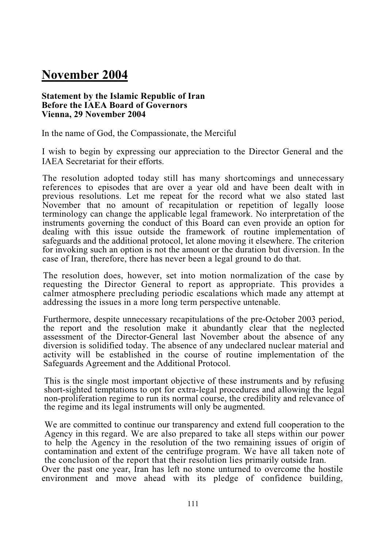## **November 2004**

#### **Statement by the Islamic Republic of Iran Before the IAEA Board of Governors Vienna, 29 November 2004**

In the name of God, the Compassionate, the Merciful

I wish to begin by expressing our appreciation to the Director General and the IAEA Secretariat for their efforts.

The resolution adopted today still has many shortcomings and unnecessary references to episodes that are over a year old and have been dealt with in previous resolutions. Let me repeat for the record what we also stated last November that no amount of recapitulation or repetition of legally loose terminology can change the applicable legal framework. No interpretation of the instruments governing the conduct of this Board can even provide an option for dealing with this issue outside the framework of routine implementation of safeguards and the additional protocol, let alone moving it elsewhere. The criterion for invoking such an option is not the amount or the duration but diversion. In the case of Iran, therefore, there has never been a legal ground to do that.

The resolution does, however, set into motion normalization of the case by requesting the Director General to report as appropriate. This provides a calmer atmosphere precluding periodic escalations which made any attempt at addressing the issues in a more long term perspective untenable.

Furthermore, despite unnecessary recapitulations of the pre-October 2003 period, the report and the resolution make it abundantly clear that the neglected assessment of the Director-General last November about the absence of any diversion is solidified today. The absence of any undeclared nuclear material and activity will be established in the course of routine implementation of the Safeguards Agreement and the Additional Protocol.

This is the single most important objective of these instruments and by refusing short-sighted temptations to opt for extra-legal procedures and allowing the legal non-proliferation regime to run its normal course, the credibility and relevance of the regime and its legal instruments will only be augmented.

We are committed to continue our transparency and extend full cooperation to the Agency in this regard. We are also prepared to take all steps within our power to help the Agency in the resolution of the two remaining issues of origin of contamination and extent of the centrifuge program. We have all taken note of the conclusion of the report that their resolution lies primarily outside Iran. Over the past one year, Iran has left no stone unturned to overcome the hostile environment and move ahead with its pledge of confidence building,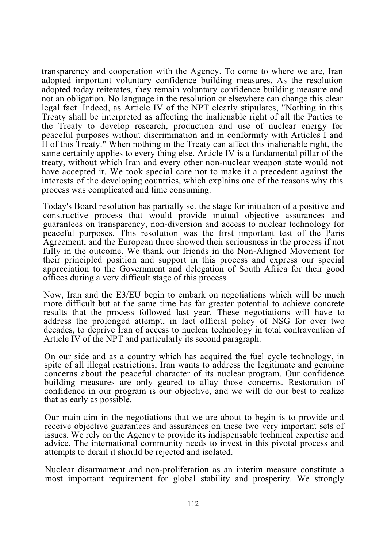transparency and cooperation with the Agency. To come to where we are, Iran adopted important voluntary confidence building measures. As the resolution adopted today reiterates, they remain voluntary confidence building measure and not an obligation. No language in the resolution or elsewhere can change this clear legal fact. Indeed, as Article IV of the NPT clearly stipulates, "Nothing in this Treaty shall be interpreted as affecting the inalienable right of all the Parties to the Treaty to develop research, production and use of nuclear energy for peaceful purposes without discrimination and in conformity with Articles I and II of this Treaty." When nothing in the Treaty can affect this inalienable right, the same certainly applies to every thing else. Article IV is a fundamental pillar of the treaty, without which Iran and every other non-nuclear weapon state would not have accepted it. We took special care not to make it a precedent against the interests of the developing countries, which explains one of the reasons why this process was complicated and time consuming.

Today's Board resolution has partially set the stage for initiation of a positive and constructive process that would provide mutual objective assurances and guarantees on transparency, non-diversion and access to nuclear technology for peaceful purposes. This resolution was the first important test of the Paris Agreement, and the European three showed their seriousness in the process if not fully in the outcome. We thank our friends in the Non-Aligned Movement for their principled position and support in this process and express our special appreciation to the Government and delegation of South Africa for their good offices during a very difficult stage of this process.

Now, Iran and the E3/EU begin to embark on negotiations which will be much more difficult but at the same time has far greater potential to achieve concrete results that the process followed last year. These negotiations will have to address the prolonged attempt, in fact official policy of NSG for over two decades, to deprive Iran of access to nuclear technology in total contravention of Article IV of the NPT and particularly its second paragraph.

On our side and as a country which has acquired the fuel cycle technology, in spite of all illegal restrictions, Iran wants to address the legitimate and genuine concerns about the peaceful character of its nuclear program. Our confidence building measures are only geared to allay those concerns. Restoration of confidence in our program is our objective, and we will do our best to realize that as early as possible.

Our main aim in the negotiations that we are about to begin is to provide and receive objective guarantees and assurances on these two very important sets of issues. We rely on the Agency to provide its indispensable technical expertise and advice. The international cornmunity needs to invest in this pivotal process and attempts to derail it should be rejected and isolated.

Nuclear disarmament and non-proliferation as an interim measure constitute a most important requirement for global stability and prosperity. We strongly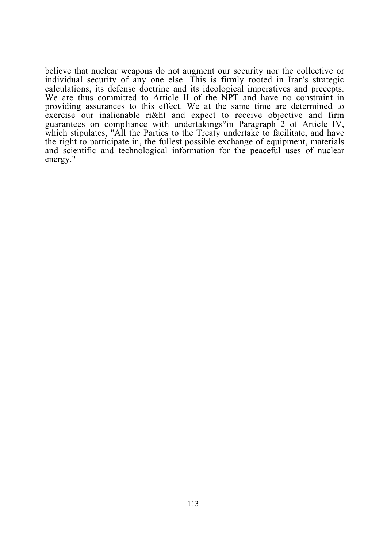believe that nuclear weapons do not augment our security nor the collective or individual security of any one else. This is firmly rooted in Iran's strategic calculations, its defense doctrine and its ideological imperatives and precepts. We are thus committed to Article II of the NPT and have no constraint in providing assurances to this effect. We at the same time are determined to exercise our inalienable ri&ht and expect to receive objective and firm guarantees on compliance with undertakings°in Paragraph 2 of Article IV, which stipulates, "All the Parties to the Treaty undertake to facilitate, and have the right to participate in, the fullest possible exchange of equipment, materials and scientific and technological information for the peaceful uses of nuclear energy."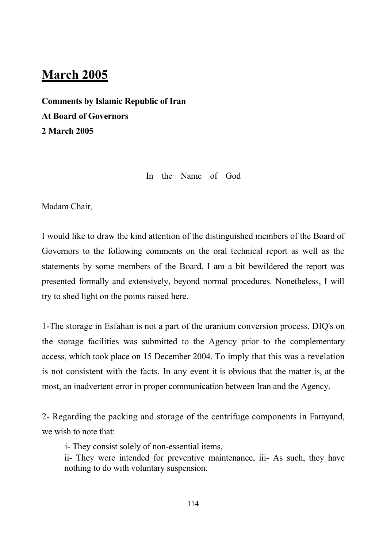### **March 2005**

**Comments by Islamic Republic of Iran At Board of Governors 2 March 2005**

In the Name of God

Madam Chair,

I would like to draw the kind attention of the distinguished members of the Board of Governors to the following comments on the oral technical report as well as the statements by some members of the Board. I am a bit bewildered the report was presented formally and extensively, beyond normal procedures. Nonetheless, I will try to shed light on the points raised here.

1-The storage in Esfahan is not a part of the uranium conversion process. DIQ's on the storage facilities was submitted to the Agency prior to the complementary access, which took place on 15 December 2004. To imply that this was a revelation is not consistent with the facts. In any event it is obvious that the matter is, at the most, an inadvertent error in proper communication between Iran and the Agency.

2- Regarding the packing and storage of the centrifuge components in Farayand, we wish to note that:

i- They consist solely of non-essential items,

ii- They were intended for preventive maintenance, iii- As such, they have nothing to do with voluntary suspension.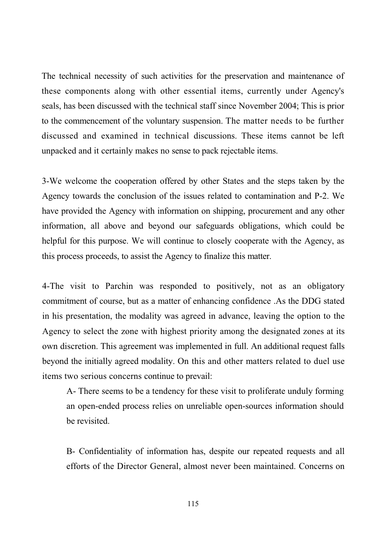The technical necessity of such activities for the preservation and maintenance of these components along with other essential items, currently under Agency's seals, has been discussed with the technical staff since November 2004; This is prior to the commencement of the voluntary suspension. The matter needs to be further discussed and examined in technical discussions. These items cannot be left unpacked and it certainly makes no sense to pack rejectable items.

3-We welcome the cooperation offered by other States and the steps taken by the Agency towards the conclusion of the issues related to contamination and P-2. We have provided the Agency with information on shipping, procurement and any other information, all above and beyond our safeguards obligations, which could be helpful for this purpose. We will continue to closely cooperate with the Agency, as this process proceeds, to assist the Agency to finalize this matter.

4-The visit to Parchin was responded to positively, not as an obligatory commitment of course, but as a matter of enhancing confidence .As the DDG stated in his presentation, the modality was agreed in advance, leaving the option to the Agency to select the zone with highest priority among the designated zones at its own discretion. This agreement was implemented in full. An additional request falls beyond the initially agreed modality. On this and other matters related to duel use items two serious concerns continue to prevail:

A- There seems to be a tendency for these visit to proliferate unduly forming an open-ended process relies on unreliable open-sources information should be revisited.

B- Confidentiality of information has, despite our repeated requests and all efforts of the Director General, almost never been maintained. Concerns on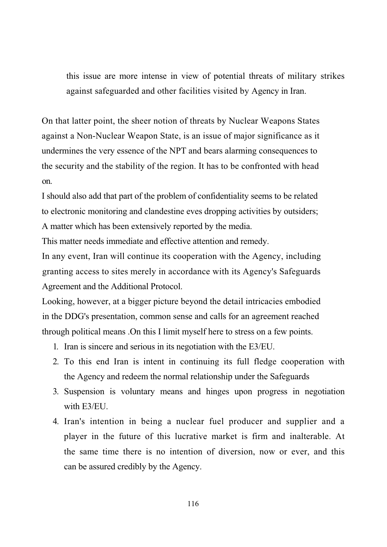this issue are more intense in view of potential threats of military strikes against safeguarded and other facilities visited by Agency in Iran.

On that latter point, the sheer notion of threats by Nuclear Weapons States against a Non-Nuclear Weapon State, is an issue of major significance as it undermines the very essence of the NPT and bears alarming consequences to the security and the stability of the region. It has to be confronted with head on.

I should also add that part of the problem of confidentiality seems to be related to electronic monitoring and clandestine eves dropping activities by outsiders; A matter which has been extensively reported by the media.

This matter needs immediate and effective attention and remedy.

In any event, Iran will continue its cooperation with the Agency, including granting access to sites merely in accordance with its Agency's Safeguards Agreement and the Additional Protocol.

Looking, however, at a bigger picture beyond the detail intricacies embodied in the DDG's presentation, common sense and calls for an agreement reached through political means .On this I limit myself here to stress on a few points.

- 1. Iran is sincere and serious in its negotiation with the E3/EU.
- 2. To this end Iran is intent in continuing its full fledge cooperation with the Agency and redeem the normal relationship under the Safeguards
- 3. Suspension is voluntary means and hinges upon progress in negotiation with E3/EU.
- 4. Iran's intention in being a nuclear fuel producer and supplier and a player in the future of this lucrative market is firm and inalterable. At the same time there is no intention of diversion, now or ever, and this can be assured credibly by the Agency.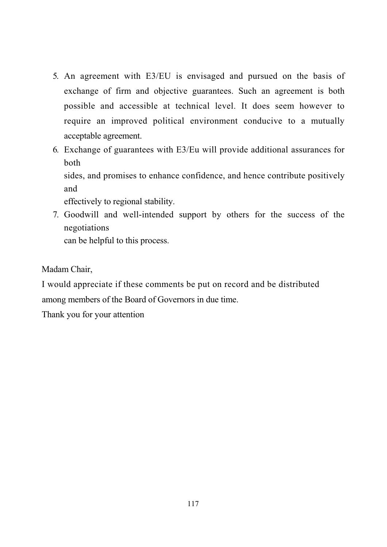- 5. An agreement with E3/EU is envisaged and pursued on the basis of exchange of firm and objective guarantees. Such an agreement is both possible and accessible at technical level. It does seem however to require an improved political environment conducive to a mutually acceptable agreement.
- 6. Exchange of guarantees with E3/Eu will provide additional assurances for both sides, and promises to enhance confidence, and hence contribute positively and

effectively to regional stability.

7. Goodwill and well-intended support by others for the success of the negotiations

can be helpful to this process.

Madam Chair,

I would appreciate if these comments be put on record and be distributed among members of the Board of Governors in due time.

Thank you for your attention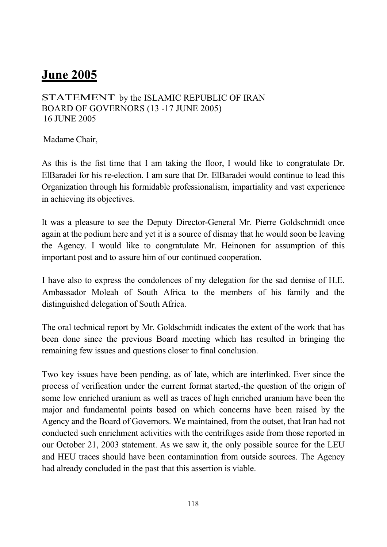## **June 2005**

STATEMENT by the ISLAMIC REPUBLIC OF IRAN BOARD OF GOVERNORS (13 -17 JUNE 2005) 16 JUNE 2005

Madame Chair,

As this is the fist time that I am taking the floor, I would like to congratulate Dr. ElBaradei for his re-election. I am sure that Dr. ElBaradei would continue to lead this Organization through his formidable professionalism, impartiality and vast experience in achieving its objectives.

It was a pleasure to see the Deputy Director-General Mr. Pierre Goldschmidt once again at the podium here and yet it is a source of dismay that he would soon be leaving the Agency. I would like to congratulate Mr. Heinonen for assumption of this important post and to assure him of our continued cooperation.

I have also to express the condolences of my delegation for the sad demise of H.E. Ambassador Moleah of South Africa to the members of his family and the distinguished delegation of South Africa.

The oral technical report by Mr. Goldschmidt indicates the extent of the work that has been done since the previous Board meeting which has resulted in bringing the remaining few issues and questions closer to final conclusion.

Two key issues have been pending, as of late, which are interlinked. Ever since the process of verification under the current format started,-the question of the origin of some low enriched uranium as well as traces of high enriched uranium have been the major and fundamental points based on which concerns have been raised by the Agency and the Board of Governors. We maintained, from the outset, that Iran had not conducted such enrichment activities with the centrifuges aside from those reported in our October 21, 2003 statement. As we saw it, the only possible source for the LEU and HEU traces should have been contamination from outside sources. The Agency had already concluded in the past that this assertion is viable.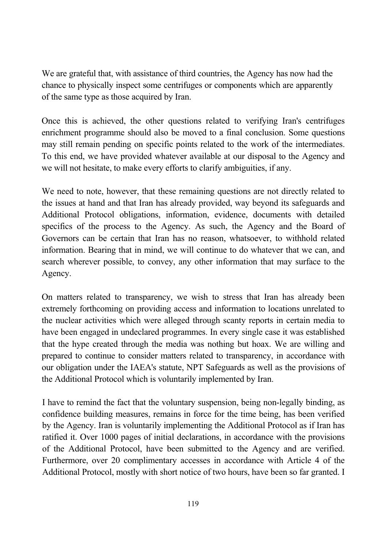We are grateful that, with assistance of third countries, the Agency has now had the chance to physically inspect some centrifuges or components which are apparently of the same type as those acquired by Iran.

Once this is achieved, the other questions related to verifying Iran's centrifuges enrichment programme should also be moved to a final conclusion. Some questions may still remain pending on specific points related to the work of the intermediates. To this end, we have provided whatever available at our disposal to the Agency and we will not hesitate, to make every efforts to clarify ambiguities, if any.

We need to note, however, that these remaining questions are not directly related to the issues at hand and that Iran has already provided, way beyond its safeguards and Additional Protocol obligations, information, evidence, documents with detailed specifics of the process to the Agency. As such, the Agency and the Board of Governors can be certain that Iran has no reason, whatsoever, to withhold related information. Bearing that in mind, we will continue to do whatever that we can, and search wherever possible, to convey, any other information that may surface to the Agency.

On matters related to transparency, we wish to stress that Iran has already been extremely forthcoming on providing access and information to locations unrelated to the nuclear activities which were alleged through scanty reports in certain media to have been engaged in undeclared programmes. In every single case it was established that the hype created through the media was nothing but hoax. We are willing and prepared to continue to consider matters related to transparency, in accordance with our obligation under the IAEA's statute, NPT Safeguards as well as the provisions of the Additional Protocol which is voluntarily implemented by Iran.

I have to remind the fact that the voluntary suspension, being non-legally binding, as confidence building measures, remains in force for the time being, has been verified by the Agency. Iran is voluntarily implementing the Additional Protocol as if Iran has ratified it. Over 1000 pages of initial declarations, in accordance with the provisions of the Additional Protocol, have been submitted to the Agency and are verified. Furthermore, over 20 complimentary accesses in accordance with Article 4 of the Additional Protocol, mostly with short notice of two hours, have been so far granted. I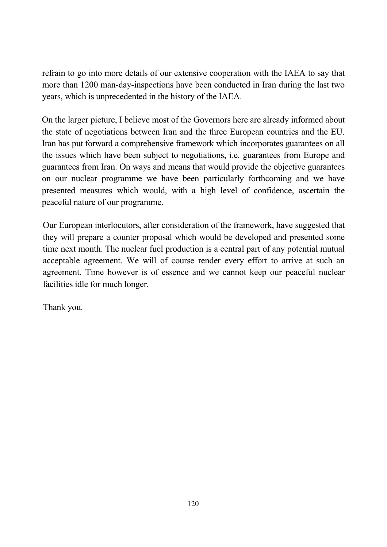refrain to go into more details of our extensive cooperation with the IAEA to say that more than 1200 man-day-inspections have been conducted in Iran during the last two years, which is unprecedented in the history of the IAEA.

On the larger picture, I believe most of the Governors here are already informed about the state of negotiations between Iran and the three European countries and the EU. Iran has put forward a comprehensive framework which incorporates guarantees on all the issues which have been subject to negotiations, i.e. guarantees from Europe and guarantees from Iran. On ways and means that would provide the objective guarantees on our nuclear programme we have been particularly forthcoming and we have presented measures which would, with a high level of confidence, ascertain the peaceful nature of our programme.

Our European interlocutors, after consideration of the framework, have suggested that they will prepare a counter proposal which would be developed and presented some time next month. The nuclear fuel production is a central part of any potential mutual acceptable agreement. We will of course render every effort to arrive at such an agreement. Time however is of essence and we cannot keep our peaceful nuclear facilities idle for much longer.

Thank you.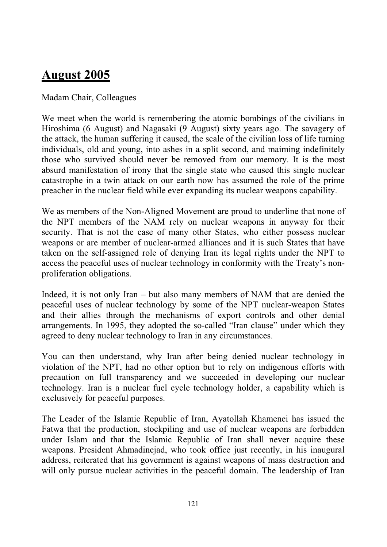# **August 2005**

#### Madam Chair, Colleagues

We meet when the world is remembering the atomic bombings of the civilians in Hiroshima (6 August) and Nagasaki (9 August) sixty years ago. The savagery of the attack, the human suffering it caused, the scale of the civilian loss of life turning individuals, old and young, into ashes in a split second, and maiming indefinitely those who survived should never be removed from our memory. It is the most absurd manifestation of irony that the single state who caused this single nuclear catastrophe in a twin attack on our earth now has assumed the role of the prime preacher in the nuclear field while ever expanding its nuclear weapons capability.

We as members of the Non-Aligned Movement are proud to underline that none of the NPT members of the NAM rely on nuclear weapons in anyway for their security. That is not the case of many other States, who either possess nuclear weapons or are member of nuclear-armed alliances and it is such States that have taken on the self-assigned role of denying Iran its legal rights under the NPT to access the peaceful uses of nuclear technology in conformity with the Treaty's nonproliferation obligations.

Indeed, it is not only Iran – but also many members of NAM that are denied the peaceful uses of nuclear technology by some of the NPT nuclear-weapon States and their allies through the mechanisms of export controls and other denial arrangements. In 1995, they adopted the so-called "Iran clause" under which they agreed to deny nuclear technology to Iran in any circumstances.

You can then understand, why Iran after being denied nuclear technology in violation of the NPT, had no other option but to rely on indigenous efforts with precaution on full transparency and we succeeded in developing our nuclear technology. Iran is a nuclear fuel cycle technology holder, a capability which is exclusively for peaceful purposes.

The Leader of the Islamic Republic of Iran, Ayatollah Khamenei has issued the Fatwa that the production, stockpiling and use of nuclear weapons are forbidden under Islam and that the Islamic Republic of Iran shall never acquire these weapons. President Ahmadinejad, who took office just recently, in his inaugural address, reiterated that his government is against weapons of mass destruction and will only pursue nuclear activities in the peaceful domain. The leadership of Iran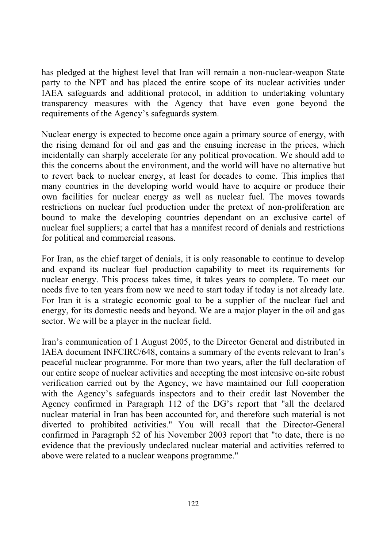has pledged at the highest level that Iran will remain a non-nuclear-weapon State party to the NPT and has placed the entire scope of its nuclear activities under IAEA safeguards and additional protocol, in addition to undertaking voluntary transparency measures with the Agency that have even gone beyond the requirements of the Agency's safeguards system.

Nuclear energy is expected to become once again a primary source of energy, with the rising demand for oil and gas and the ensuing increase in the prices, which incidentally can sharply accelerate for any political provocation. We should add to this the concerns about the environment, and the world will have no alternative but to revert back to nuclear energy, at least for decades to come. This implies that many countries in the developing world would have to acquire or produce their own facilities for nuclear energy as well as nuclear fuel. The moves towards restrictions on nuclear fuel production under the pretext of non-proliferation are bound to make the developing countries dependant on an exclusive cartel of nuclear fuel suppliers; a cartel that has a manifest record of denials and restrictions for political and commercial reasons.

For Iran, as the chief target of denials, it is only reasonable to continue to develop and expand its nuclear fuel production capability to meet its requirements for nuclear energy. This process takes time, it takes years to complete. To meet our needs five to ten years from now we need to start today if today is not already late. For Iran it is a strategic economic goal to be a supplier of the nuclear fuel and energy, for its domestic needs and beyond. We are a major player in the oil and gas sector. We will be a player in the nuclear field.

Iran's communication of 1 August 2005, to the Director General and distributed in IAEA document INFCIRC/648, contains a summary of the events relevant to Iran's peaceful nuclear programme. For more than two years, after the full declaration of our entire scope of nuclear activities and accepting the most intensive on-site robust verification carried out by the Agency, we have maintained our full cooperation with the Agency's safeguards inspectors and to their credit last November the Agency confirmed in Paragraph 112 of the DG's report that "all the declared nuclear material in Iran has been accounted for, and therefore such material is not diverted to prohibited activities." You will recall that the Director-General confirmed in Paragraph 52 of his November 2003 report that "to date, there is no evidence that the previously undeclared nuclear material and activities referred to above were related to a nuclear weapons programme."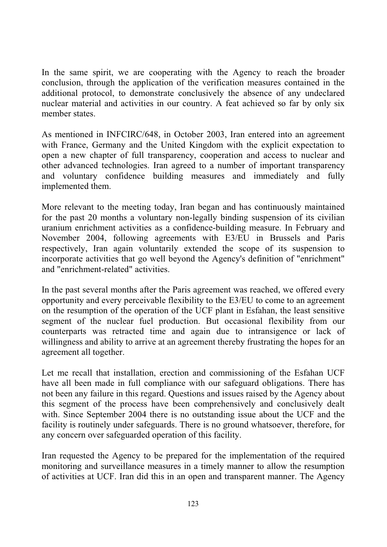In the same spirit, we are cooperating with the Agency to reach the broader conclusion, through the application of the verification measures contained in the additional protocol, to demonstrate conclusively the absence of any undeclared nuclear material and activities in our country. A feat achieved so far by only six member states.

As mentioned in INFCIRC/648, in October 2003, Iran entered into an agreement with France, Germany and the United Kingdom with the explicit expectation to open a new chapter of full transparency, cooperation and access to nuclear and other advanced technologies. Iran agreed to a number of important transparency and voluntary confidence building measures and immediately and fully implemented them.

More relevant to the meeting today, Iran began and has continuously maintained for the past 20 months a voluntary non-legally binding suspension of its civilian uranium enrichment activities as a confidence-building measure. In February and November 2004, following agreements with E3/EU in Brussels and Paris respectively, Iran again voluntarily extended the scope of its suspension to incorporate activities that go well beyond the Agency's definition of "enrichment" and "enrichment-related" activities.

In the past several months after the Paris agreement was reached, we offered every opportunity and every perceivable flexibility to the E3/EU to come to an agreement on the resumption of the operation of the UCF plant in Esfahan, the least sensitive segment of the nuclear fuel production. But occasional flexibility from our counterparts was retracted time and again due to intransigence or lack of willingness and ability to arrive at an agreement thereby frustrating the hopes for an agreement all together.

Let me recall that installation, erection and commissioning of the Esfahan UCF have all been made in full compliance with our safeguard obligations. There has not been any failure in this regard. Questions and issues raised by the Agency about this segment of the process have been comprehensively and conclusively dealt with. Since September 2004 there is no outstanding issue about the UCF and the facility is routinely under safeguards. There is no ground whatsoever, therefore, for any concern over safeguarded operation of this facility.

Iran requested the Agency to be prepared for the implementation of the required monitoring and surveillance measures in a timely manner to allow the resumption of activities at UCF. Iran did this in an open and transparent manner. The Agency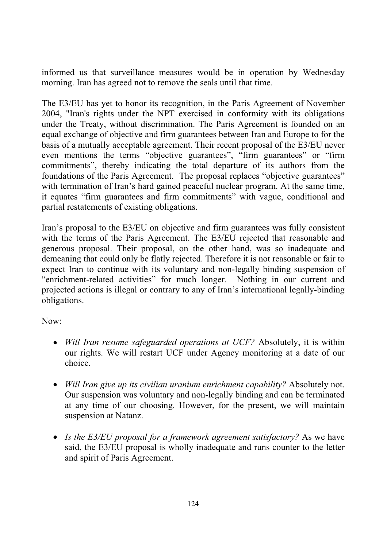informed us that surveillance measures would be in operation by Wednesday morning. Iran has agreed not to remove the seals until that time.

The E3/EU has yet to honor its recognition, in the Paris Agreement of November 2004, "Iran's rights under the NPT exercised in conformity with its obligations under the Treaty, without discrimination. The Paris Agreement is founded on an equal exchange of objective and firm guarantees between Iran and Europe to for the basis of a mutually acceptable agreement. Their recent proposal of the E3/EU never even mentions the terms "objective guarantees", "firm guarantees" or "firm commitments", thereby indicating the total departure of its authors from the foundations of the Paris Agreement. The proposal replaces "objective guarantees" with termination of Iran's hard gained peaceful nuclear program. At the same time, it equates "firm guarantees and firm commitments" with vague, conditional and partial restatements of existing obligations.

Iran's proposal to the E3/EU on objective and firm guarantees was fully consistent with the terms of the Paris Agreement. The E3/EU rejected that reasonable and generous proposal. Their proposal, on the other hand, was so inadequate and demeaning that could only be flatly rejected. Therefore it is not reasonable or fair to expect Iran to continue with its voluntary and non-legally binding suspension of "enrichment-related activities" for much longer. Nothing in our current and projected actions is illegal or contrary to any of Iran's international legally-binding obligations.

Now:

- *Will Iran resume safeguarded operations at UCF?* Absolutely, it is within our rights. We will restart UCF under Agency monitoring at a date of our choice.
- *Will Iran give up its civilian uranium enrichment capability?* Absolutely not. Our suspension was voluntary and non-legally binding and can be terminated at any time of our choosing. However, for the present, we will maintain suspension at Natanz.
- *Is the E3/EU proposal for a framework agreement satisfactory?* As we have said, the E3/EU proposal is wholly inadequate and runs counter to the letter and spirit of Paris Agreement.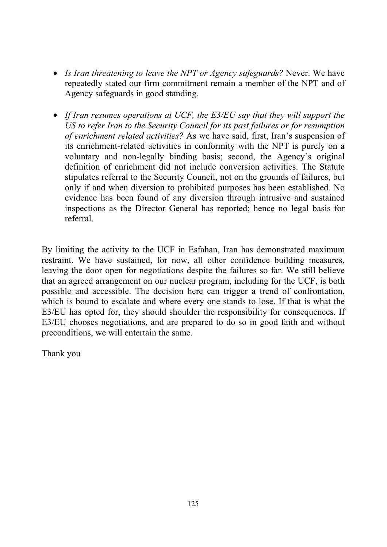- *Is Iran threatening to leave the NPT or Agency safeguards?* Never. We have repeatedly stated our firm commitment remain a member of the NPT and of Agency safeguards in good standing.
- *If Iran resumes operations at UCF, the E3/EU say that they will support the US to refer Iran to the Security Council for its past failures or for resumption of enrichment related activities?* As we have said, first, Iran's suspension of its enrichment-related activities in conformity with the NPT is purely on a voluntary and non-legally binding basis; second, the Agency's original definition of enrichment did not include conversion activities. The Statute stipulates referral to the Security Council, not on the grounds of failures, but only if and when diversion to prohibited purposes has been established. No evidence has been found of any diversion through intrusive and sustained inspections as the Director General has reported; hence no legal basis for referral.

By limiting the activity to the UCF in Esfahan, Iran has demonstrated maximum restraint. We have sustained, for now, all other confidence building measures, leaving the door open for negotiations despite the failures so far. We still believe that an agreed arrangement on our nuclear program, including for the UCF, is both possible and accessible. The decision here can trigger a trend of confrontation, which is bound to escalate and where every one stands to lose. If that is what the E3/EU has opted for, they should shoulder the responsibility for consequences. If E3/EU chooses negotiations, and are prepared to do so in good faith and without preconditions, we will entertain the same.

Thank you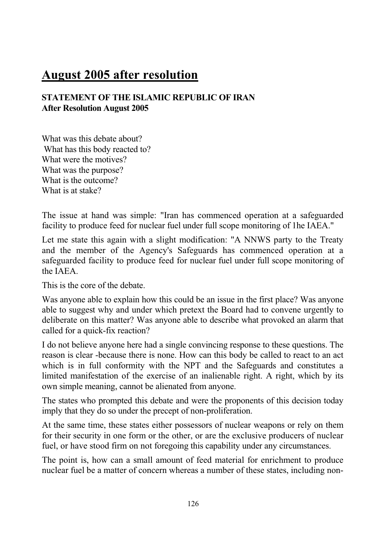# **August 2005 after resolution**

### **STATEMENT OF THE ISLAMIC REPUBLIC OF IRAN After Resolution August 2005**

What was this debate about? What has this body reacted to? What were the motives? What was the purpose? What is the outcome? What is at stake?

The issue at hand was simple: "Iran has commenced operation at a safeguarded facility to produce feed for nuclear fuel under full scope monitoring of 1he IAEA."

Let me state this again with a slight modification: "A NNWS party to the Treaty and the member of the Agency's Safeguards has commenced operation at a safeguarded facility to produce feed for nuclear fuel under full scope monitoring of the IAEA.

This is the core of the debate.

Was anyone able to explain how this could be an issue in the first place? Was anyone able to suggest why and under which pretext the Board had to convene urgently to deliberate on this matter? Was anyone able to describe what provoked an alarm that called for a quick-fix reaction?

I do not believe anyone here had a single convincing response to these questions. The reason is clear -because there is none. How can this body be called to react to an act which is in full conformity with the NPT and the Safeguards and constitutes a limited manifestation of the exercise of an inalienable right. A right, which by its own simple meaning, cannot be alienated from anyone.

The states who prompted this debate and were the proponents of this decision today imply that they do so under the precept of non-proliferation.

At the same time, these states either possessors of nuclear weapons or rely on them for their security in one form or the other, or are the exclusive producers of nuclear fuel, or have stood firm on not foregoing this capability under any circumstances.

The point is, how can a small amount of feed material for enrichment to produce nuclear fuel be a matter of concern whereas a number of these states, including non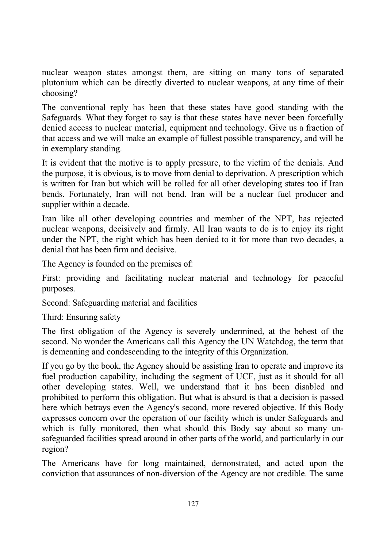nuclear weapon states amongst them, are sitting on many tons of separated plutonium which can be directly diverted to nuclear weapons, at any time of their choosing?

The conventional reply has been that these states have good standing with the Safeguards. What they forget to say is that these states have never been forcefully denied access to nuclear material, equipment and technology. Give us a fraction of that access and we will make an example of fullest possible transparency, and will be in exemplary standing.

It is evident that the motive is to apply pressure, to the victim of the denials. And the purpose, it is obvious, is to move from denial to deprivation. A prescription which is written for Iran but which will be rolled for all other developing states too if Iran bends. Fortunately, Iran will not bend. Iran will be a nuclear fuel producer and supplier within a decade.

Iran like all other developing countries and member of the NPT, has rejected nuclear weapons, decisively and firmly. All Iran wants to do is to enjoy its right under the NPT, the right which has been denied to it for more than two decades, a denial that has been firm and decisive.

The Agency is founded on the premises of:

First: providing and facilitating nuclear material and technology for peaceful purposes.

Second: Safeguarding material and facilities

Third: Ensuring safety

The first obligation of the Agency is severely undermined, at the behest of the second. No wonder the Americans call this Agency the UN Watchdog, the term that is demeaning and condescending to the integrity of this Organization.

If you go by the book, the Agency should be assisting Iran to operate and improve its fuel production capability, including the segment of UCF, just as it should for all other developing states. Well, we understand that it has been disabled and prohibited to perform this obligation. But what is absurd is that a decision is passed here which betrays even the Agency's second, more revered objective. If this Body expresses concern over the operation of our facility which is under Safeguards and which is fully monitored, then what should this Body say about so many unsafeguarded facilities spread around in other parts of the world, and particularly in our region?

The Americans have for long maintained, demonstrated, and acted upon the conviction that assurances of non-diversion of the Agency are not credible. The same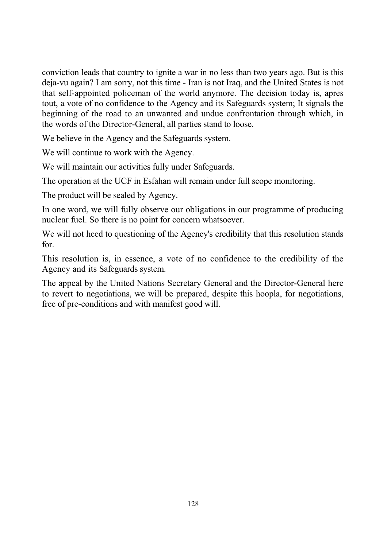conviction leads that country to ignite a war in no less than two years ago. But is this deja-vu again? I am sorry, not this time - Iran is not Iraq, and the United States is not that self-appointed policeman of the world anymore. The decision today is, apres tout, a vote of no confidence to the Agency and its Safeguards system; It signals the beginning of the road to an unwanted and undue confrontation through which, in the words of the Director-General, all parties stand to loose.

We believe in the Agency and the Safeguards system.

We will continue to work with the Agency.

We will maintain our activities fully under Safeguards.

The operation at the UCF in Esfahan will remain under full scope monitoring.

The product will be sealed by Agency.

In one word, we will fully observe our obligations in our programme of producing nuclear fuel. So there is no point for concern whatsoever.

We will not heed to questioning of the Agency's credibility that this resolution stands for.

This resolution is, in essence, a vote of no confidence to the credibility of the Agency and its Safeguards system.

The appeal by the United Nations Secretary General and the Director-General here to revert to negotiations, we will be prepared, despite this hoopla, for negotiations, free of pre-conditions and with manifest good will.